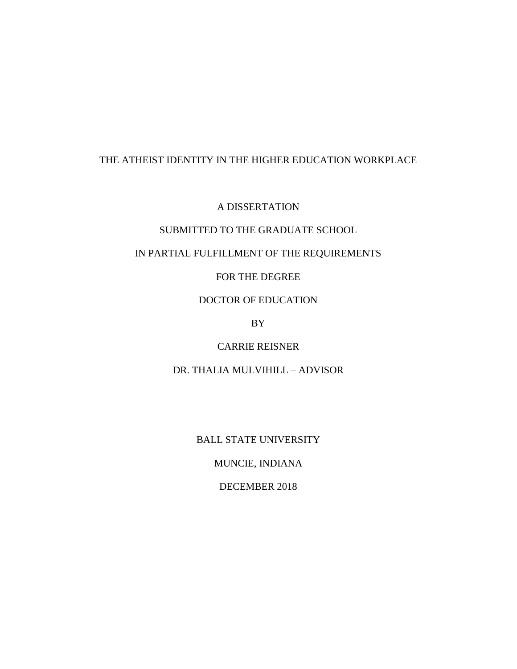## THE ATHEIST IDENTITY IN THE HIGHER EDUCATION WORKPLACE

A DISSERTATION

## SUBMITTED TO THE GRADUATE SCHOOL

## IN PARTIAL FULFILLMENT OF THE REQUIREMENTS

FOR THE DEGREE

DOCTOR OF EDUCATION

BY

CARRIE REISNER

DR. THALIA MULVIHILL – ADVISOR

BALL STATE UNIVERSITY

MUNCIE, INDIANA

DECEMBER 2018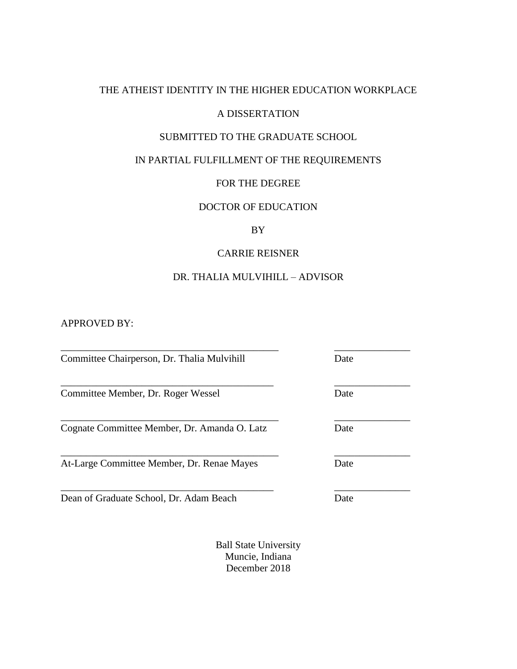## THE ATHEIST IDENTITY IN THE HIGHER EDUCATION WORKPLACE

### A DISSERTATION

## SUBMITTED TO THE GRADUATE SCHOOL

## IN PARTIAL FULFILLMENT OF THE REQUIREMENTS

### FOR THE DEGREE

## DOCTOR OF EDUCATION

### BY

## CARRIE REISNER

## DR. THALIA MULVIHILL – ADVISOR

\_\_\_\_\_\_\_\_\_\_\_\_\_\_\_\_\_\_\_\_\_\_\_\_\_\_\_\_\_\_\_\_\_\_\_\_\_\_\_\_\_\_\_ \_\_\_\_\_\_\_\_\_\_\_\_\_\_\_

APPROVED BY:

Committee Chairperson, Dr. Thalia Mulvihill Date

Committee Member, Dr. Roger Wessel Date

Cognate Committee Member, Dr. Amanda O. Latz Date

At-Large Committee Member, Dr. Renae Mayes Date

Dean of Graduate School, Dr. Adam Beach Date

Ball State University Muncie, Indiana December 2018

\_\_\_\_\_\_\_\_\_\_\_\_\_\_\_\_\_\_\_\_\_\_\_\_\_\_\_\_\_\_\_\_\_\_\_\_\_\_\_\_\_\_\_ \_\_\_\_\_\_\_\_\_\_\_\_\_\_\_

\_\_\_\_\_\_\_\_\_\_\_\_\_\_\_\_\_\_\_\_\_\_\_\_\_\_\_\_\_\_\_\_\_\_\_\_\_\_\_\_\_\_ \_\_\_\_\_\_\_\_\_\_\_\_\_\_\_

\_\_\_\_\_\_\_\_\_\_\_\_\_\_\_\_\_\_\_\_\_\_\_\_\_\_\_\_\_\_\_\_\_\_\_\_\_\_\_\_\_\_\_ \_\_\_\_\_\_\_\_\_\_\_\_\_\_\_

\_\_\_\_\_\_\_\_\_\_\_\_\_\_\_\_\_\_\_\_\_\_\_\_\_\_\_\_\_\_\_\_\_\_\_\_\_\_\_\_\_\_ \_\_\_\_\_\_\_\_\_\_\_\_\_\_\_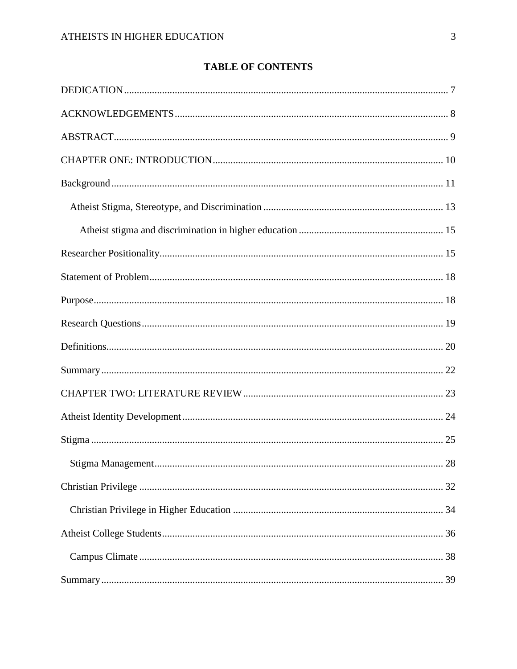# **TABLE OF CONTENTS**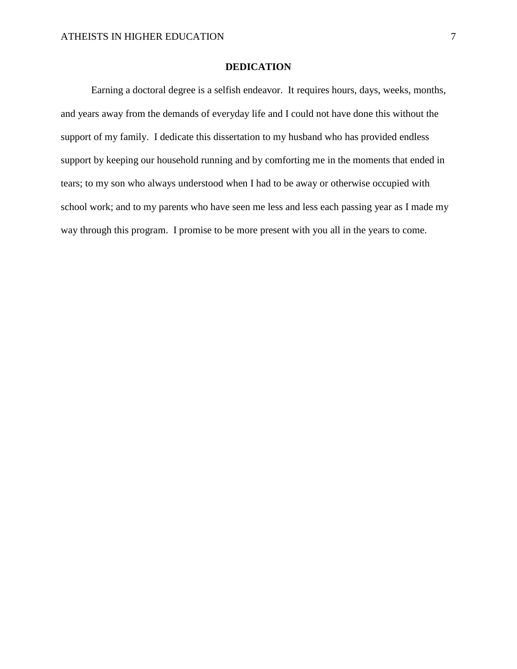### **DEDICATION**

<span id="page-6-0"></span>Earning a doctoral degree is a selfish endeavor. It requires hours, days, weeks, months, and years away from the demands of everyday life and I could not have done this without the support of my family. I dedicate this dissertation to my husband who has provided endless support by keeping our household running and by comforting me in the moments that ended in tears; to my son who always understood when I had to be away or otherwise occupied with school work; and to my parents who have seen me less and less each passing year as I made my way through this program. I promise to be more present with you all in the years to come.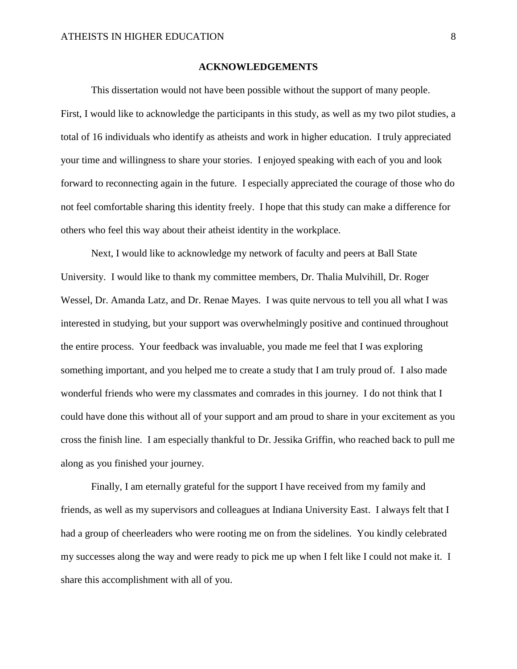#### **ACKNOWLEDGEMENTS**

<span id="page-7-0"></span>This dissertation would not have been possible without the support of many people. First, I would like to acknowledge the participants in this study, as well as my two pilot studies, a total of 16 individuals who identify as atheists and work in higher education. I truly appreciated your time and willingness to share your stories. I enjoyed speaking with each of you and look forward to reconnecting again in the future. I especially appreciated the courage of those who do not feel comfortable sharing this identity freely. I hope that this study can make a difference for others who feel this way about their atheist identity in the workplace.

Next, I would like to acknowledge my network of faculty and peers at Ball State University. I would like to thank my committee members, Dr. Thalia Mulvihill, Dr. Roger Wessel, Dr. Amanda Latz, and Dr. Renae Mayes. I was quite nervous to tell you all what I was interested in studying, but your support was overwhelmingly positive and continued throughout the entire process. Your feedback was invaluable, you made me feel that I was exploring something important, and you helped me to create a study that I am truly proud of. I also made wonderful friends who were my classmates and comrades in this journey. I do not think that I could have done this without all of your support and am proud to share in your excitement as you cross the finish line. I am especially thankful to Dr. Jessika Griffin, who reached back to pull me along as you finished your journey.

Finally, I am eternally grateful for the support I have received from my family and friends, as well as my supervisors and colleagues at Indiana University East. I always felt that I had a group of cheerleaders who were rooting me on from the sidelines. You kindly celebrated my successes along the way and were ready to pick me up when I felt like I could not make it. I share this accomplishment with all of you.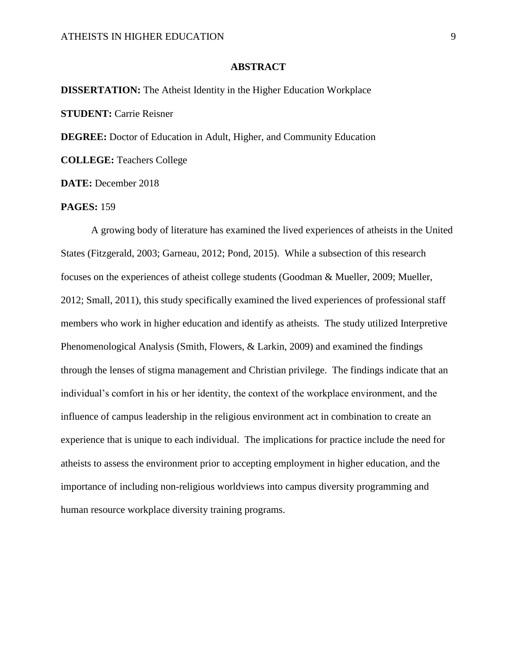#### **ABSTRACT**

<span id="page-8-0"></span>**DISSERTATION:** The Atheist Identity in the Higher Education Workplace **STUDENT: Carrie Reisner DEGREE:** Doctor of Education in Adult, Higher, and Community Education

**COLLEGE:** Teachers College

**DATE:** December 2018

### **PAGES:** 159

A growing body of literature has examined the lived experiences of atheists in the United States (Fitzgerald, 2003; Garneau, 2012; Pond, 2015). While a subsection of this research focuses on the experiences of atheist college students (Goodman & Mueller, 2009; Mueller, 2012; Small, 2011), this study specifically examined the lived experiences of professional staff members who work in higher education and identify as atheists. The study utilized Interpretive Phenomenological Analysis (Smith, Flowers, & Larkin, 2009) and examined the findings through the lenses of stigma management and Christian privilege. The findings indicate that an individual's comfort in his or her identity, the context of the workplace environment, and the influence of campus leadership in the religious environment act in combination to create an experience that is unique to each individual. The implications for practice include the need for atheists to assess the environment prior to accepting employment in higher education, and the importance of including non-religious worldviews into campus diversity programming and human resource workplace diversity training programs.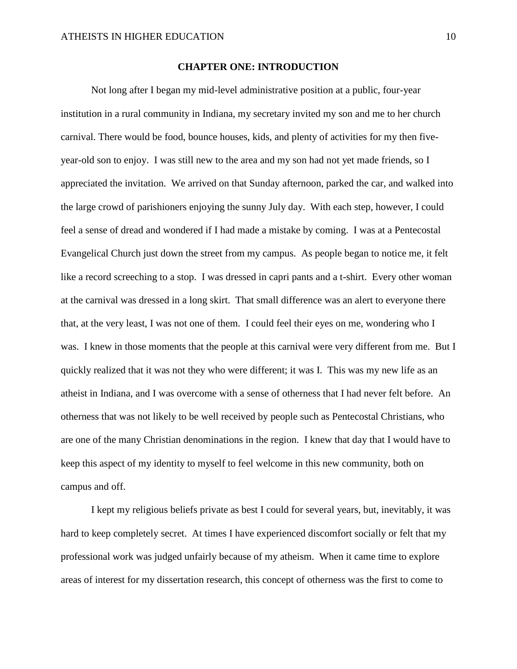#### **CHAPTER ONE: INTRODUCTION**

<span id="page-9-0"></span>Not long after I began my mid-level administrative position at a public, four-year institution in a rural community in Indiana, my secretary invited my son and me to her church carnival. There would be food, bounce houses, kids, and plenty of activities for my then fiveyear-old son to enjoy. I was still new to the area and my son had not yet made friends, so I appreciated the invitation. We arrived on that Sunday afternoon, parked the car, and walked into the large crowd of parishioners enjoying the sunny July day. With each step, however, I could feel a sense of dread and wondered if I had made a mistake by coming. I was at a Pentecostal Evangelical Church just down the street from my campus. As people began to notice me, it felt like a record screeching to a stop. I was dressed in capri pants and a t-shirt. Every other woman at the carnival was dressed in a long skirt. That small difference was an alert to everyone there that, at the very least, I was not one of them. I could feel their eyes on me, wondering who I was. I knew in those moments that the people at this carnival were very different from me. But I quickly realized that it was not they who were different; it was I. This was my new life as an atheist in Indiana, and I was overcome with a sense of otherness that I had never felt before. An otherness that was not likely to be well received by people such as Pentecostal Christians, who are one of the many Christian denominations in the region. I knew that day that I would have to keep this aspect of my identity to myself to feel welcome in this new community, both on campus and off.

I kept my religious beliefs private as best I could for several years, but, inevitably, it was hard to keep completely secret. At times I have experienced discomfort socially or felt that my professional work was judged unfairly because of my atheism. When it came time to explore areas of interest for my dissertation research, this concept of otherness was the first to come to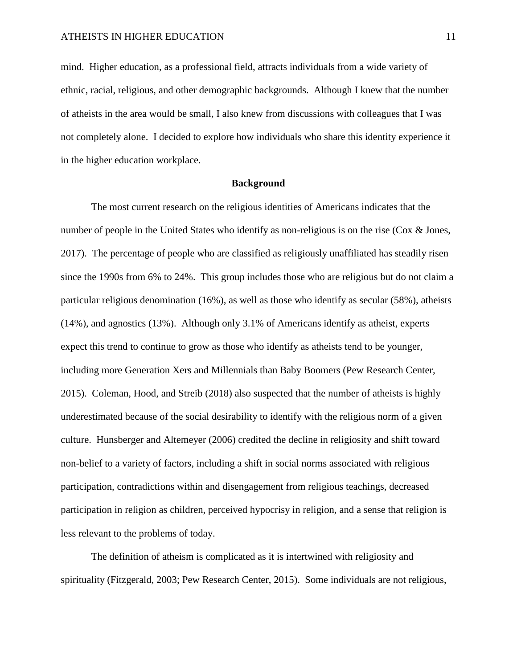mind. Higher education, as a professional field, attracts individuals from a wide variety of ethnic, racial, religious, and other demographic backgrounds. Although I knew that the number of atheists in the area would be small, I also knew from discussions with colleagues that I was not completely alone. I decided to explore how individuals who share this identity experience it in the higher education workplace.

#### **Background**

<span id="page-10-0"></span>The most current research on the religious identities of Americans indicates that the number of people in the United States who identify as non-religious is on the rise (Cox & Jones, 2017). The percentage of people who are classified as religiously unaffiliated has steadily risen since the 1990s from 6% to 24%. This group includes those who are religious but do not claim a particular religious denomination (16%), as well as those who identify as secular (58%), atheists (14%), and agnostics (13%). Although only 3.1% of Americans identify as atheist, experts expect this trend to continue to grow as those who identify as atheists tend to be younger, including more Generation Xers and Millennials than Baby Boomers (Pew Research Center, 2015). Coleman, Hood, and Streib (2018) also suspected that the number of atheists is highly underestimated because of the social desirability to identify with the religious norm of a given culture. Hunsberger and Altemeyer (2006) credited the decline in religiosity and shift toward non-belief to a variety of factors, including a shift in social norms associated with religious participation, contradictions within and disengagement from religious teachings, decreased participation in religion as children, perceived hypocrisy in religion, and a sense that religion is less relevant to the problems of today.

The definition of atheism is complicated as it is intertwined with religiosity and spirituality (Fitzgerald, 2003; Pew Research Center, 2015). Some individuals are not religious,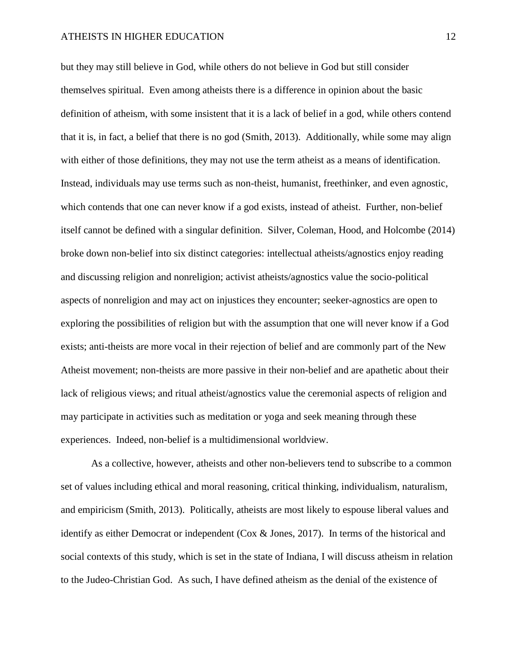but they may still believe in God, while others do not believe in God but still consider themselves spiritual. Even among atheists there is a difference in opinion about the basic definition of atheism, with some insistent that it is a lack of belief in a god, while others contend that it is, in fact, a belief that there is no god (Smith, 2013). Additionally, while some may align with either of those definitions, they may not use the term atheist as a means of identification. Instead, individuals may use terms such as non-theist, humanist, freethinker, and even agnostic, which contends that one can never know if a god exists, instead of atheist. Further, non-belief itself cannot be defined with a singular definition. Silver, Coleman, Hood, and Holcombe (2014) broke down non-belief into six distinct categories: intellectual atheists/agnostics enjoy reading and discussing religion and nonreligion; activist atheists/agnostics value the socio-political aspects of nonreligion and may act on injustices they encounter; seeker-agnostics are open to exploring the possibilities of religion but with the assumption that one will never know if a God exists; anti-theists are more vocal in their rejection of belief and are commonly part of the New Atheist movement; non-theists are more passive in their non-belief and are apathetic about their lack of religious views; and ritual atheist/agnostics value the ceremonial aspects of religion and may participate in activities such as meditation or yoga and seek meaning through these experiences. Indeed, non-belief is a multidimensional worldview.

As a collective, however, atheists and other non-believers tend to subscribe to a common set of values including ethical and moral reasoning, critical thinking, individualism, naturalism, and empiricism (Smith, 2013). Politically, atheists are most likely to espouse liberal values and identify as either Democrat or independent (Cox & Jones, 2017). In terms of the historical and social contexts of this study, which is set in the state of Indiana, I will discuss atheism in relation to the Judeo-Christian God. As such, I have defined atheism as the denial of the existence of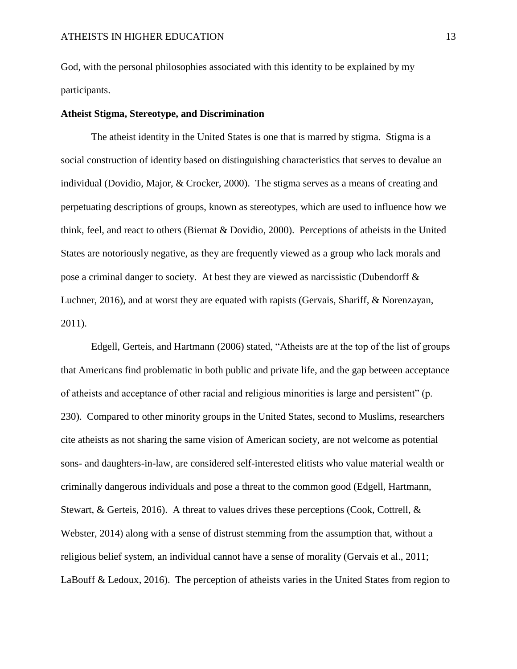God, with the personal philosophies associated with this identity to be explained by my participants.

#### <span id="page-12-0"></span>**Atheist Stigma, Stereotype, and Discrimination**

The atheist identity in the United States is one that is marred by stigma. Stigma is a social construction of identity based on distinguishing characteristics that serves to devalue an individual (Dovidio, Major, & Crocker, 2000). The stigma serves as a means of creating and perpetuating descriptions of groups, known as stereotypes, which are used to influence how we think, feel, and react to others (Biernat & Dovidio, 2000). Perceptions of atheists in the United States are notoriously negative, as they are frequently viewed as a group who lack morals and pose a criminal danger to society. At best they are viewed as narcissistic (Dubendorff & Luchner, 2016), and at worst they are equated with rapists (Gervais, Shariff, & Norenzayan, 2011).

Edgell, Gerteis, and Hartmann (2006) stated, "Atheists are at the top of the list of groups that Americans find problematic in both public and private life, and the gap between acceptance of atheists and acceptance of other racial and religious minorities is large and persistent" (p. 230). Compared to other minority groups in the United States, second to Muslims, researchers cite atheists as not sharing the same vision of American society, are not welcome as potential sons- and daughters-in-law, are considered self-interested elitists who value material wealth or criminally dangerous individuals and pose a threat to the common good (Edgell, Hartmann, Stewart, & Gerteis, 2016). A threat to values drives these perceptions (Cook, Cottrell, & Webster, 2014) along with a sense of distrust stemming from the assumption that, without a religious belief system, an individual cannot have a sense of morality (Gervais et al., 2011; LaBouff & Ledoux, 2016). The perception of atheists varies in the United States from region to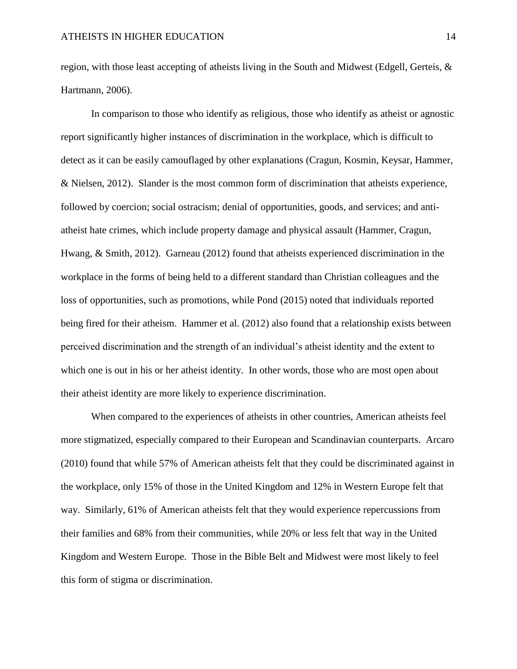region, with those least accepting of atheists living in the South and Midwest (Edgell, Gerteis,  $\&$ Hartmann, 2006).

In comparison to those who identify as religious, those who identify as atheist or agnostic report significantly higher instances of discrimination in the workplace, which is difficult to detect as it can be easily camouflaged by other explanations (Cragun, Kosmin, Keysar, Hammer, & Nielsen, 2012). Slander is the most common form of discrimination that atheists experience, followed by coercion; social ostracism; denial of opportunities, goods, and services; and antiatheist hate crimes, which include property damage and physical assault (Hammer, Cragun, Hwang, & Smith, 2012). Garneau (2012) found that atheists experienced discrimination in the workplace in the forms of being held to a different standard than Christian colleagues and the loss of opportunities, such as promotions, while Pond (2015) noted that individuals reported being fired for their atheism. Hammer et al. (2012) also found that a relationship exists between perceived discrimination and the strength of an individual's atheist identity and the extent to which one is out in his or her atheist identity. In other words, those who are most open about their atheist identity are more likely to experience discrimination.

When compared to the experiences of atheists in other countries, American atheists feel more stigmatized, especially compared to their European and Scandinavian counterparts. Arcaro (2010) found that while 57% of American atheists felt that they could be discriminated against in the workplace, only 15% of those in the United Kingdom and 12% in Western Europe felt that way. Similarly, 61% of American atheists felt that they would experience repercussions from their families and 68% from their communities, while 20% or less felt that way in the United Kingdom and Western Europe. Those in the Bible Belt and Midwest were most likely to feel this form of stigma or discrimination.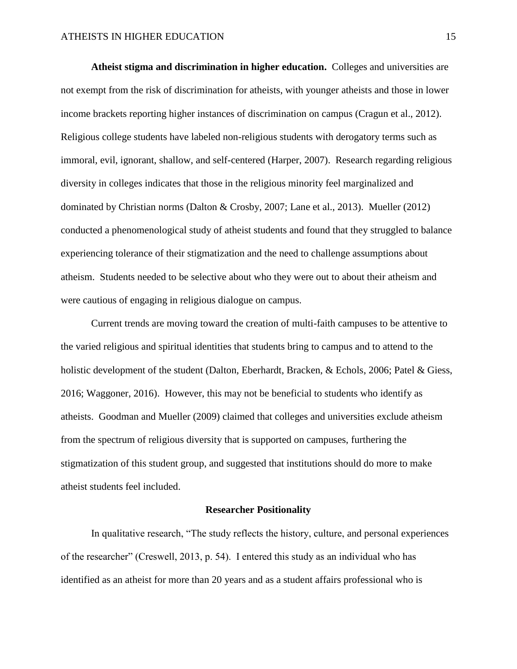<span id="page-14-0"></span>**Atheist stigma and discrimination in higher education.** Colleges and universities are not exempt from the risk of discrimination for atheists, with younger atheists and those in lower income brackets reporting higher instances of discrimination on campus (Cragun et al., 2012). Religious college students have labeled non-religious students with derogatory terms such as immoral, evil, ignorant, shallow, and self-centered (Harper, 2007). Research regarding religious diversity in colleges indicates that those in the religious minority feel marginalized and dominated by Christian norms (Dalton & Crosby, 2007; Lane et al., 2013). Mueller (2012) conducted a phenomenological study of atheist students and found that they struggled to balance experiencing tolerance of their stigmatization and the need to challenge assumptions about atheism. Students needed to be selective about who they were out to about their atheism and were cautious of engaging in religious dialogue on campus.

Current trends are moving toward the creation of multi-faith campuses to be attentive to the varied religious and spiritual identities that students bring to campus and to attend to the holistic development of the student (Dalton, Eberhardt, Bracken, & Echols, 2006; Patel & Giess, 2016; Waggoner, 2016). However, this may not be beneficial to students who identify as atheists. Goodman and Mueller (2009) claimed that colleges and universities exclude atheism from the spectrum of religious diversity that is supported on campuses, furthering the stigmatization of this student group, and suggested that institutions should do more to make atheist students feel included.

#### **Researcher Positionality**

<span id="page-14-1"></span>In qualitative research, "The study reflects the history, culture, and personal experiences of the researcher" (Creswell, 2013, p. 54). I entered this study as an individual who has identified as an atheist for more than 20 years and as a student affairs professional who is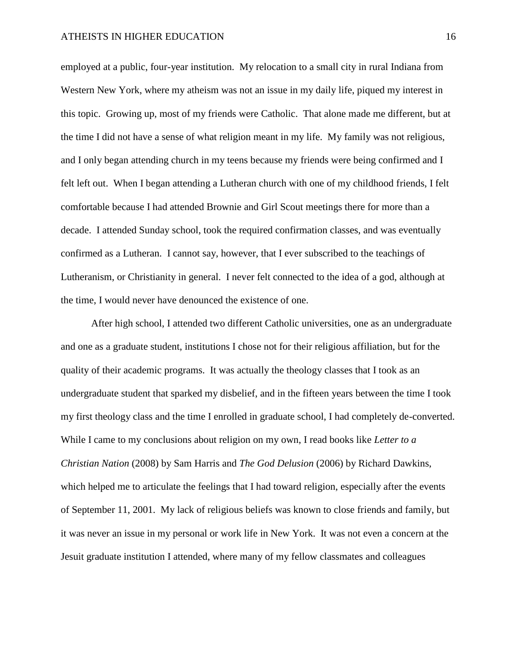employed at a public, four-year institution. My relocation to a small city in rural Indiana from Western New York, where my atheism was not an issue in my daily life, piqued my interest in this topic. Growing up, most of my friends were Catholic. That alone made me different, but at the time I did not have a sense of what religion meant in my life. My family was not religious, and I only began attending church in my teens because my friends were being confirmed and I felt left out. When I began attending a Lutheran church with one of my childhood friends, I felt comfortable because I had attended Brownie and Girl Scout meetings there for more than a decade. I attended Sunday school, took the required confirmation classes, and was eventually confirmed as a Lutheran. I cannot say, however, that I ever subscribed to the teachings of Lutheranism, or Christianity in general. I never felt connected to the idea of a god, although at the time, I would never have denounced the existence of one.

After high school, I attended two different Catholic universities, one as an undergraduate and one as a graduate student, institutions I chose not for their religious affiliation, but for the quality of their academic programs. It was actually the theology classes that I took as an undergraduate student that sparked my disbelief, and in the fifteen years between the time I took my first theology class and the time I enrolled in graduate school, I had completely de-converted. While I came to my conclusions about religion on my own, I read books like *Letter to a Christian Nation* (2008) by Sam Harris and *The God Delusion* (2006) by Richard Dawkins, which helped me to articulate the feelings that I had toward religion, especially after the events of September 11, 2001. My lack of religious beliefs was known to close friends and family, but it was never an issue in my personal or work life in New York. It was not even a concern at the Jesuit graduate institution I attended, where many of my fellow classmates and colleagues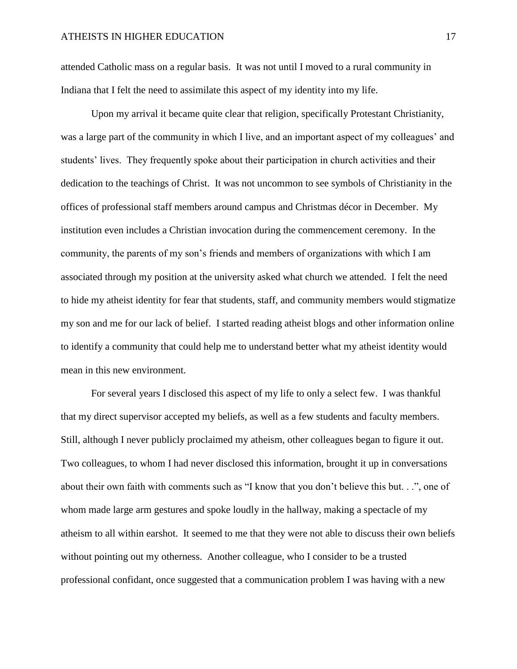attended Catholic mass on a regular basis. It was not until I moved to a rural community in Indiana that I felt the need to assimilate this aspect of my identity into my life.

Upon my arrival it became quite clear that religion, specifically Protestant Christianity, was a large part of the community in which I live, and an important aspect of my colleagues' and students' lives. They frequently spoke about their participation in church activities and their dedication to the teachings of Christ. It was not uncommon to see symbols of Christianity in the offices of professional staff members around campus and Christmas décor in December. My institution even includes a Christian invocation during the commencement ceremony. In the community, the parents of my son's friends and members of organizations with which I am associated through my position at the university asked what church we attended. I felt the need to hide my atheist identity for fear that students, staff, and community members would stigmatize my son and me for our lack of belief. I started reading atheist blogs and other information online to identify a community that could help me to understand better what my atheist identity would mean in this new environment.

For several years I disclosed this aspect of my life to only a select few. I was thankful that my direct supervisor accepted my beliefs, as well as a few students and faculty members. Still, although I never publicly proclaimed my atheism, other colleagues began to figure it out. Two colleagues, to whom I had never disclosed this information, brought it up in conversations about their own faith with comments such as "I know that you don't believe this but. . .", one of whom made large arm gestures and spoke loudly in the hallway, making a spectacle of my atheism to all within earshot. It seemed to me that they were not able to discuss their own beliefs without pointing out my otherness. Another colleague, who I consider to be a trusted professional confidant, once suggested that a communication problem I was having with a new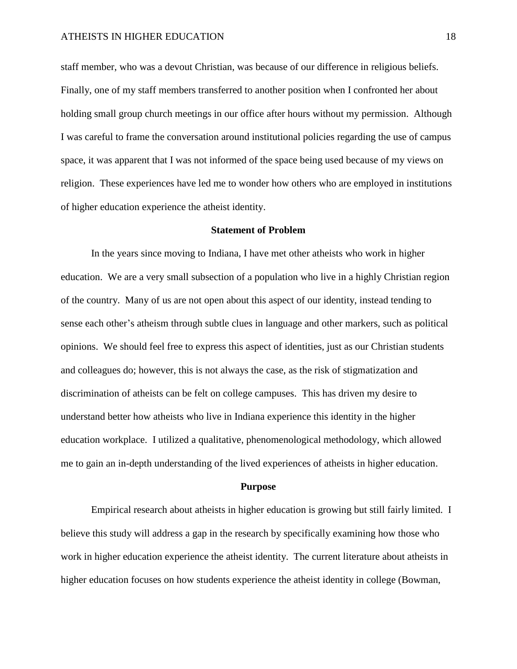staff member, who was a devout Christian, was because of our difference in religious beliefs. Finally, one of my staff members transferred to another position when I confronted her about holding small group church meetings in our office after hours without my permission. Although I was careful to frame the conversation around institutional policies regarding the use of campus space, it was apparent that I was not informed of the space being used because of my views on religion. These experiences have led me to wonder how others who are employed in institutions of higher education experience the atheist identity.

#### **Statement of Problem**

<span id="page-17-0"></span>In the years since moving to Indiana, I have met other atheists who work in higher education. We are a very small subsection of a population who live in a highly Christian region of the country. Many of us are not open about this aspect of our identity, instead tending to sense each other's atheism through subtle clues in language and other markers, such as political opinions. We should feel free to express this aspect of identities, just as our Christian students and colleagues do; however, this is not always the case, as the risk of stigmatization and discrimination of atheists can be felt on college campuses. This has driven my desire to understand better how atheists who live in Indiana experience this identity in the higher education workplace. I utilized a qualitative, phenomenological methodology, which allowed me to gain an in-depth understanding of the lived experiences of atheists in higher education.

#### **Purpose**

<span id="page-17-1"></span>Empirical research about atheists in higher education is growing but still fairly limited. I believe this study will address a gap in the research by specifically examining how those who work in higher education experience the atheist identity. The current literature about atheists in higher education focuses on how students experience the atheist identity in college (Bowman,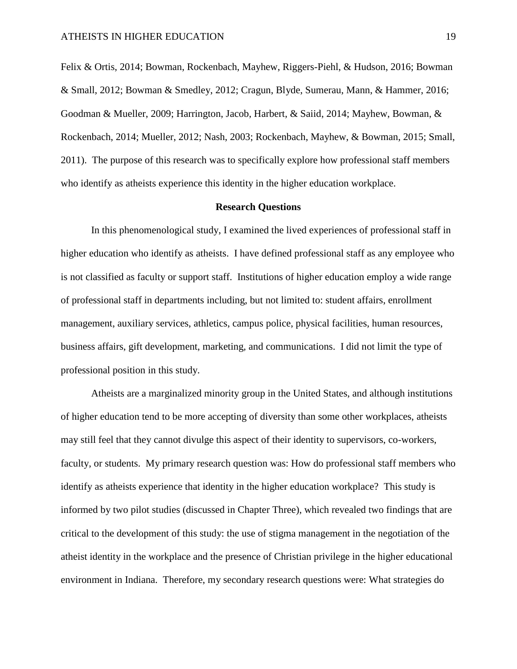Felix & Ortis, 2014; Bowman, Rockenbach, Mayhew, Riggers-Piehl, & Hudson, 2016; Bowman & Small, 2012; Bowman & Smedley, 2012; Cragun, Blyde, Sumerau, Mann, & Hammer, 2016; Goodman & Mueller, 2009; Harrington, Jacob, Harbert, & Saiid, 2014; Mayhew, Bowman, & Rockenbach, 2014; Mueller, 2012; Nash, 2003; Rockenbach, Mayhew, & Bowman, 2015; Small, 2011). The purpose of this research was to specifically explore how professional staff members who identify as atheists experience this identity in the higher education workplace.

#### **Research Questions**

<span id="page-18-0"></span>In this phenomenological study, I examined the lived experiences of professional staff in higher education who identify as atheists. I have defined professional staff as any employee who is not classified as faculty or support staff. Institutions of higher education employ a wide range of professional staff in departments including, but not limited to: student affairs, enrollment management, auxiliary services, athletics, campus police, physical facilities, human resources, business affairs, gift development, marketing, and communications. I did not limit the type of professional position in this study.

Atheists are a marginalized minority group in the United States, and although institutions of higher education tend to be more accepting of diversity than some other workplaces, atheists may still feel that they cannot divulge this aspect of their identity to supervisors, co-workers, faculty, or students. My primary research question was: How do professional staff members who identify as atheists experience that identity in the higher education workplace? This study is informed by two pilot studies (discussed in Chapter Three), which revealed two findings that are critical to the development of this study: the use of stigma management in the negotiation of the atheist identity in the workplace and the presence of Christian privilege in the higher educational environment in Indiana. Therefore, my secondary research questions were: What strategies do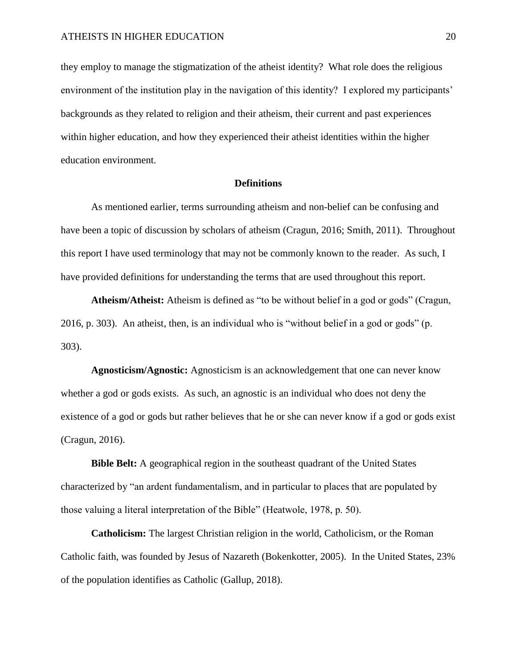they employ to manage the stigmatization of the atheist identity? What role does the religious environment of the institution play in the navigation of this identity? I explored my participants' backgrounds as they related to religion and their atheism, their current and past experiences within higher education, and how they experienced their atheist identities within the higher education environment.

### **Definitions**

<span id="page-19-0"></span>As mentioned earlier, terms surrounding atheism and non-belief can be confusing and have been a topic of discussion by scholars of atheism (Cragun, 2016; Smith, 2011). Throughout this report I have used terminology that may not be commonly known to the reader. As such, I have provided definitions for understanding the terms that are used throughout this report.

**Atheism/Atheist:** Atheism is defined as "to be without belief in a god or gods" (Cragun, 2016, p. 303). An atheist, then, is an individual who is "without belief in a god or gods" (p. 303).

**Agnosticism/Agnostic:** Agnosticism is an acknowledgement that one can never know whether a god or gods exists. As such, an agnostic is an individual who does not deny the existence of a god or gods but rather believes that he or she can never know if a god or gods exist (Cragun, 2016).

**Bible Belt:** A geographical region in the southeast quadrant of the United States characterized by "an ardent fundamentalism, and in particular to places that are populated by those valuing a literal interpretation of the Bible" (Heatwole, 1978, p. 50).

**Catholicism:** The largest Christian religion in the world, Catholicism, or the Roman Catholic faith, was founded by Jesus of Nazareth (Bokenkotter, 2005). In the United States, 23% of the population identifies as Catholic (Gallup, 2018).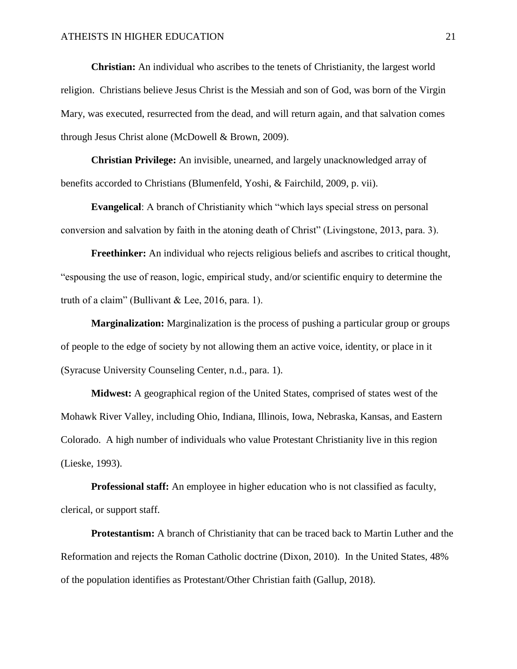**Christian:** An individual who ascribes to the tenets of Christianity, the largest world religion. Christians believe Jesus Christ is the Messiah and son of God, was born of the Virgin Mary, was executed, resurrected from the dead, and will return again, and that salvation comes through Jesus Christ alone (McDowell & Brown, 2009).

**Christian Privilege:** An invisible, unearned, and largely unacknowledged array of benefits accorded to Christians (Blumenfeld, Yoshi, & Fairchild, 2009, p. vii).

**Evangelical**: A branch of Christianity which "which lays special stress on personal conversion and salvation by faith in the atoning death of Christ" (Livingstone, 2013, para. 3).

**Freethinker:** An individual who rejects religious beliefs and ascribes to critical thought, "espousing the use of reason, logic, empirical study, and/or scientific enquiry to determine the truth of a claim" (Bullivant & Lee, 2016, para. 1).

**Marginalization:** Marginalization is the process of pushing a particular group or groups of people to the edge of society by not allowing them an active voice, identity, or place in it (Syracuse University Counseling Center, n.d., para. 1).

**Midwest:** A geographical region of the United States, comprised of states west of the Mohawk River Valley, including Ohio, Indiana, Illinois, Iowa, Nebraska, Kansas, and Eastern Colorado. A high number of individuals who value Protestant Christianity live in this region (Lieske, 1993).

**Professional staff:** An employee in higher education who is not classified as faculty, clerical, or support staff.

**Protestantism:** A branch of Christianity that can be traced back to Martin Luther and the Reformation and rejects the Roman Catholic doctrine (Dixon, 2010). In the United States, 48% of the population identifies as Protestant/Other Christian faith (Gallup, 2018).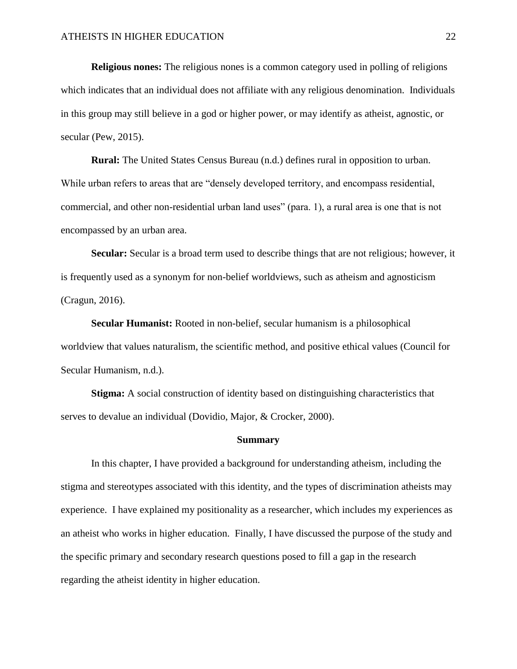**Religious nones:** The religious nones is a common category used in polling of religions which indicates that an individual does not affiliate with any religious denomination. Individuals in this group may still believe in a god or higher power, or may identify as atheist, agnostic, or secular (Pew, 2015).

**Rural:** The United States Census Bureau (n.d.) defines rural in opposition to urban. While urban refers to areas that are "densely developed territory, and encompass residential, commercial, and other non-residential urban land uses" (para. 1), a rural area is one that is not encompassed by an urban area.

**Secular:** Secular is a broad term used to describe things that are not religious; however, it is frequently used as a synonym for non-belief worldviews, such as atheism and agnosticism (Cragun, 2016).

**Secular Humanist:** Rooted in non-belief, secular humanism is a philosophical worldview that values naturalism, the scientific method, and positive ethical values (Council for Secular Humanism, n.d.).

**Stigma:** A social construction of identity based on distinguishing characteristics that serves to devalue an individual (Dovidio, Major, & Crocker, 2000).

#### **Summary**

<span id="page-21-0"></span>In this chapter, I have provided a background for understanding atheism, including the stigma and stereotypes associated with this identity, and the types of discrimination atheists may experience. I have explained my positionality as a researcher, which includes my experiences as an atheist who works in higher education. Finally, I have discussed the purpose of the study and the specific primary and secondary research questions posed to fill a gap in the research regarding the atheist identity in higher education.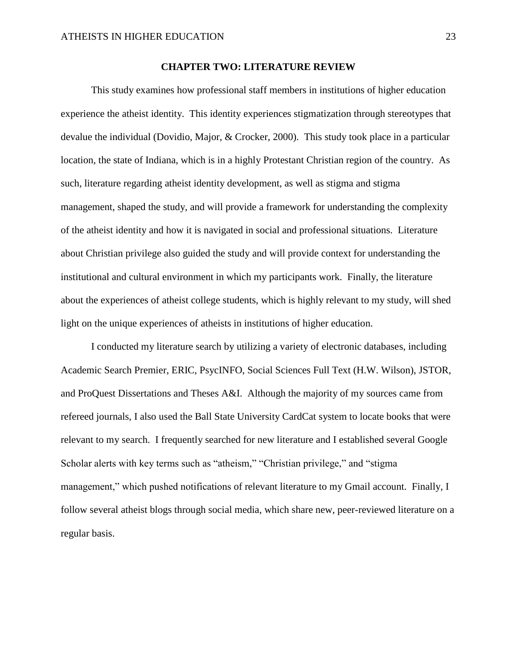#### **CHAPTER TWO: LITERATURE REVIEW**

<span id="page-22-0"></span>This study examines how professional staff members in institutions of higher education experience the atheist identity. This identity experiences stigmatization through stereotypes that devalue the individual (Dovidio, Major, & Crocker, 2000). This study took place in a particular location, the state of Indiana, which is in a highly Protestant Christian region of the country. As such, literature regarding atheist identity development, as well as stigma and stigma management, shaped the study, and will provide a framework for understanding the complexity of the atheist identity and how it is navigated in social and professional situations. Literature about Christian privilege also guided the study and will provide context for understanding the institutional and cultural environment in which my participants work. Finally, the literature about the experiences of atheist college students, which is highly relevant to my study, will shed light on the unique experiences of atheists in institutions of higher education.

I conducted my literature search by utilizing a variety of electronic databases, including Academic Search Premier, ERIC, PsycINFO, Social Sciences Full Text (H.W. Wilson), JSTOR, and ProQuest Dissertations and Theses A&I. Although the majority of my sources came from refereed journals, I also used the Ball State University CardCat system to locate books that were relevant to my search. I frequently searched for new literature and I established several Google Scholar alerts with key terms such as "atheism," "Christian privilege," and "stigma management," which pushed notifications of relevant literature to my Gmail account. Finally, I follow several atheist blogs through social media, which share new, peer-reviewed literature on a regular basis.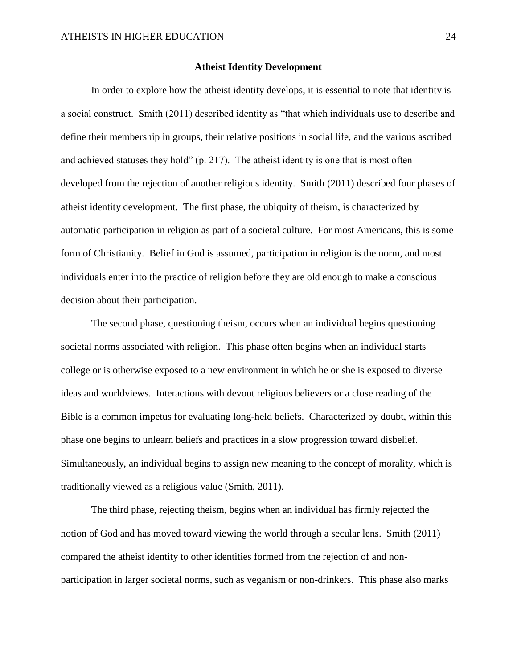#### **Atheist Identity Development**

<span id="page-23-0"></span>In order to explore how the atheist identity develops, it is essential to note that identity is a social construct. Smith (2011) described identity as "that which individuals use to describe and define their membership in groups, their relative positions in social life, and the various ascribed and achieved statuses they hold" (p. 217). The atheist identity is one that is most often developed from the rejection of another religious identity. Smith (2011) described four phases of atheist identity development. The first phase, the ubiquity of theism, is characterized by automatic participation in religion as part of a societal culture. For most Americans, this is some form of Christianity. Belief in God is assumed, participation in religion is the norm, and most individuals enter into the practice of religion before they are old enough to make a conscious decision about their participation.

The second phase, questioning theism, occurs when an individual begins questioning societal norms associated with religion. This phase often begins when an individual starts college or is otherwise exposed to a new environment in which he or she is exposed to diverse ideas and worldviews. Interactions with devout religious believers or a close reading of the Bible is a common impetus for evaluating long-held beliefs. Characterized by doubt, within this phase one begins to unlearn beliefs and practices in a slow progression toward disbelief. Simultaneously, an individual begins to assign new meaning to the concept of morality, which is traditionally viewed as a religious value (Smith, 2011).

The third phase, rejecting theism, begins when an individual has firmly rejected the notion of God and has moved toward viewing the world through a secular lens. Smith (2011) compared the atheist identity to other identities formed from the rejection of and nonparticipation in larger societal norms, such as veganism or non-drinkers. This phase also marks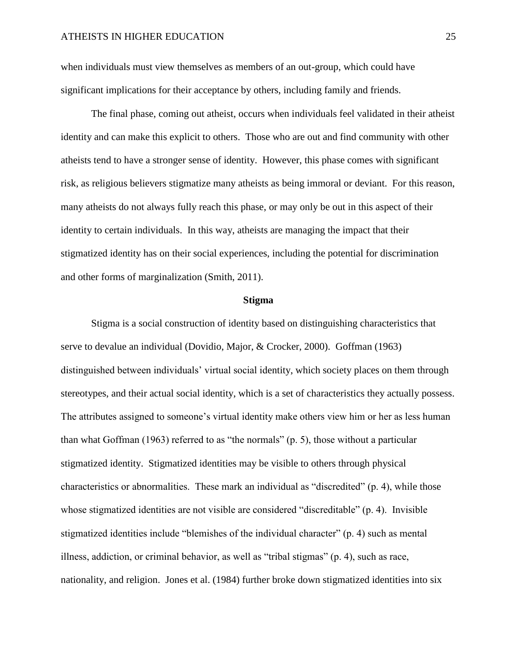when individuals must view themselves as members of an out-group, which could have significant implications for their acceptance by others, including family and friends.

The final phase, coming out atheist, occurs when individuals feel validated in their atheist identity and can make this explicit to others. Those who are out and find community with other atheists tend to have a stronger sense of identity. However, this phase comes with significant risk, as religious believers stigmatize many atheists as being immoral or deviant. For this reason, many atheists do not always fully reach this phase, or may only be out in this aspect of their identity to certain individuals. In this way, atheists are managing the impact that their stigmatized identity has on their social experiences, including the potential for discrimination and other forms of marginalization (Smith, 2011).

#### **Stigma**

<span id="page-24-0"></span>Stigma is a social construction of identity based on distinguishing characteristics that serve to devalue an individual (Dovidio, Major, & Crocker, 2000). Goffman (1963) distinguished between individuals' virtual social identity, which society places on them through stereotypes, and their actual social identity, which is a set of characteristics they actually possess. The attributes assigned to someone's virtual identity make others view him or her as less human than what Goffman  $(1963)$  referred to as "the normals" (p. 5), those without a particular stigmatized identity. Stigmatized identities may be visible to others through physical characteristics or abnormalities. These mark an individual as "discredited" (p. 4), while those whose stigmatized identities are not visible are considered "discreditable" (p. 4). Invisible stigmatized identities include "blemishes of the individual character" (p. 4) such as mental illness, addiction, or criminal behavior, as well as "tribal stigmas" (p. 4), such as race, nationality, and religion. Jones et al. (1984) further broke down stigmatized identities into six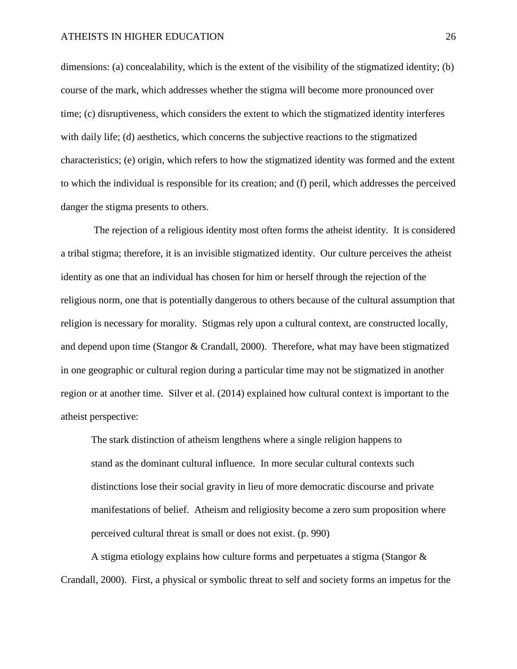dimensions: (a) concealability, which is the extent of the visibility of the stigmatized identity; (b) course of the mark, which addresses whether the stigma will become more pronounced over time; (c) disruptiveness, which considers the extent to which the stigmatized identity interferes with daily life; (d) aesthetics, which concerns the subjective reactions to the stigmatized characteristics; (e) origin, which refers to how the stigmatized identity was formed and the extent to which the individual is responsible for its creation; and (f) peril, which addresses the perceived danger the stigma presents to others.

The rejection of a religious identity most often forms the atheist identity. It is considered a tribal stigma; therefore, it is an invisible stigmatized identity. Our culture perceives the atheist identity as one that an individual has chosen for him or herself through the rejection of the religious norm, one that is potentially dangerous to others because of the cultural assumption that religion is necessary for morality. Stigmas rely upon a cultural context, are constructed locally, and depend upon time (Stangor & Crandall, 2000). Therefore, what may have been stigmatized in one geographic or cultural region during a particular time may not be stigmatized in another region or at another time. Silver et al. (2014) explained how cultural context is important to the atheist perspective:

The stark distinction of atheism lengthens where a single religion happens to stand as the dominant cultural influence. In more secular cultural contexts such distinctions lose their social gravity in lieu of more democratic discourse and private manifestations of belief. Atheism and religiosity become a zero sum proposition where perceived cultural threat is small or does not exist. (p. 990)

A stigma etiology explains how culture forms and perpetuates a stigma (Stangor & Crandall, 2000). First, a physical or symbolic threat to self and society forms an impetus for the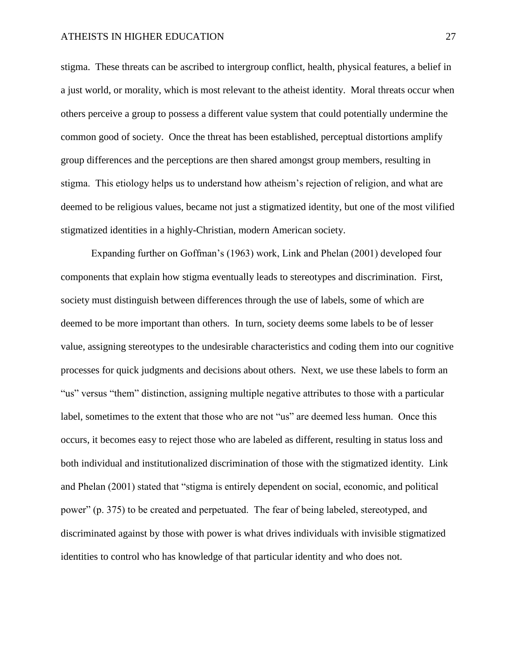stigma. These threats can be ascribed to intergroup conflict, health, physical features, a belief in a just world, or morality, which is most relevant to the atheist identity. Moral threats occur when others perceive a group to possess a different value system that could potentially undermine the common good of society. Once the threat has been established, perceptual distortions amplify group differences and the perceptions are then shared amongst group members, resulting in stigma. This etiology helps us to understand how atheism's rejection of religion, and what are deemed to be religious values, became not just a stigmatized identity, but one of the most vilified stigmatized identities in a highly-Christian, modern American society.

Expanding further on Goffman's (1963) work, Link and Phelan (2001) developed four components that explain how stigma eventually leads to stereotypes and discrimination. First, society must distinguish between differences through the use of labels, some of which are deemed to be more important than others. In turn, society deems some labels to be of lesser value, assigning stereotypes to the undesirable characteristics and coding them into our cognitive processes for quick judgments and decisions about others. Next, we use these labels to form an "us" versus "them" distinction, assigning multiple negative attributes to those with a particular label, sometimes to the extent that those who are not "us" are deemed less human. Once this occurs, it becomes easy to reject those who are labeled as different, resulting in status loss and both individual and institutionalized discrimination of those with the stigmatized identity. Link and Phelan (2001) stated that "stigma is entirely dependent on social, economic, and political power" (p. 375) to be created and perpetuated. The fear of being labeled, stereotyped, and discriminated against by those with power is what drives individuals with invisible stigmatized identities to control who has knowledge of that particular identity and who does not.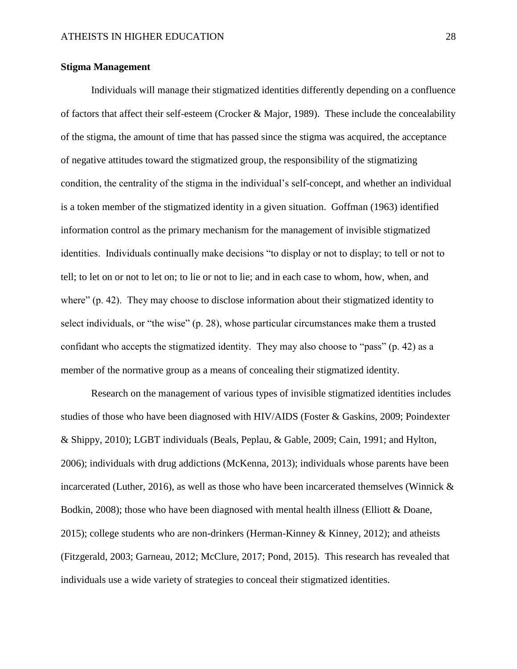#### <span id="page-27-0"></span>**Stigma Management**

Individuals will manage their stigmatized identities differently depending on a confluence of factors that affect their self-esteem (Crocker & Major, 1989). These include the concealability of the stigma, the amount of time that has passed since the stigma was acquired, the acceptance of negative attitudes toward the stigmatized group, the responsibility of the stigmatizing condition, the centrality of the stigma in the individual's self-concept, and whether an individual is a token member of the stigmatized identity in a given situation. Goffman (1963) identified information control as the primary mechanism for the management of invisible stigmatized identities. Individuals continually make decisions "to display or not to display; to tell or not to tell; to let on or not to let on; to lie or not to lie; and in each case to whom, how, when, and where" (p. 42). They may choose to disclose information about their stigmatized identity to select individuals, or "the wise" (p. 28), whose particular circumstances make them a trusted confidant who accepts the stigmatized identity. They may also choose to "pass" (p. 42) as a member of the normative group as a means of concealing their stigmatized identity.

Research on the management of various types of invisible stigmatized identities includes studies of those who have been diagnosed with HIV/AIDS (Foster & Gaskins, 2009; Poindexter & Shippy, 2010); LGBT individuals (Beals, Peplau, & Gable, 2009; Cain, 1991; and Hylton, 2006); individuals with drug addictions (McKenna, 2013); individuals whose parents have been incarcerated (Luther, 2016), as well as those who have been incarcerated themselves (Winnick  $\&$ Bodkin, 2008); those who have been diagnosed with mental health illness (Elliott & Doane, 2015); college students who are non-drinkers (Herman-Kinney & Kinney, 2012); and atheists (Fitzgerald, 2003; Garneau, 2012; McClure, 2017; Pond, 2015). This research has revealed that individuals use a wide variety of strategies to conceal their stigmatized identities.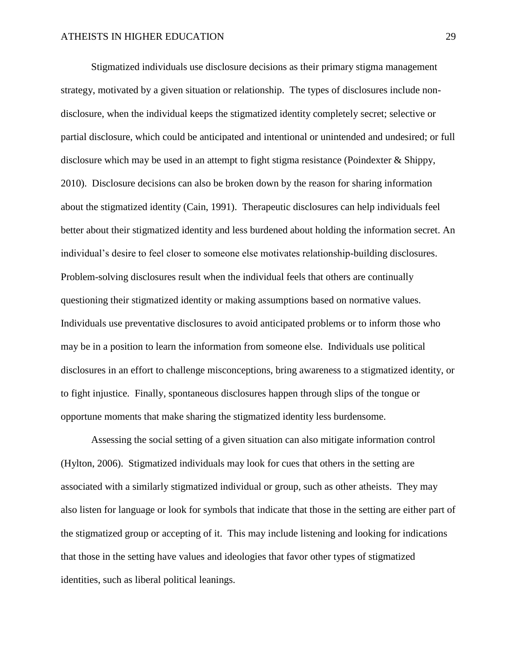Stigmatized individuals use disclosure decisions as their primary stigma management strategy, motivated by a given situation or relationship. The types of disclosures include nondisclosure, when the individual keeps the stigmatized identity completely secret; selective or partial disclosure, which could be anticipated and intentional or unintended and undesired; or full disclosure which may be used in an attempt to fight stigma resistance (Poindexter & Shippy, 2010). Disclosure decisions can also be broken down by the reason for sharing information about the stigmatized identity (Cain, 1991). Therapeutic disclosures can help individuals feel better about their stigmatized identity and less burdened about holding the information secret. An individual's desire to feel closer to someone else motivates relationship-building disclosures. Problem-solving disclosures result when the individual feels that others are continually questioning their stigmatized identity or making assumptions based on normative values. Individuals use preventative disclosures to avoid anticipated problems or to inform those who may be in a position to learn the information from someone else. Individuals use political disclosures in an effort to challenge misconceptions, bring awareness to a stigmatized identity, or to fight injustice. Finally, spontaneous disclosures happen through slips of the tongue or opportune moments that make sharing the stigmatized identity less burdensome.

Assessing the social setting of a given situation can also mitigate information control (Hylton, 2006). Stigmatized individuals may look for cues that others in the setting are associated with a similarly stigmatized individual or group, such as other atheists. They may also listen for language or look for symbols that indicate that those in the setting are either part of the stigmatized group or accepting of it. This may include listening and looking for indications that those in the setting have values and ideologies that favor other types of stigmatized identities, such as liberal political leanings.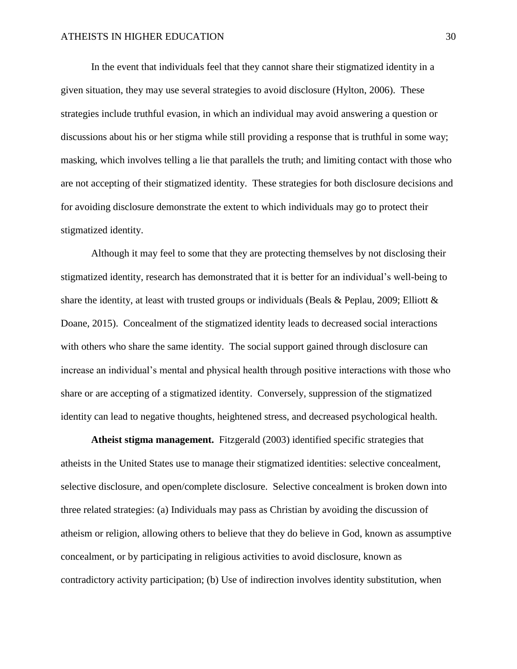In the event that individuals feel that they cannot share their stigmatized identity in a given situation, they may use several strategies to avoid disclosure (Hylton, 2006). These strategies include truthful evasion, in which an individual may avoid answering a question or discussions about his or her stigma while still providing a response that is truthful in some way; masking, which involves telling a lie that parallels the truth; and limiting contact with those who are not accepting of their stigmatized identity. These strategies for both disclosure decisions and for avoiding disclosure demonstrate the extent to which individuals may go to protect their stigmatized identity.

Although it may feel to some that they are protecting themselves by not disclosing their stigmatized identity, research has demonstrated that it is better for an individual's well-being to share the identity, at least with trusted groups or individuals (Beals & Peplau, 2009; Elliott  $\&$ Doane, 2015). Concealment of the stigmatized identity leads to decreased social interactions with others who share the same identity. The social support gained through disclosure can increase an individual's mental and physical health through positive interactions with those who share or are accepting of a stigmatized identity. Conversely, suppression of the stigmatized identity can lead to negative thoughts, heightened stress, and decreased psychological health.

**Atheist stigma management.** Fitzgerald (2003) identified specific strategies that atheists in the United States use to manage their stigmatized identities: selective concealment, selective disclosure, and open/complete disclosure. Selective concealment is broken down into three related strategies: (a) Individuals may pass as Christian by avoiding the discussion of atheism or religion, allowing others to believe that they do believe in God, known as assumptive concealment, or by participating in religious activities to avoid disclosure, known as contradictory activity participation; (b) Use of indirection involves identity substitution, when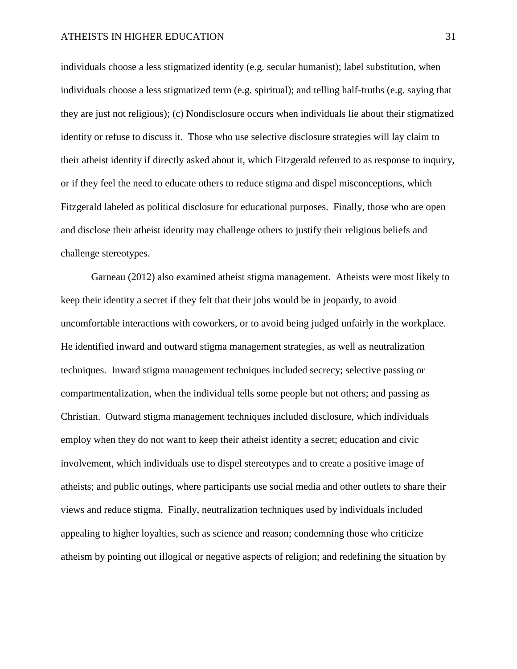individuals choose a less stigmatized identity (e.g. secular humanist); label substitution, when individuals choose a less stigmatized term (e.g. spiritual); and telling half-truths (e.g. saying that they are just not religious); (c) Nondisclosure occurs when individuals lie about their stigmatized identity or refuse to discuss it. Those who use selective disclosure strategies will lay claim to their atheist identity if directly asked about it, which Fitzgerald referred to as response to inquiry, or if they feel the need to educate others to reduce stigma and dispel misconceptions, which Fitzgerald labeled as political disclosure for educational purposes. Finally, those who are open and disclose their atheist identity may challenge others to justify their religious beliefs and challenge stereotypes.

Garneau (2012) also examined atheist stigma management. Atheists were most likely to keep their identity a secret if they felt that their jobs would be in jeopardy, to avoid uncomfortable interactions with coworkers, or to avoid being judged unfairly in the workplace. He identified inward and outward stigma management strategies, as well as neutralization techniques. Inward stigma management techniques included secrecy; selective passing or compartmentalization, when the individual tells some people but not others; and passing as Christian. Outward stigma management techniques included disclosure, which individuals employ when they do not want to keep their atheist identity a secret; education and civic involvement, which individuals use to dispel stereotypes and to create a positive image of atheists; and public outings, where participants use social media and other outlets to share their views and reduce stigma. Finally, neutralization techniques used by individuals included appealing to higher loyalties, such as science and reason; condemning those who criticize atheism by pointing out illogical or negative aspects of religion; and redefining the situation by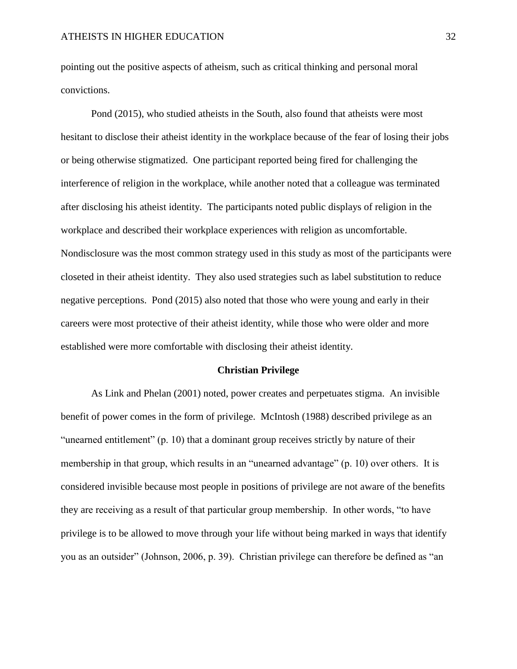pointing out the positive aspects of atheism, such as critical thinking and personal moral convictions.

Pond (2015), who studied atheists in the South, also found that atheists were most hesitant to disclose their atheist identity in the workplace because of the fear of losing their jobs or being otherwise stigmatized. One participant reported being fired for challenging the interference of religion in the workplace, while another noted that a colleague was terminated after disclosing his atheist identity. The participants noted public displays of religion in the workplace and described their workplace experiences with religion as uncomfortable. Nondisclosure was the most common strategy used in this study as most of the participants were closeted in their atheist identity. They also used strategies such as label substitution to reduce negative perceptions. Pond (2015) also noted that those who were young and early in their careers were most protective of their atheist identity, while those who were older and more established were more comfortable with disclosing their atheist identity.

#### **Christian Privilege**

<span id="page-31-0"></span>As Link and Phelan (2001) noted, power creates and perpetuates stigma. An invisible benefit of power comes in the form of privilege. McIntosh (1988) described privilege as an "unearned entitlement" (p. 10) that a dominant group receives strictly by nature of their membership in that group, which results in an "unearned advantage" (p. 10) over others. It is considered invisible because most people in positions of privilege are not aware of the benefits they are receiving as a result of that particular group membership. In other words, "to have privilege is to be allowed to move through your life without being marked in ways that identify you as an outsider" (Johnson, 2006, p. 39). Christian privilege can therefore be defined as "an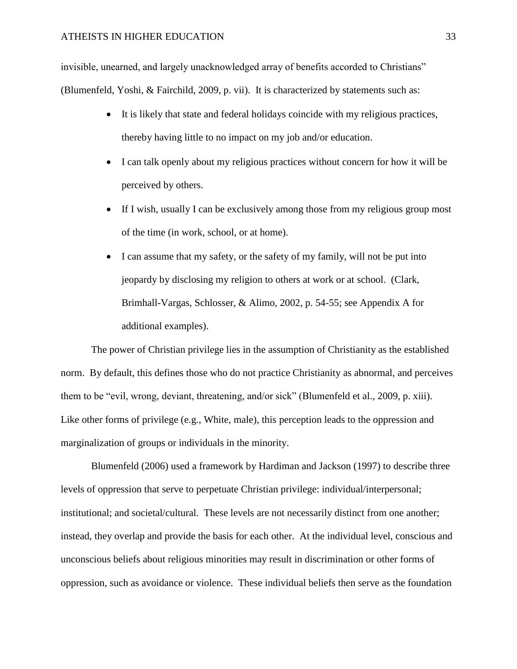invisible, unearned, and largely unacknowledged array of benefits accorded to Christians" (Blumenfeld, Yoshi, & Fairchild, 2009, p. vii). It is characterized by statements such as:

- It is likely that state and federal holidays coincide with my religious practices, thereby having little to no impact on my job and/or education.
- I can talk openly about my religious practices without concern for how it will be perceived by others.
- If I wish, usually I can be exclusively among those from my religious group most of the time (in work, school, or at home).
- I can assume that my safety, or the safety of my family, will not be put into jeopardy by disclosing my religion to others at work or at school. (Clark, Brimhall-Vargas, Schlosser, & Alimo, 2002, p. 54-55; see Appendix A for additional examples).

The power of Christian privilege lies in the assumption of Christianity as the established norm. By default, this defines those who do not practice Christianity as abnormal, and perceives them to be "evil, wrong, deviant, threatening, and/or sick" (Blumenfeld et al., 2009, p. xiii). Like other forms of privilege (e.g., White, male), this perception leads to the oppression and marginalization of groups or individuals in the minority.

Blumenfeld (2006) used a framework by Hardiman and Jackson (1997) to describe three levels of oppression that serve to perpetuate Christian privilege: individual/interpersonal; institutional; and societal/cultural. These levels are not necessarily distinct from one another; instead, they overlap and provide the basis for each other. At the individual level, conscious and unconscious beliefs about religious minorities may result in discrimination or other forms of oppression, such as avoidance or violence. These individual beliefs then serve as the foundation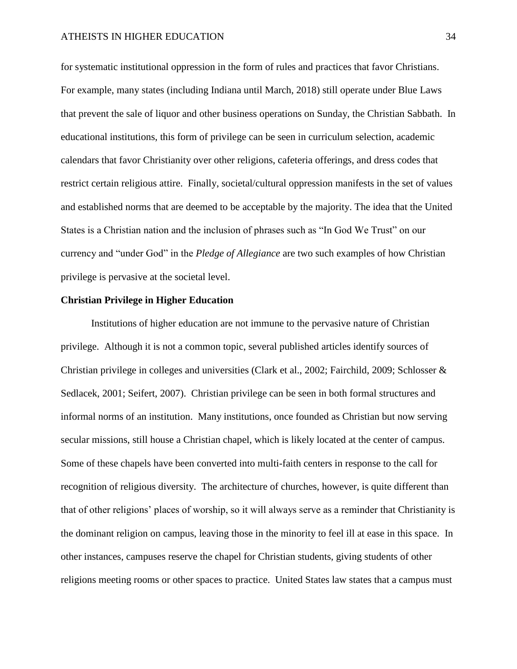for systematic institutional oppression in the form of rules and practices that favor Christians. For example, many states (including Indiana until March, 2018) still operate under Blue Laws that prevent the sale of liquor and other business operations on Sunday, the Christian Sabbath. In educational institutions, this form of privilege can be seen in curriculum selection, academic calendars that favor Christianity over other religions, cafeteria offerings, and dress codes that restrict certain religious attire. Finally, societal/cultural oppression manifests in the set of values and established norms that are deemed to be acceptable by the majority. The idea that the United States is a Christian nation and the inclusion of phrases such as "In God We Trust" on our currency and "under God" in the *Pledge of Allegiance* are two such examples of how Christian privilege is pervasive at the societal level.

#### <span id="page-33-0"></span>**Christian Privilege in Higher Education**

Institutions of higher education are not immune to the pervasive nature of Christian privilege. Although it is not a common topic, several published articles identify sources of Christian privilege in colleges and universities (Clark et al., 2002; Fairchild, 2009; Schlosser & Sedlacek, 2001; Seifert, 2007). Christian privilege can be seen in both formal structures and informal norms of an institution. Many institutions, once founded as Christian but now serving secular missions, still house a Christian chapel, which is likely located at the center of campus. Some of these chapels have been converted into multi-faith centers in response to the call for recognition of religious diversity. The architecture of churches, however, is quite different than that of other religions' places of worship, so it will always serve as a reminder that Christianity is the dominant religion on campus, leaving those in the minority to feel ill at ease in this space. In other instances, campuses reserve the chapel for Christian students, giving students of other religions meeting rooms or other spaces to practice. United States law states that a campus must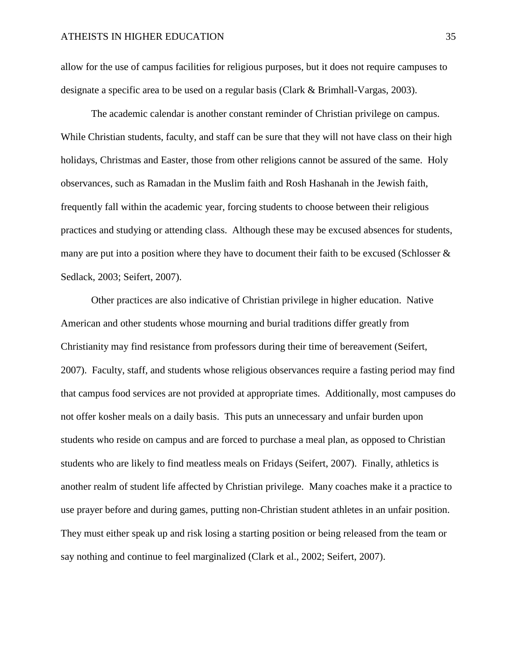allow for the use of campus facilities for religious purposes, but it does not require campuses to designate a specific area to be used on a regular basis (Clark & Brimhall-Vargas, 2003).

The academic calendar is another constant reminder of Christian privilege on campus. While Christian students, faculty, and staff can be sure that they will not have class on their high holidays, Christmas and Easter, those from other religions cannot be assured of the same. Holy observances, such as Ramadan in the Muslim faith and Rosh Hashanah in the Jewish faith, frequently fall within the academic year, forcing students to choose between their religious practices and studying or attending class. Although these may be excused absences for students, many are put into a position where they have to document their faith to be excused (Schlosser & Sedlack, 2003; Seifert, 2007).

Other practices are also indicative of Christian privilege in higher education. Native American and other students whose mourning and burial traditions differ greatly from Christianity may find resistance from professors during their time of bereavement (Seifert, 2007). Faculty, staff, and students whose religious observances require a fasting period may find that campus food services are not provided at appropriate times. Additionally, most campuses do not offer kosher meals on a daily basis. This puts an unnecessary and unfair burden upon students who reside on campus and are forced to purchase a meal plan, as opposed to Christian students who are likely to find meatless meals on Fridays (Seifert, 2007). Finally, athletics is another realm of student life affected by Christian privilege. Many coaches make it a practice to use prayer before and during games, putting non-Christian student athletes in an unfair position. They must either speak up and risk losing a starting position or being released from the team or say nothing and continue to feel marginalized (Clark et al., 2002; Seifert, 2007).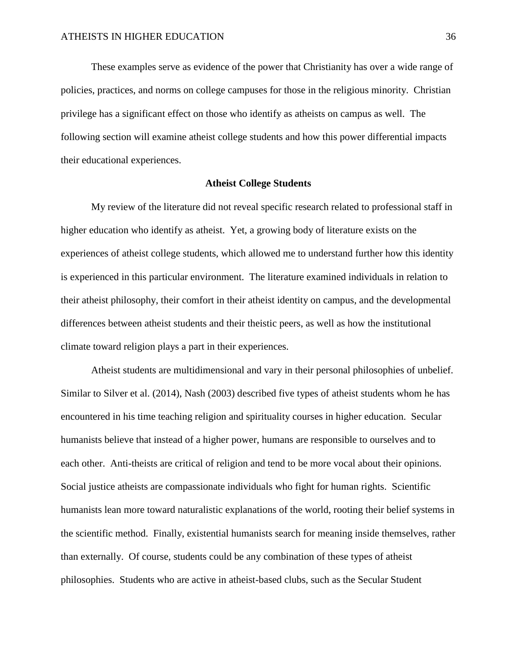These examples serve as evidence of the power that Christianity has over a wide range of policies, practices, and norms on college campuses for those in the religious minority. Christian privilege has a significant effect on those who identify as atheists on campus as well. The following section will examine atheist college students and how this power differential impacts their educational experiences.

#### **Atheist College Students**

<span id="page-35-0"></span>My review of the literature did not reveal specific research related to professional staff in higher education who identify as atheist. Yet, a growing body of literature exists on the experiences of atheist college students, which allowed me to understand further how this identity is experienced in this particular environment. The literature examined individuals in relation to their atheist philosophy, their comfort in their atheist identity on campus, and the developmental differences between atheist students and their theistic peers, as well as how the institutional climate toward religion plays a part in their experiences.

Atheist students are multidimensional and vary in their personal philosophies of unbelief. Similar to Silver et al. (2014), Nash (2003) described five types of atheist students whom he has encountered in his time teaching religion and spirituality courses in higher education. Secular humanists believe that instead of a higher power, humans are responsible to ourselves and to each other. Anti-theists are critical of religion and tend to be more vocal about their opinions. Social justice atheists are compassionate individuals who fight for human rights. Scientific humanists lean more toward naturalistic explanations of the world, rooting their belief systems in the scientific method. Finally, existential humanists search for meaning inside themselves, rather than externally. Of course, students could be any combination of these types of atheist philosophies. Students who are active in atheist-based clubs, such as the Secular Student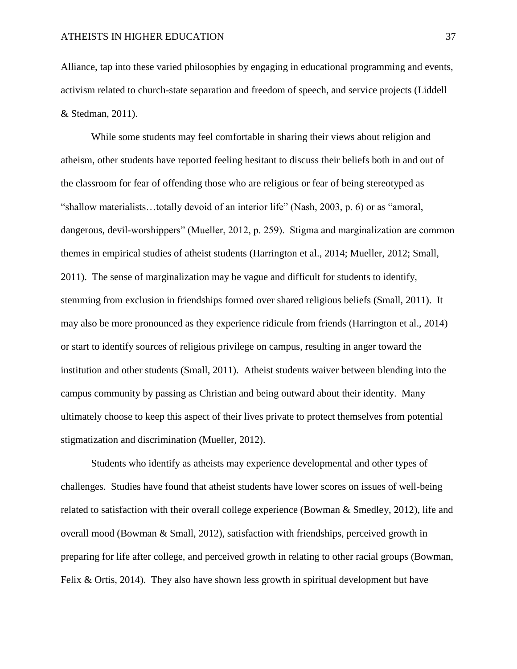Alliance, tap into these varied philosophies by engaging in educational programming and events, activism related to church-state separation and freedom of speech, and service projects (Liddell & Stedman, 2011).

While some students may feel comfortable in sharing their views about religion and atheism, other students have reported feeling hesitant to discuss their beliefs both in and out of the classroom for fear of offending those who are religious or fear of being stereotyped as "shallow materialists…totally devoid of an interior life" (Nash, 2003, p. 6) or as "amoral, dangerous, devil-worshippers" (Mueller, 2012, p. 259). Stigma and marginalization are common themes in empirical studies of atheist students (Harrington et al., 2014; Mueller, 2012; Small, 2011). The sense of marginalization may be vague and difficult for students to identify, stemming from exclusion in friendships formed over shared religious beliefs (Small, 2011). It may also be more pronounced as they experience ridicule from friends (Harrington et al., 2014) or start to identify sources of religious privilege on campus, resulting in anger toward the institution and other students (Small, 2011). Atheist students waiver between blending into the campus community by passing as Christian and being outward about their identity. Many ultimately choose to keep this aspect of their lives private to protect themselves from potential stigmatization and discrimination (Mueller, 2012).

Students who identify as atheists may experience developmental and other types of challenges. Studies have found that atheist students have lower scores on issues of well-being related to satisfaction with their overall college experience (Bowman & Smedley, 2012), life and overall mood (Bowman  $\&$  Small, 2012), satisfaction with friendships, perceived growth in preparing for life after college, and perceived growth in relating to other racial groups (Bowman, Felix & Ortis, 2014). They also have shown less growth in spiritual development but have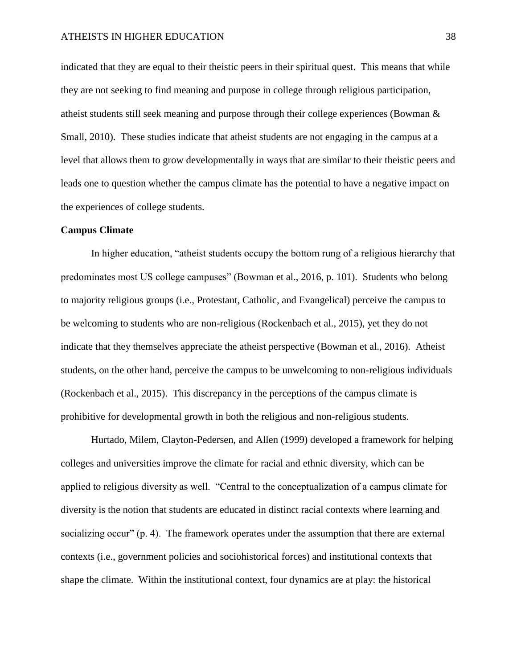indicated that they are equal to their theistic peers in their spiritual quest. This means that while they are not seeking to find meaning and purpose in college through religious participation, atheist students still seek meaning and purpose through their college experiences (Bowman & Small, 2010). These studies indicate that atheist students are not engaging in the campus at a level that allows them to grow developmentally in ways that are similar to their theistic peers and leads one to question whether the campus climate has the potential to have a negative impact on the experiences of college students.

# **Campus Climate**

In higher education, "atheist students occupy the bottom rung of a religious hierarchy that predominates most US college campuses" (Bowman et al., 2016, p. 101). Students who belong to majority religious groups (i.e., Protestant, Catholic, and Evangelical) perceive the campus to be welcoming to students who are non-religious (Rockenbach et al., 2015), yet they do not indicate that they themselves appreciate the atheist perspective (Bowman et al., 2016). Atheist students, on the other hand, perceive the campus to be unwelcoming to non-religious individuals (Rockenbach et al., 2015). This discrepancy in the perceptions of the campus climate is prohibitive for developmental growth in both the religious and non-religious students.

Hurtado, Milem, Clayton-Pedersen, and Allen (1999) developed a framework for helping colleges and universities improve the climate for racial and ethnic diversity, which can be applied to religious diversity as well. "Central to the conceptualization of a campus climate for diversity is the notion that students are educated in distinct racial contexts where learning and socializing occur" (p. 4). The framework operates under the assumption that there are external contexts (i.e., government policies and sociohistorical forces) and institutional contexts that shape the climate. Within the institutional context, four dynamics are at play: the historical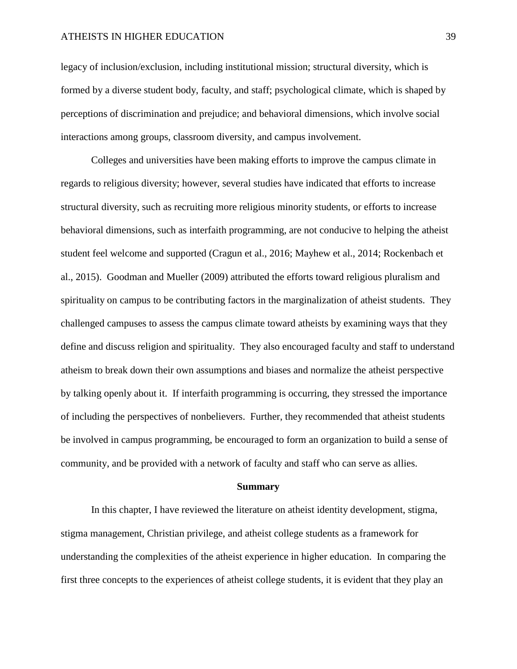legacy of inclusion/exclusion, including institutional mission; structural diversity, which is formed by a diverse student body, faculty, and staff; psychological climate, which is shaped by perceptions of discrimination and prejudice; and behavioral dimensions, which involve social interactions among groups, classroom diversity, and campus involvement.

Colleges and universities have been making efforts to improve the campus climate in regards to religious diversity; however, several studies have indicated that efforts to increase structural diversity, such as recruiting more religious minority students, or efforts to increase behavioral dimensions, such as interfaith programming, are not conducive to helping the atheist student feel welcome and supported (Cragun et al., 2016; Mayhew et al., 2014; Rockenbach et al., 2015). Goodman and Mueller (2009) attributed the efforts toward religious pluralism and spirituality on campus to be contributing factors in the marginalization of atheist students. They challenged campuses to assess the campus climate toward atheists by examining ways that they define and discuss religion and spirituality. They also encouraged faculty and staff to understand atheism to break down their own assumptions and biases and normalize the atheist perspective by talking openly about it. If interfaith programming is occurring, they stressed the importance of including the perspectives of nonbelievers. Further, they recommended that atheist students be involved in campus programming, be encouraged to form an organization to build a sense of community, and be provided with a network of faculty and staff who can serve as allies.

#### **Summary**

In this chapter, I have reviewed the literature on atheist identity development, stigma, stigma management, Christian privilege, and atheist college students as a framework for understanding the complexities of the atheist experience in higher education. In comparing the first three concepts to the experiences of atheist college students, it is evident that they play an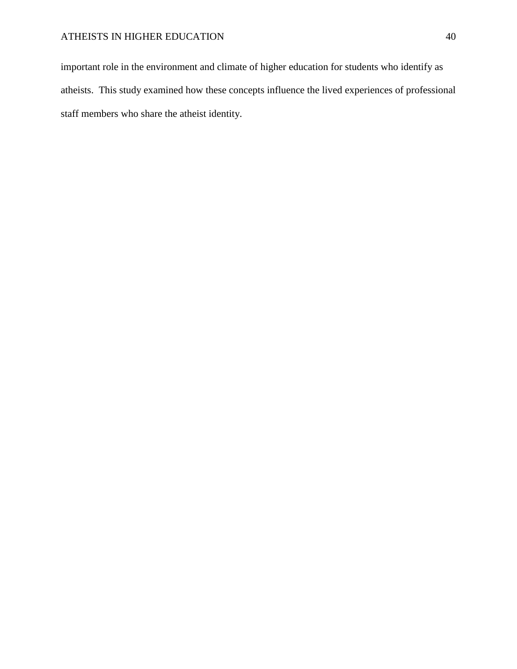important role in the environment and climate of higher education for students who identify as atheists. This study examined how these concepts influence the lived experiences of professional staff members who share the atheist identity.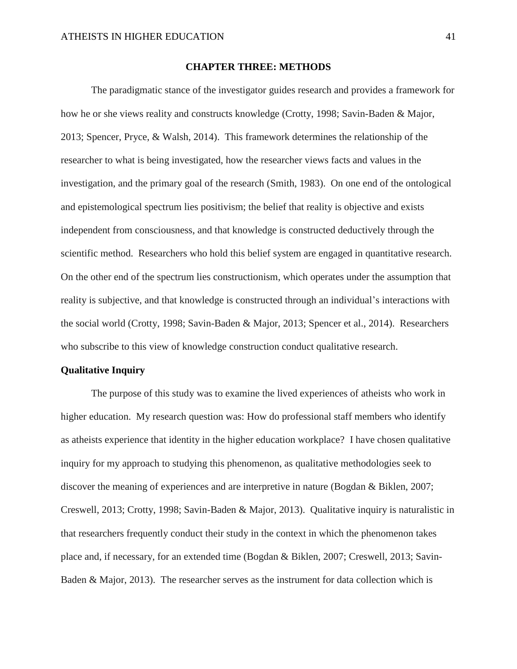### **CHAPTER THREE: METHODS**

The paradigmatic stance of the investigator guides research and provides a framework for how he or she views reality and constructs knowledge (Crotty, 1998; Savin-Baden & Major, 2013; Spencer, Pryce, & Walsh, 2014). This framework determines the relationship of the researcher to what is being investigated, how the researcher views facts and values in the investigation, and the primary goal of the research (Smith, 1983). On one end of the ontological and epistemological spectrum lies positivism; the belief that reality is objective and exists independent from consciousness, and that knowledge is constructed deductively through the scientific method. Researchers who hold this belief system are engaged in quantitative research. On the other end of the spectrum lies constructionism, which operates under the assumption that reality is subjective, and that knowledge is constructed through an individual's interactions with the social world (Crotty, 1998; Savin-Baden & Major, 2013; Spencer et al., 2014). Researchers who subscribe to this view of knowledge construction conduct qualitative research.

#### **Qualitative Inquiry**

The purpose of this study was to examine the lived experiences of atheists who work in higher education. My research question was: How do professional staff members who identify as atheists experience that identity in the higher education workplace? I have chosen qualitative inquiry for my approach to studying this phenomenon, as qualitative methodologies seek to discover the meaning of experiences and are interpretive in nature (Bogdan & Biklen, 2007; Creswell, 2013; Crotty, 1998; Savin-Baden & Major, 2013). Qualitative inquiry is naturalistic in that researchers frequently conduct their study in the context in which the phenomenon takes place and, if necessary, for an extended time (Bogdan & Biklen, 2007; Creswell, 2013; Savin-Baden & Major, 2013). The researcher serves as the instrument for data collection which is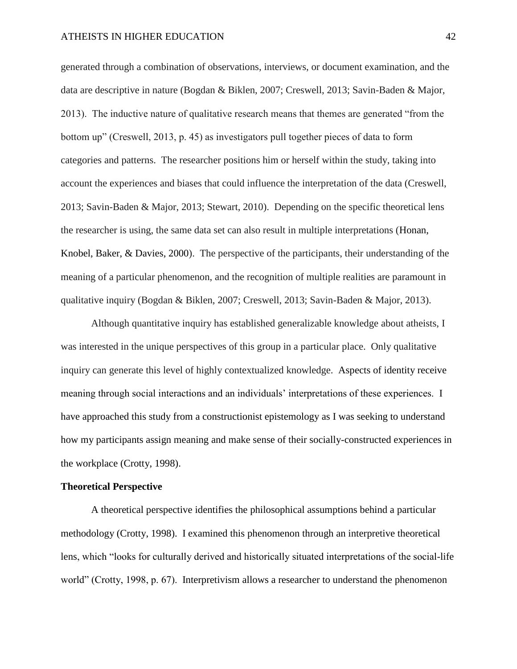generated through a combination of observations, interviews, or document examination, and the data are descriptive in nature (Bogdan & Biklen, 2007; Creswell, 2013; Savin-Baden & Major, 2013). The inductive nature of qualitative research means that themes are generated "from the bottom up" (Creswell, 2013, p. 45) as investigators pull together pieces of data to form categories and patterns. The researcher positions him or herself within the study, taking into account the experiences and biases that could influence the interpretation of the data (Creswell, 2013; Savin-Baden & Major, 2013; Stewart, 2010). Depending on the specific theoretical lens the researcher is using, the same data set can also result in multiple interpretations (Honan, Knobel, Baker, & Davies, 2000). The perspective of the participants, their understanding of the meaning of a particular phenomenon, and the recognition of multiple realities are paramount in qualitative inquiry (Bogdan & Biklen, 2007; Creswell, 2013; Savin-Baden & Major, 2013).

Although quantitative inquiry has established generalizable knowledge about atheists, I was interested in the unique perspectives of this group in a particular place. Only qualitative inquiry can generate this level of highly contextualized knowledge. Aspects of identity receive meaning through social interactions and an individuals' interpretations of these experiences. I have approached this study from a constructionist epistemology as I was seeking to understand how my participants assign meaning and make sense of their socially-constructed experiences in the workplace (Crotty, 1998).

#### **Theoretical Perspective**

A theoretical perspective identifies the philosophical assumptions behind a particular methodology (Crotty, 1998). I examined this phenomenon through an interpretive theoretical lens, which "looks for culturally derived and historically situated interpretations of the social-life world" (Crotty, 1998, p. 67). Interpretivism allows a researcher to understand the phenomenon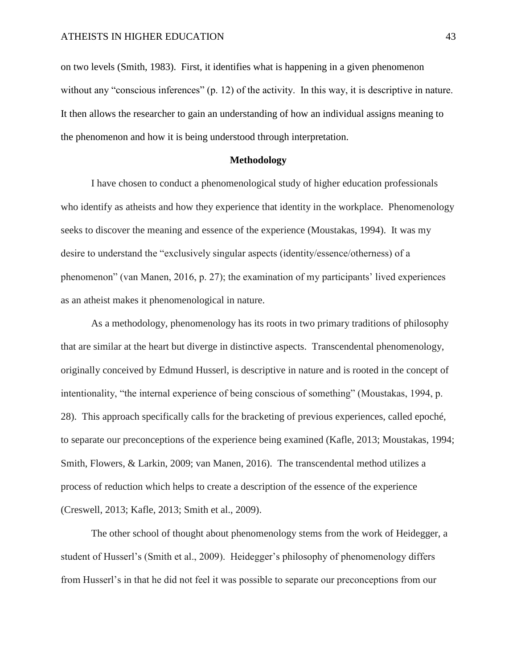on two levels (Smith, 1983). First, it identifies what is happening in a given phenomenon without any "conscious inferences" (p. 12) of the activity. In this way, it is descriptive in nature. It then allows the researcher to gain an understanding of how an individual assigns meaning to the phenomenon and how it is being understood through interpretation.

# **Methodology**

I have chosen to conduct a phenomenological study of higher education professionals who identify as atheists and how they experience that identity in the workplace. Phenomenology seeks to discover the meaning and essence of the experience (Moustakas, 1994). It was my desire to understand the "exclusively singular aspects (identity/essence/otherness) of a phenomenon" (van Manen, 2016, p. 27); the examination of my participants' lived experiences as an atheist makes it phenomenological in nature.

As a methodology, phenomenology has its roots in two primary traditions of philosophy that are similar at the heart but diverge in distinctive aspects. Transcendental phenomenology, originally conceived by Edmund Husserl, is descriptive in nature and is rooted in the concept of intentionality, "the internal experience of being conscious of something" (Moustakas, 1994, p. 28). This approach specifically calls for the bracketing of previous experiences, called epoché, to separate our preconceptions of the experience being examined (Kafle, 2013; Moustakas, 1994; Smith, Flowers, & Larkin, 2009; van Manen, 2016). The transcendental method utilizes a process of reduction which helps to create a description of the essence of the experience (Creswell, 2013; Kafle, 2013; Smith et al., 2009).

The other school of thought about phenomenology stems from the work of Heidegger, a student of Husserl's (Smith et al., 2009). Heidegger's philosophy of phenomenology differs from Husserl's in that he did not feel it was possible to separate our preconceptions from our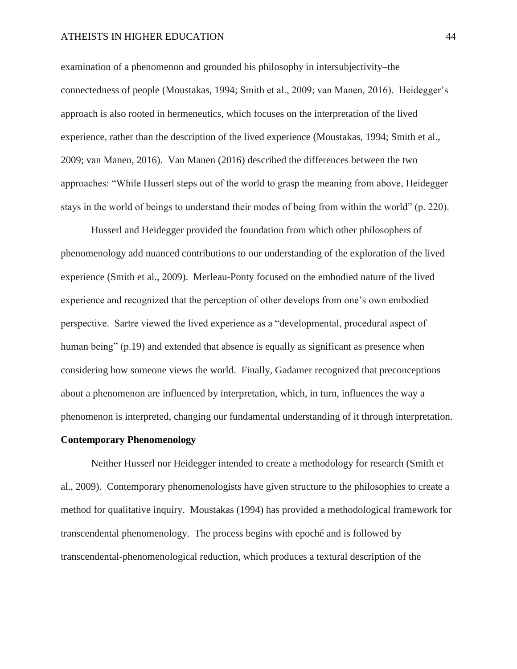examination of a phenomenon and grounded his philosophy in intersubjectivity–the connectedness of people (Moustakas, 1994; Smith et al., 2009; van Manen, 2016). Heidegger's approach is also rooted in hermeneutics, which focuses on the interpretation of the lived experience, rather than the description of the lived experience (Moustakas, 1994; Smith et al., 2009; van Manen, 2016). Van Manen (2016) described the differences between the two approaches: "While Husserl steps out of the world to grasp the meaning from above, Heidegger stays in the world of beings to understand their modes of being from within the world" (p. 220).

Husserl and Heidegger provided the foundation from which other philosophers of phenomenology add nuanced contributions to our understanding of the exploration of the lived experience (Smith et al., 2009). Merleau-Ponty focused on the embodied nature of the lived experience and recognized that the perception of other develops from one's own embodied perspective. Sartre viewed the lived experience as a "developmental, procedural aspect of human being" (p.19) and extended that absence is equally as significant as presence when considering how someone views the world. Finally, Gadamer recognized that preconceptions about a phenomenon are influenced by interpretation, which, in turn, influences the way a phenomenon is interpreted, changing our fundamental understanding of it through interpretation.

### **Contemporary Phenomenology**

Neither Husserl nor Heidegger intended to create a methodology for research (Smith et al., 2009). Contemporary phenomenologists have given structure to the philosophies to create a method for qualitative inquiry. Moustakas (1994) has provided a methodological framework for transcendental phenomenology. The process begins with epoché and is followed by transcendental-phenomenological reduction, which produces a textural description of the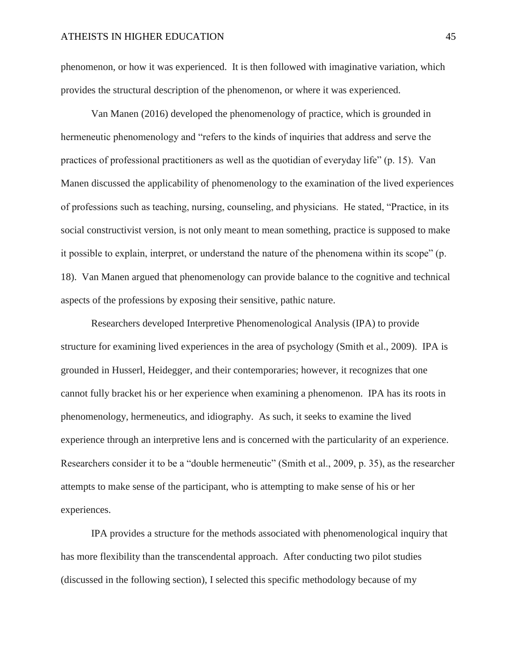phenomenon, or how it was experienced. It is then followed with imaginative variation, which provides the structural description of the phenomenon, or where it was experienced.

Van Manen (2016) developed the phenomenology of practice, which is grounded in hermeneutic phenomenology and "refers to the kinds of inquiries that address and serve the practices of professional practitioners as well as the quotidian of everyday life" (p. 15). Van Manen discussed the applicability of phenomenology to the examination of the lived experiences of professions such as teaching, nursing, counseling, and physicians. He stated, "Practice, in its social constructivist version, is not only meant to mean something, practice is supposed to make it possible to explain, interpret, or understand the nature of the phenomena within its scope" (p. 18). Van Manen argued that phenomenology can provide balance to the cognitive and technical aspects of the professions by exposing their sensitive, pathic nature.

Researchers developed Interpretive Phenomenological Analysis (IPA) to provide structure for examining lived experiences in the area of psychology (Smith et al., 2009). IPA is grounded in Husserl, Heidegger, and their contemporaries; however, it recognizes that one cannot fully bracket his or her experience when examining a phenomenon. IPA has its roots in phenomenology, hermeneutics, and idiography. As such, it seeks to examine the lived experience through an interpretive lens and is concerned with the particularity of an experience. Researchers consider it to be a "double hermeneutic" (Smith et al., 2009, p. 35), as the researcher attempts to make sense of the participant, who is attempting to make sense of his or her experiences.

IPA provides a structure for the methods associated with phenomenological inquiry that has more flexibility than the transcendental approach. After conducting two pilot studies (discussed in the following section), I selected this specific methodology because of my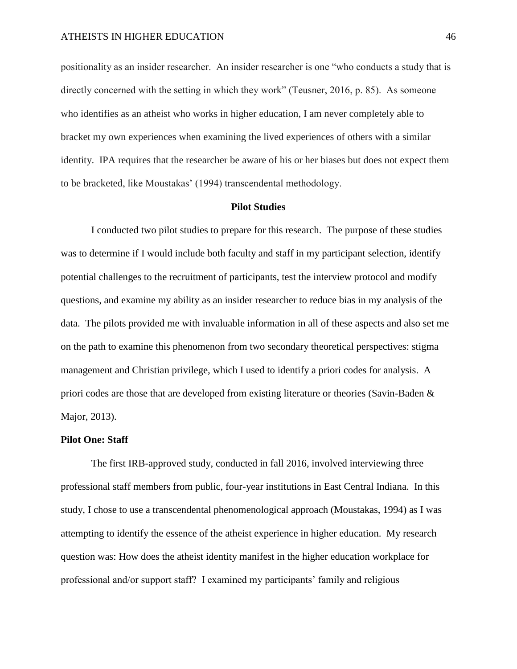positionality as an insider researcher. An insider researcher is one "who conducts a study that is directly concerned with the setting in which they work" (Teusner, 2016, p. 85). As someone who identifies as an atheist who works in higher education, I am never completely able to bracket my own experiences when examining the lived experiences of others with a similar identity. IPA requires that the researcher be aware of his or her biases but does not expect them to be bracketed, like Moustakas' (1994) transcendental methodology.

### **Pilot Studies**

I conducted two pilot studies to prepare for this research. The purpose of these studies was to determine if I would include both faculty and staff in my participant selection, identify potential challenges to the recruitment of participants, test the interview protocol and modify questions, and examine my ability as an insider researcher to reduce bias in my analysis of the data. The pilots provided me with invaluable information in all of these aspects and also set me on the path to examine this phenomenon from two secondary theoretical perspectives: stigma management and Christian privilege, which I used to identify a priori codes for analysis. A priori codes are those that are developed from existing literature or theories (Savin-Baden & Major, 2013).

#### **Pilot One: Staff**

The first IRB-approved study, conducted in fall 2016, involved interviewing three professional staff members from public, four-year institutions in East Central Indiana. In this study, I chose to use a transcendental phenomenological approach (Moustakas, 1994) as I was attempting to identify the essence of the atheist experience in higher education. My research question was: How does the atheist identity manifest in the higher education workplace for professional and/or support staff? I examined my participants' family and religious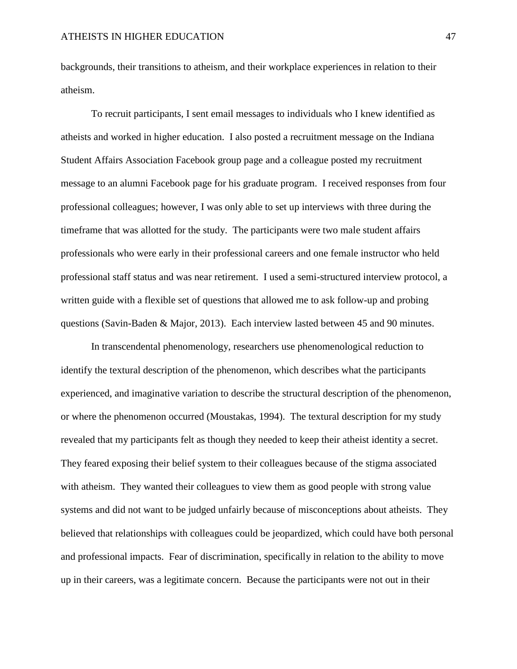backgrounds, their transitions to atheism, and their workplace experiences in relation to their atheism.

To recruit participants, I sent email messages to individuals who I knew identified as atheists and worked in higher education. I also posted a recruitment message on the Indiana Student Affairs Association Facebook group page and a colleague posted my recruitment message to an alumni Facebook page for his graduate program. I received responses from four professional colleagues; however, I was only able to set up interviews with three during the timeframe that was allotted for the study. The participants were two male student affairs professionals who were early in their professional careers and one female instructor who held professional staff status and was near retirement. I used a semi-structured interview protocol, a written guide with a flexible set of questions that allowed me to ask follow-up and probing questions (Savin-Baden & Major, 2013). Each interview lasted between 45 and 90 minutes.

In transcendental phenomenology, researchers use phenomenological reduction to identify the textural description of the phenomenon, which describes what the participants experienced, and imaginative variation to describe the structural description of the phenomenon, or where the phenomenon occurred (Moustakas, 1994). The textural description for my study revealed that my participants felt as though they needed to keep their atheist identity a secret. They feared exposing their belief system to their colleagues because of the stigma associated with atheism. They wanted their colleagues to view them as good people with strong value systems and did not want to be judged unfairly because of misconceptions about atheists. They believed that relationships with colleagues could be jeopardized, which could have both personal and professional impacts. Fear of discrimination, specifically in relation to the ability to move up in their careers, was a legitimate concern. Because the participants were not out in their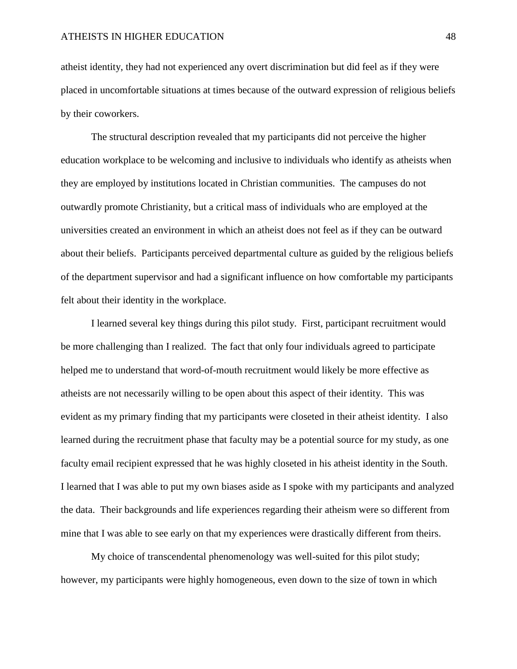atheist identity, they had not experienced any overt discrimination but did feel as if they were placed in uncomfortable situations at times because of the outward expression of religious beliefs by their coworkers.

The structural description revealed that my participants did not perceive the higher education workplace to be welcoming and inclusive to individuals who identify as atheists when they are employed by institutions located in Christian communities. The campuses do not outwardly promote Christianity, but a critical mass of individuals who are employed at the universities created an environment in which an atheist does not feel as if they can be outward about their beliefs. Participants perceived departmental culture as guided by the religious beliefs of the department supervisor and had a significant influence on how comfortable my participants felt about their identity in the workplace.

I learned several key things during this pilot study. First, participant recruitment would be more challenging than I realized. The fact that only four individuals agreed to participate helped me to understand that word-of-mouth recruitment would likely be more effective as atheists are not necessarily willing to be open about this aspect of their identity. This was evident as my primary finding that my participants were closeted in their atheist identity. I also learned during the recruitment phase that faculty may be a potential source for my study, as one faculty email recipient expressed that he was highly closeted in his atheist identity in the South. I learned that I was able to put my own biases aside as I spoke with my participants and analyzed the data. Their backgrounds and life experiences regarding their atheism were so different from mine that I was able to see early on that my experiences were drastically different from theirs.

My choice of transcendental phenomenology was well-suited for this pilot study; however, my participants were highly homogeneous, even down to the size of town in which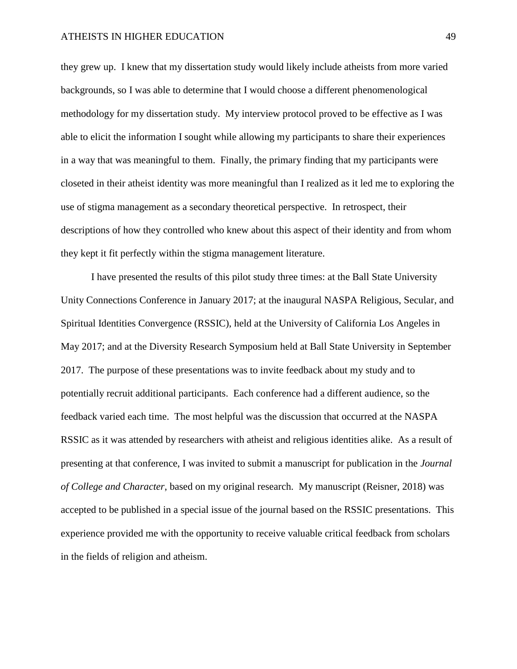they grew up. I knew that my dissertation study would likely include atheists from more varied backgrounds, so I was able to determine that I would choose a different phenomenological methodology for my dissertation study. My interview protocol proved to be effective as I was able to elicit the information I sought while allowing my participants to share their experiences in a way that was meaningful to them. Finally, the primary finding that my participants were closeted in their atheist identity was more meaningful than I realized as it led me to exploring the use of stigma management as a secondary theoretical perspective. In retrospect, their descriptions of how they controlled who knew about this aspect of their identity and from whom they kept it fit perfectly within the stigma management literature.

I have presented the results of this pilot study three times: at the Ball State University Unity Connections Conference in January 2017; at the inaugural NASPA Religious, Secular, and Spiritual Identities Convergence (RSSIC), held at the University of California Los Angeles in May 2017; and at the Diversity Research Symposium held at Ball State University in September 2017. The purpose of these presentations was to invite feedback about my study and to potentially recruit additional participants. Each conference had a different audience, so the feedback varied each time. The most helpful was the discussion that occurred at the NASPA RSSIC as it was attended by researchers with atheist and religious identities alike. As a result of presenting at that conference, I was invited to submit a manuscript for publication in the *Journal of College and Character*, based on my original research. My manuscript (Reisner, 2018) was accepted to be published in a special issue of the journal based on the RSSIC presentations. This experience provided me with the opportunity to receive valuable critical feedback from scholars in the fields of religion and atheism.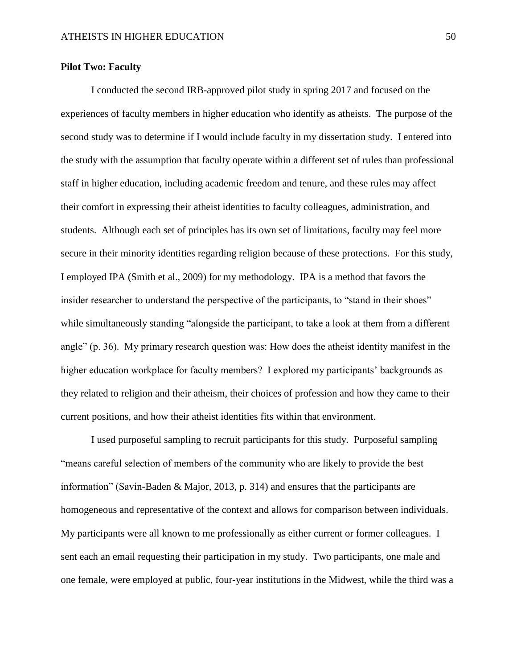# **Pilot Two: Faculty**

I conducted the second IRB-approved pilot study in spring 2017 and focused on the experiences of faculty members in higher education who identify as atheists. The purpose of the second study was to determine if I would include faculty in my dissertation study. I entered into the study with the assumption that faculty operate within a different set of rules than professional staff in higher education, including academic freedom and tenure, and these rules may affect their comfort in expressing their atheist identities to faculty colleagues, administration, and students. Although each set of principles has its own set of limitations, faculty may feel more secure in their minority identities regarding religion because of these protections. For this study, I employed IPA (Smith et al., 2009) for my methodology. IPA is a method that favors the insider researcher to understand the perspective of the participants, to "stand in their shoes" while simultaneously standing "alongside the participant, to take a look at them from a different angle" (p. 36). My primary research question was: How does the atheist identity manifest in the higher education workplace for faculty members? I explored my participants' backgrounds as they related to religion and their atheism, their choices of profession and how they came to their current positions, and how their atheist identities fits within that environment.

I used purposeful sampling to recruit participants for this study. Purposeful sampling "means careful selection of members of the community who are likely to provide the best information" (Savin-Baden & Major, 2013, p. 314) and ensures that the participants are homogeneous and representative of the context and allows for comparison between individuals. My participants were all known to me professionally as either current or former colleagues. I sent each an email requesting their participation in my study. Two participants, one male and one female, were employed at public, four-year institutions in the Midwest, while the third was a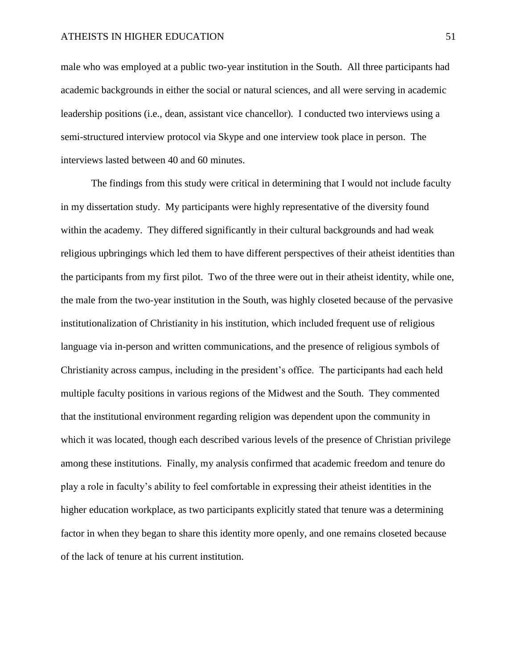male who was employed at a public two-year institution in the South. All three participants had academic backgrounds in either the social or natural sciences, and all were serving in academic leadership positions (i.e., dean, assistant vice chancellor). I conducted two interviews using a semi-structured interview protocol via Skype and one interview took place in person. The interviews lasted between 40 and 60 minutes.

The findings from this study were critical in determining that I would not include faculty in my dissertation study. My participants were highly representative of the diversity found within the academy. They differed significantly in their cultural backgrounds and had weak religious upbringings which led them to have different perspectives of their atheist identities than the participants from my first pilot. Two of the three were out in their atheist identity, while one, the male from the two-year institution in the South, was highly closeted because of the pervasive institutionalization of Christianity in his institution, which included frequent use of religious language via in-person and written communications, and the presence of religious symbols of Christianity across campus, including in the president's office. The participants had each held multiple faculty positions in various regions of the Midwest and the South. They commented that the institutional environment regarding religion was dependent upon the community in which it was located, though each described various levels of the presence of Christian privilege among these institutions. Finally, my analysis confirmed that academic freedom and tenure do play a role in faculty's ability to feel comfortable in expressing their atheist identities in the higher education workplace, as two participants explicitly stated that tenure was a determining factor in when they began to share this identity more openly, and one remains closeted because of the lack of tenure at his current institution.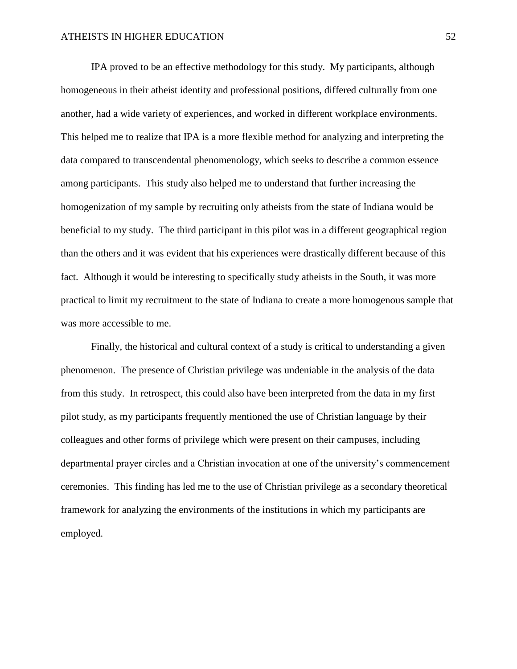IPA proved to be an effective methodology for this study. My participants, although homogeneous in their atheist identity and professional positions, differed culturally from one another, had a wide variety of experiences, and worked in different workplace environments. This helped me to realize that IPA is a more flexible method for analyzing and interpreting the data compared to transcendental phenomenology, which seeks to describe a common essence among participants. This study also helped me to understand that further increasing the homogenization of my sample by recruiting only atheists from the state of Indiana would be beneficial to my study. The third participant in this pilot was in a different geographical region than the others and it was evident that his experiences were drastically different because of this fact. Although it would be interesting to specifically study atheists in the South, it was more practical to limit my recruitment to the state of Indiana to create a more homogenous sample that was more accessible to me.

Finally, the historical and cultural context of a study is critical to understanding a given phenomenon. The presence of Christian privilege was undeniable in the analysis of the data from this study. In retrospect, this could also have been interpreted from the data in my first pilot study, as my participants frequently mentioned the use of Christian language by their colleagues and other forms of privilege which were present on their campuses, including departmental prayer circles and a Christian invocation at one of the university's commencement ceremonies. This finding has led me to the use of Christian privilege as a secondary theoretical framework for analyzing the environments of the institutions in which my participants are employed.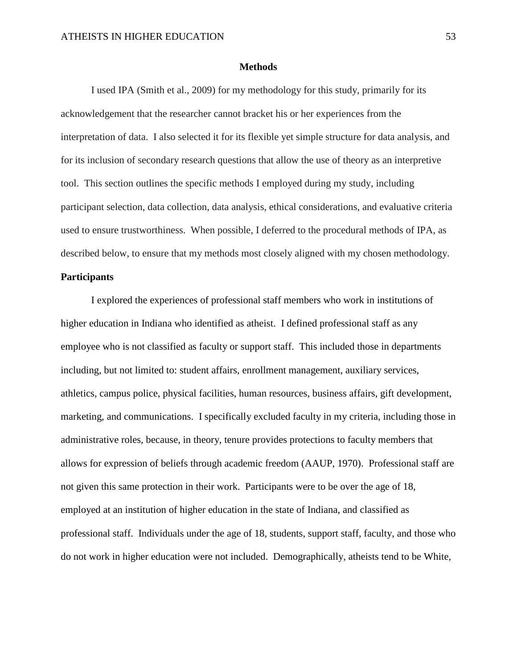### **Methods**

I used IPA (Smith et al., 2009) for my methodology for this study, primarily for its acknowledgement that the researcher cannot bracket his or her experiences from the interpretation of data. I also selected it for its flexible yet simple structure for data analysis, and for its inclusion of secondary research questions that allow the use of theory as an interpretive tool. This section outlines the specific methods I employed during my study, including participant selection, data collection, data analysis, ethical considerations, and evaluative criteria used to ensure trustworthiness. When possible, I deferred to the procedural methods of IPA, as described below, to ensure that my methods most closely aligned with my chosen methodology.

# **Participants**

I explored the experiences of professional staff members who work in institutions of higher education in Indiana who identified as atheist. I defined professional staff as any employee who is not classified as faculty or support staff. This included those in departments including, but not limited to: student affairs, enrollment management, auxiliary services, athletics, campus police, physical facilities, human resources, business affairs, gift development, marketing, and communications. I specifically excluded faculty in my criteria, including those in administrative roles, because, in theory, tenure provides protections to faculty members that allows for expression of beliefs through academic freedom (AAUP, 1970). Professional staff are not given this same protection in their work. Participants were to be over the age of 18, employed at an institution of higher education in the state of Indiana, and classified as professional staff. Individuals under the age of 18, students, support staff, faculty, and those who do not work in higher education were not included. Demographically, atheists tend to be White,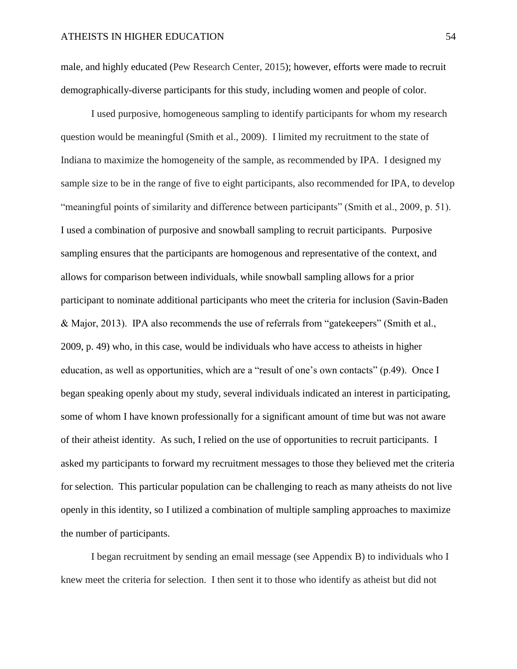male, and highly educated (Pew Research Center, 2015); however, efforts were made to recruit demographically-diverse participants for this study, including women and people of color.

I used purposive, homogeneous sampling to identify participants for whom my research question would be meaningful (Smith et al., 2009). I limited my recruitment to the state of Indiana to maximize the homogeneity of the sample, as recommended by IPA. I designed my sample size to be in the range of five to eight participants, also recommended for IPA, to develop "meaningful points of similarity and difference between participants" (Smith et al., 2009, p. 51). I used a combination of purposive and snowball sampling to recruit participants. Purposive sampling ensures that the participants are homogenous and representative of the context, and allows for comparison between individuals, while snowball sampling allows for a prior participant to nominate additional participants who meet the criteria for inclusion (Savin-Baden & Major, 2013). IPA also recommends the use of referrals from "gatekeepers" (Smith et al., 2009, p. 49) who, in this case, would be individuals who have access to atheists in higher education, as well as opportunities, which are a "result of one's own contacts" (p.49). Once I began speaking openly about my study, several individuals indicated an interest in participating, some of whom I have known professionally for a significant amount of time but was not aware of their atheist identity. As such, I relied on the use of opportunities to recruit participants. I asked my participants to forward my recruitment messages to those they believed met the criteria for selection. This particular population can be challenging to reach as many atheists do not live openly in this identity, so I utilized a combination of multiple sampling approaches to maximize the number of participants.

I began recruitment by sending an email message (see Appendix B) to individuals who I knew meet the criteria for selection. I then sent it to those who identify as atheist but did not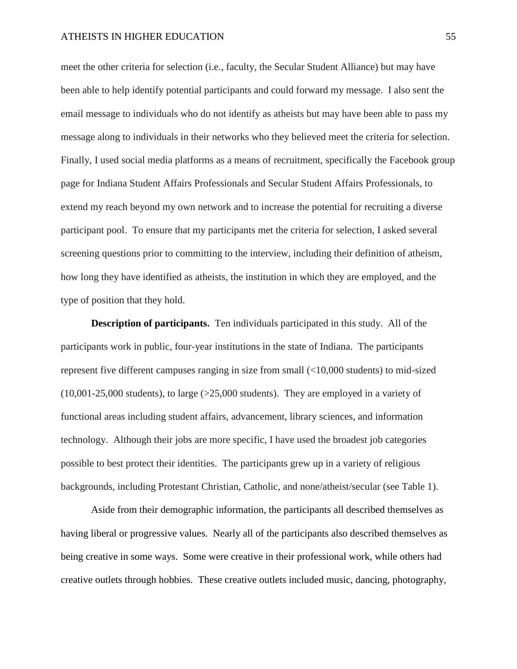meet the other criteria for selection (i.e., faculty, the Secular Student Alliance) but may have been able to help identify potential participants and could forward my message. I also sent the email message to individuals who do not identify as atheists but may have been able to pass my message along to individuals in their networks who they believed meet the criteria for selection. Finally, I used social media platforms as a means of recruitment, specifically the Facebook group page for Indiana Student Affairs Professionals and Secular Student Affairs Professionals, to extend my reach beyond my own network and to increase the potential for recruiting a diverse participant pool. To ensure that my participants met the criteria for selection, I asked several screening questions prior to committing to the interview, including their definition of atheism, how long they have identified as atheists, the institution in which they are employed, and the type of position that they hold.

**Description of participants.** Ten individuals participated in this study. All of the participants work in public, four-year institutions in the state of Indiana. The participants represent five different campuses ranging in size from small (<10,000 students) to mid-sized  $(10,001-25,000$  students), to large  $(>=25,000$  students). They are employed in a variety of functional areas including student affairs, advancement, library sciences, and information technology. Although their jobs are more specific, I have used the broadest job categories possible to best protect their identities. The participants grew up in a variety of religious backgrounds, including Protestant Christian, Catholic, and none/atheist/secular (see Table 1).

Aside from their demographic information, the participants all described themselves as having liberal or progressive values. Nearly all of the participants also described themselves as being creative in some ways. Some were creative in their professional work, while others had creative outlets through hobbies. These creative outlets included music, dancing, photography,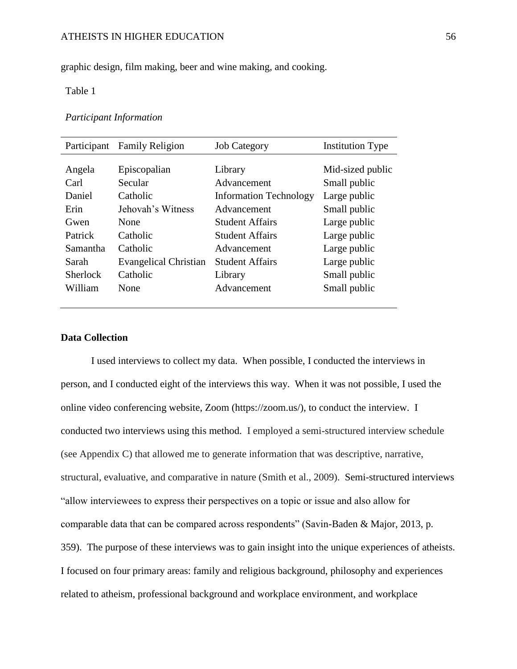graphic design, film making, beer and wine making, and cooking.

# Table 1

# *Participant Information*

| Participant     | <b>Family Religion</b>       | <b>Job Category</b>           | <b>Institution Type</b> |
|-----------------|------------------------------|-------------------------------|-------------------------|
|                 |                              |                               |                         |
| Angela          | Episcopalian                 | Library                       | Mid-sized public        |
| Carl            | Secular                      | Advancement                   | Small public            |
| Daniel          | Catholic                     | <b>Information Technology</b> | Large public            |
| Erin            | Jehovah's Witness            | Advancement                   | Small public            |
| Gwen            | None                         | Student Affairs               | Large public            |
| Patrick         | Catholic                     | Student Affairs               | Large public            |
| Samantha        | Catholic                     | Advancement                   | Large public            |
| Sarah           | <b>Evangelical Christian</b> | Student Affairs               | Large public            |
| <b>Sherlock</b> | Catholic                     | Library                       | Small public            |
| William         | None                         | Advancement                   | Small public            |
|                 |                              |                               |                         |

# **Data Collection**

I used interviews to collect my data. When possible, I conducted the interviews in person, and I conducted eight of the interviews this way. When it was not possible, I used the online video conferencing website, Zoom (https://zoom.us/), to conduct the interview. I conducted two interviews using this method. I employed a semi-structured interview schedule (see Appendix C) that allowed me to generate information that was descriptive, narrative, structural, evaluative, and comparative in nature (Smith et al., 2009). Semi-structured interviews "allow interviewees to express their perspectives on a topic or issue and also allow for comparable data that can be compared across respondents" (Savin-Baden & Major, 2013, p. 359). The purpose of these interviews was to gain insight into the unique experiences of atheists. I focused on four primary areas: family and religious background, philosophy and experiences related to atheism, professional background and workplace environment, and workplace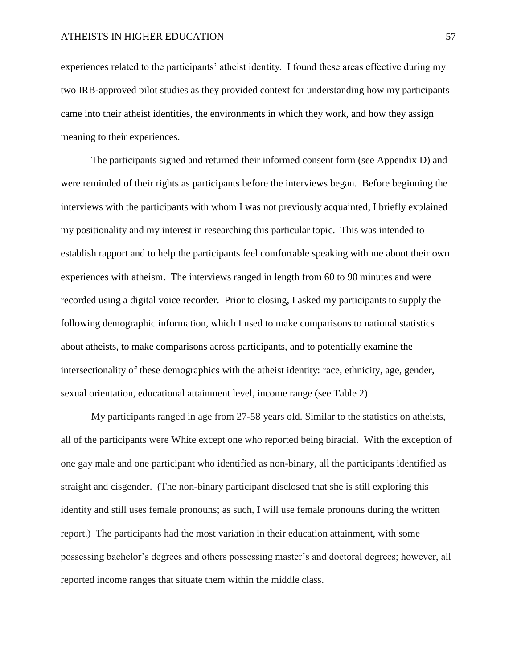experiences related to the participants' atheist identity. I found these areas effective during my two IRB-approved pilot studies as they provided context for understanding how my participants came into their atheist identities, the environments in which they work, and how they assign meaning to their experiences.

The participants signed and returned their informed consent form (see Appendix D) and were reminded of their rights as participants before the interviews began. Before beginning the interviews with the participants with whom I was not previously acquainted, I briefly explained my positionality and my interest in researching this particular topic. This was intended to establish rapport and to help the participants feel comfortable speaking with me about their own experiences with atheism. The interviews ranged in length from 60 to 90 minutes and were recorded using a digital voice recorder. Prior to closing, I asked my participants to supply the following demographic information, which I used to make comparisons to national statistics about atheists, to make comparisons across participants, and to potentially examine the intersectionality of these demographics with the atheist identity: race, ethnicity, age, gender, sexual orientation, educational attainment level, income range (see Table 2).

My participants ranged in age from 27-58 years old. Similar to the statistics on atheists, all of the participants were White except one who reported being biracial. With the exception of one gay male and one participant who identified as non-binary, all the participants identified as straight and cisgender. (The non-binary participant disclosed that she is still exploring this identity and still uses female pronouns; as such, I will use female pronouns during the written report.) The participants had the most variation in their education attainment, with some possessing bachelor's degrees and others possessing master's and doctoral degrees; however, all reported income ranges that situate them within the middle class.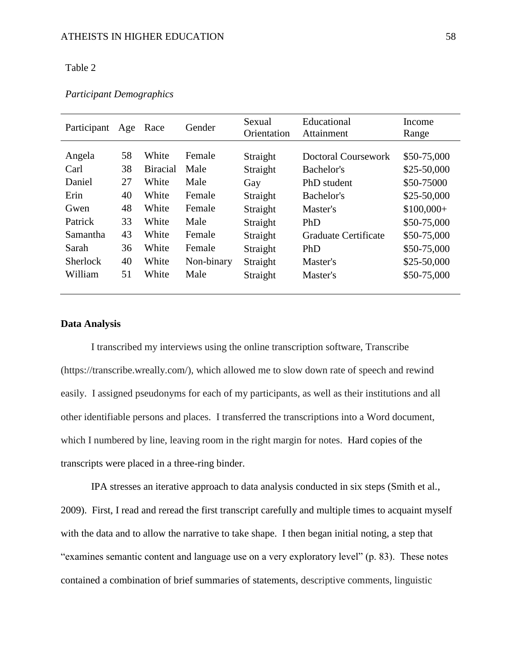### Table 2

| Participant     | Age | Race            | Gender     | Sexual<br>Orientation | Educational<br>Attainment | Income<br>Range |
|-----------------|-----|-----------------|------------|-----------------------|---------------------------|-----------------|
|                 |     |                 |            |                       |                           |                 |
| Angela          | 58  | White           | Female     | Straight              | Doctoral Coursework       | \$50-75,000     |
| Carl            | 38  | <b>Biracial</b> | Male       | Straight              | Bachelor's                | $$25-50,000$    |
| Daniel          | 27  | White           | Male       | Gay                   | PhD student               | \$50-75000      |
| Erin            | 40  | White           | Female     | Straight              | Bachelor's                | $$25-50,000$    |
| Gwen            | 48  | White           | Female     | Straight              | Master's                  | $$100,000+$     |
| Patrick         | 33  | White           | Male       | Straight              | PhD                       | \$50-75,000     |
| Samantha        | 43  | White           | Female     | Straight              | Graduate Certificate      | \$50-75,000     |
| Sarah           | 36  | White           | Female     | Straight              | PhD                       | \$50-75,000     |
| <b>Sherlock</b> | 40  | White           | Non-binary | Straight              | Master's                  | $$25-50,000$    |
| William         | 51  | White           | Male       | Straight              | Master's                  | \$50-75,000     |

# *Participant Demographics*

# **Data Analysis**

I transcribed my interviews using the online transcription software, Transcribe (https://transcribe.wreally.com/), which allowed me to slow down rate of speech and rewind easily. I assigned pseudonyms for each of my participants, as well as their institutions and all other identifiable persons and places. I transferred the transcriptions into a Word document, which I numbered by line, leaving room in the right margin for notes. Hard copies of the transcripts were placed in a three-ring binder.

IPA stresses an iterative approach to data analysis conducted in six steps (Smith et al., 2009). First, I read and reread the first transcript carefully and multiple times to acquaint myself with the data and to allow the narrative to take shape. I then began initial noting, a step that "examines semantic content and language use on a very exploratory level" (p. 83). These notes contained a combination of brief summaries of statements, descriptive comments, linguistic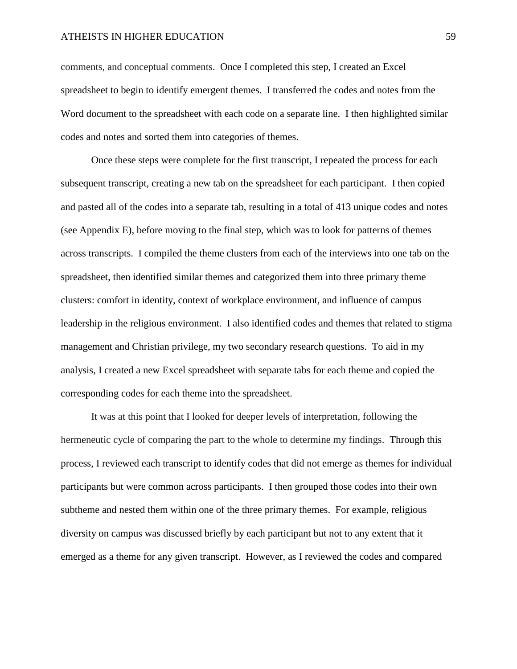comments, and conceptual comments. Once I completed this step, I created an Excel spreadsheet to begin to identify emergent themes. I transferred the codes and notes from the Word document to the spreadsheet with each code on a separate line. I then highlighted similar codes and notes and sorted them into categories of themes.

Once these steps were complete for the first transcript, I repeated the process for each subsequent transcript, creating a new tab on the spreadsheet for each participant. I then copied and pasted all of the codes into a separate tab, resulting in a total of 413 unique codes and notes (see Appendix E), before moving to the final step, which was to look for patterns of themes across transcripts. I compiled the theme clusters from each of the interviews into one tab on the spreadsheet, then identified similar themes and categorized them into three primary theme clusters: comfort in identity, context of workplace environment, and influence of campus leadership in the religious environment. I also identified codes and themes that related to stigma management and Christian privilege, my two secondary research questions. To aid in my analysis, I created a new Excel spreadsheet with separate tabs for each theme and copied the corresponding codes for each theme into the spreadsheet.

It was at this point that I looked for deeper levels of interpretation, following the hermeneutic cycle of comparing the part to the whole to determine my findings. Through this process, I reviewed each transcript to identify codes that did not emerge as themes for individual participants but were common across participants. I then grouped those codes into their own subtheme and nested them within one of the three primary themes. For example, religious diversity on campus was discussed briefly by each participant but not to any extent that it emerged as a theme for any given transcript. However, as I reviewed the codes and compared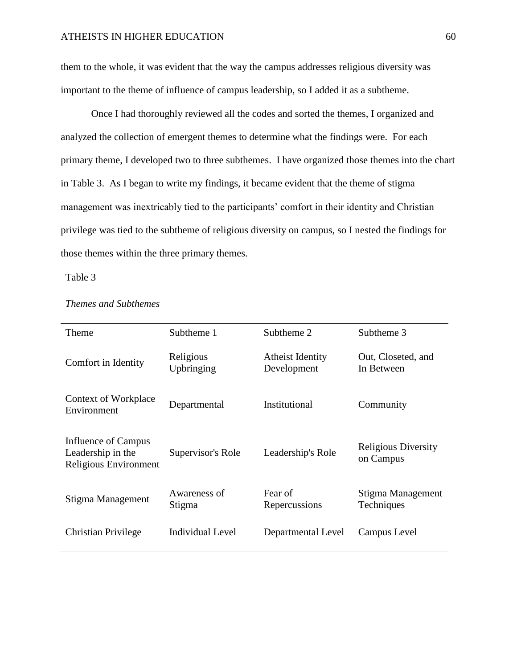them to the whole, it was evident that the way the campus addresses religious diversity was important to the theme of influence of campus leadership, so I added it as a subtheme.

Once I had thoroughly reviewed all the codes and sorted the themes, I organized and analyzed the collection of emergent themes to determine what the findings were. For each primary theme, I developed two to three subthemes. I have organized those themes into the chart in Table 3. As I began to write my findings, it became evident that the theme of stigma management was inextricably tied to the participants' comfort in their identity and Christian privilege was tied to the subtheme of religious diversity on campus, so I nested the findings for those themes within the three primary themes.

Table 3

| Theme                                                             | Subtheme 1              | Subtheme 2                      | Subtheme 3                              |  |
|-------------------------------------------------------------------|-------------------------|---------------------------------|-----------------------------------------|--|
| Comfort in Identity                                               | Religious<br>Upbringing | Atheist Identity<br>Development | Out, Closeted, and<br>In Between        |  |
| Context of Workplace<br>Environment                               | Departmental            | Institutional                   | Community                               |  |
| Influence of Campus<br>Leadership in the<br>Religious Environment | Supervisor's Role       | Leadership's Role               | <b>Religious Diversity</b><br>on Campus |  |
| Stigma Management                                                 | Awareness of<br>Stigma  | Fear of<br>Repercussions        | Stigma Management<br><b>Techniques</b>  |  |
| Christian Privilege                                               | Individual Level        | Departmental Level              | Campus Level                            |  |

# *Themes and Subthemes*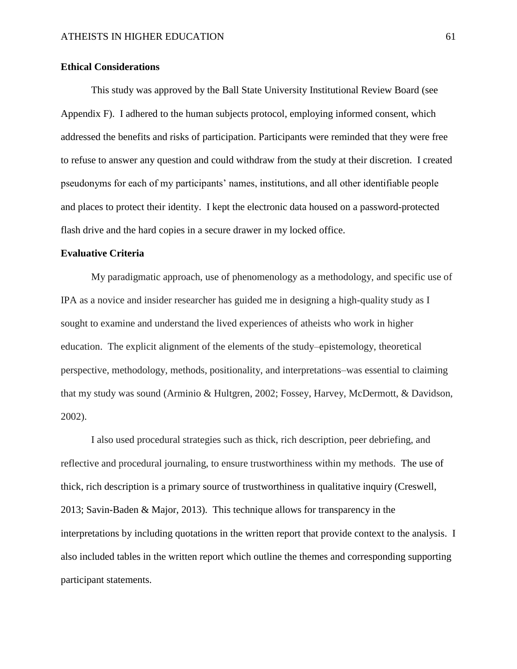# **Ethical Considerations**

This study was approved by the Ball State University Institutional Review Board (see Appendix F). I adhered to the human subjects protocol, employing informed consent, which addressed the benefits and risks of participation. Participants were reminded that they were free to refuse to answer any question and could withdraw from the study at their discretion. I created pseudonyms for each of my participants' names, institutions, and all other identifiable people and places to protect their identity. I kept the electronic data housed on a password-protected flash drive and the hard copies in a secure drawer in my locked office.

# **Evaluative Criteria**

My paradigmatic approach, use of phenomenology as a methodology, and specific use of IPA as a novice and insider researcher has guided me in designing a high-quality study as I sought to examine and understand the lived experiences of atheists who work in higher education. The explicit alignment of the elements of the study–epistemology, theoretical perspective, methodology, methods, positionality, and interpretations–was essential to claiming that my study was sound (Arminio & Hultgren, 2002; Fossey, Harvey, McDermott, & Davidson, 2002).

I also used procedural strategies such as thick, rich description, peer debriefing, and reflective and procedural journaling, to ensure trustworthiness within my methods. The use of thick, rich description is a primary source of trustworthiness in qualitative inquiry (Creswell, 2013; Savin-Baden & Major, 2013). This technique allows for transparency in the interpretations by including quotations in the written report that provide context to the analysis. I also included tables in the written report which outline the themes and corresponding supporting participant statements.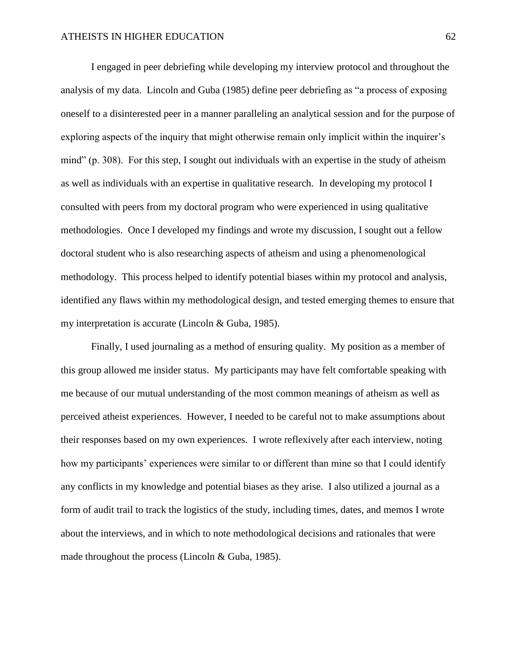I engaged in peer debriefing while developing my interview protocol and throughout the analysis of my data. Lincoln and Guba (1985) define peer debriefing as "a process of exposing oneself to a disinterested peer in a manner paralleling an analytical session and for the purpose of exploring aspects of the inquiry that might otherwise remain only implicit within the inquirer's mind" (p. 308). For this step, I sought out individuals with an expertise in the study of atheism as well as individuals with an expertise in qualitative research. In developing my protocol I consulted with peers from my doctoral program who were experienced in using qualitative methodologies. Once I developed my findings and wrote my discussion, I sought out a fellow doctoral student who is also researching aspects of atheism and using a phenomenological methodology. This process helped to identify potential biases within my protocol and analysis, identified any flaws within my methodological design, and tested emerging themes to ensure that my interpretation is accurate (Lincoln & Guba, 1985).

Finally, I used journaling as a method of ensuring quality. My position as a member of this group allowed me insider status. My participants may have felt comfortable speaking with me because of our mutual understanding of the most common meanings of atheism as well as perceived atheist experiences. However, I needed to be careful not to make assumptions about their responses based on my own experiences. I wrote reflexively after each interview, noting how my participants' experiences were similar to or different than mine so that I could identify any conflicts in my knowledge and potential biases as they arise. I also utilized a journal as a form of audit trail to track the logistics of the study, including times, dates, and memos I wrote about the interviews, and in which to note methodological decisions and rationales that were made throughout the process (Lincoln & Guba, 1985).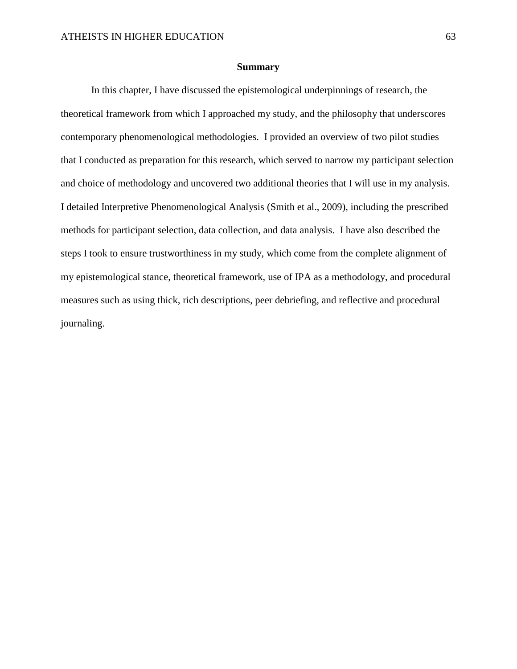### **Summary**

In this chapter, I have discussed the epistemological underpinnings of research, the theoretical framework from which I approached my study, and the philosophy that underscores contemporary phenomenological methodologies. I provided an overview of two pilot studies that I conducted as preparation for this research, which served to narrow my participant selection and choice of methodology and uncovered two additional theories that I will use in my analysis. I detailed Interpretive Phenomenological Analysis (Smith et al., 2009), including the prescribed methods for participant selection, data collection, and data analysis. I have also described the steps I took to ensure trustworthiness in my study, which come from the complete alignment of my epistemological stance, theoretical framework, use of IPA as a methodology, and procedural measures such as using thick, rich descriptions, peer debriefing, and reflective and procedural journaling.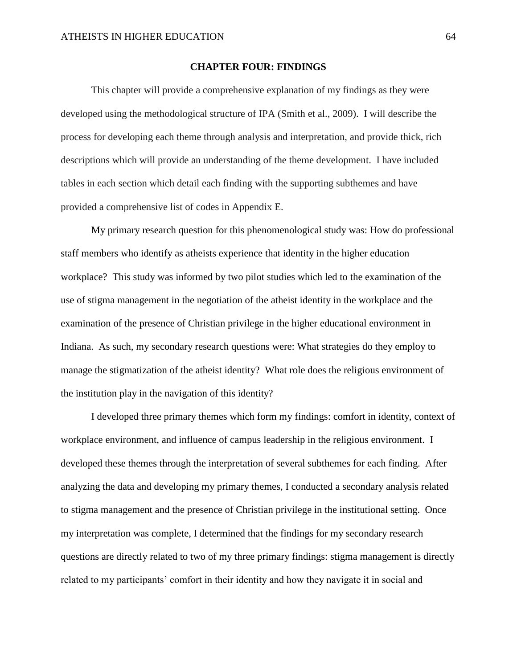### **CHAPTER FOUR: FINDINGS**

This chapter will provide a comprehensive explanation of my findings as they were developed using the methodological structure of IPA (Smith et al., 2009). I will describe the process for developing each theme through analysis and interpretation, and provide thick, rich descriptions which will provide an understanding of the theme development. I have included tables in each section which detail each finding with the supporting subthemes and have provided a comprehensive list of codes in Appendix E.

My primary research question for this phenomenological study was: How do professional staff members who identify as atheists experience that identity in the higher education workplace? This study was informed by two pilot studies which led to the examination of the use of stigma management in the negotiation of the atheist identity in the workplace and the examination of the presence of Christian privilege in the higher educational environment in Indiana. As such, my secondary research questions were: What strategies do they employ to manage the stigmatization of the atheist identity? What role does the religious environment of the institution play in the navigation of this identity?

I developed three primary themes which form my findings: comfort in identity, context of workplace environment, and influence of campus leadership in the religious environment. I developed these themes through the interpretation of several subthemes for each finding. After analyzing the data and developing my primary themes, I conducted a secondary analysis related to stigma management and the presence of Christian privilege in the institutional setting. Once my interpretation was complete, I determined that the findings for my secondary research questions are directly related to two of my three primary findings: stigma management is directly related to my participants' comfort in their identity and how they navigate it in social and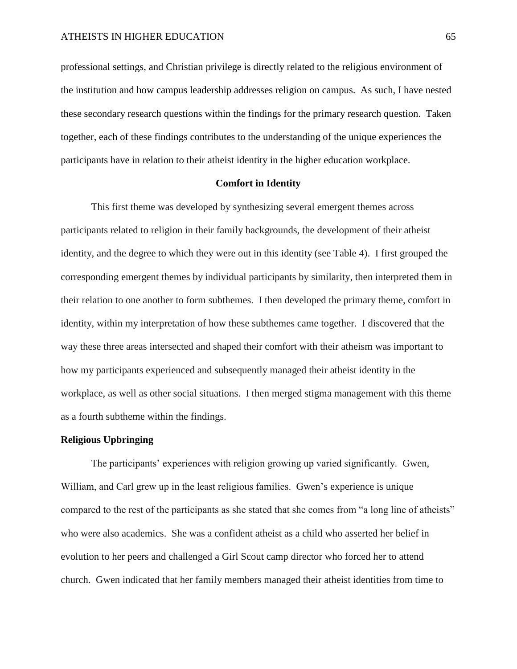professional settings, and Christian privilege is directly related to the religious environment of the institution and how campus leadership addresses religion on campus. As such, I have nested these secondary research questions within the findings for the primary research question. Taken together, each of these findings contributes to the understanding of the unique experiences the participants have in relation to their atheist identity in the higher education workplace.

# **Comfort in Identity**

This first theme was developed by synthesizing several emergent themes across participants related to religion in their family backgrounds, the development of their atheist identity, and the degree to which they were out in this identity (see Table 4). I first grouped the corresponding emergent themes by individual participants by similarity, then interpreted them in their relation to one another to form subthemes. I then developed the primary theme, comfort in identity, within my interpretation of how these subthemes came together. I discovered that the way these three areas intersected and shaped their comfort with their atheism was important to how my participants experienced and subsequently managed their atheist identity in the workplace, as well as other social situations. I then merged stigma management with this theme as a fourth subtheme within the findings.

# **Religious Upbringing**

The participants' experiences with religion growing up varied significantly.Gwen, William, and Carl grew up in the least religious families. Gwen's experience is unique compared to the rest of the participants as she stated that she comes from "a long line of atheists" who were also academics. She was a confident atheist as a child who asserted her belief in evolution to her peers and challenged a Girl Scout camp director who forced her to attend church. Gwen indicated that her family members managed their atheist identities from time to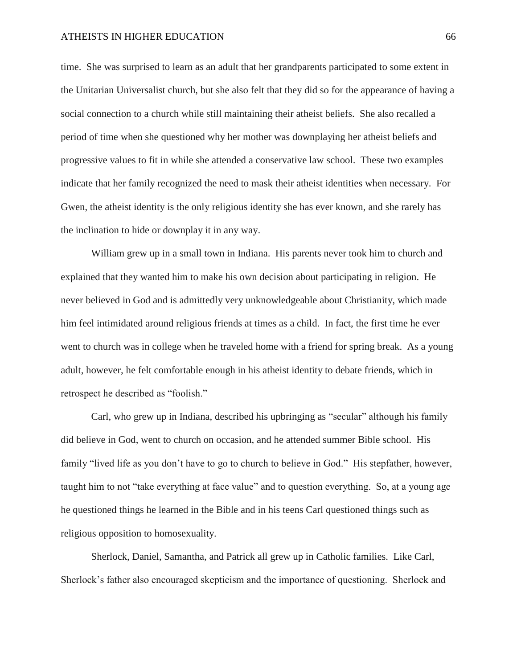time. She was surprised to learn as an adult that her grandparents participated to some extent in the Unitarian Universalist church, but she also felt that they did so for the appearance of having a social connection to a church while still maintaining their atheist beliefs. She also recalled a period of time when she questioned why her mother was downplaying her atheist beliefs and progressive values to fit in while she attended a conservative law school. These two examples indicate that her family recognized the need to mask their atheist identities when necessary. For Gwen, the atheist identity is the only religious identity she has ever known, and she rarely has the inclination to hide or downplay it in any way.

William grew up in a small town in Indiana. His parents never took him to church and explained that they wanted him to make his own decision about participating in religion. He never believed in God and is admittedly very unknowledgeable about Christianity, which made him feel intimidated around religious friends at times as a child. In fact, the first time he ever went to church was in college when he traveled home with a friend for spring break. As a young adult, however, he felt comfortable enough in his atheist identity to debate friends, which in retrospect he described as "foolish."

Carl, who grew up in Indiana, described his upbringing as "secular" although his family did believe in God, went to church on occasion, and he attended summer Bible school. His family "lived life as you don't have to go to church to believe in God." His stepfather, however, taught him to not "take everything at face value" and to question everything. So, at a young age he questioned things he learned in the Bible and in his teens Carl questioned things such as religious opposition to homosexuality.

Sherlock, Daniel, Samantha, and Patrick all grew up in Catholic families. Like Carl, Sherlock's father also encouraged skepticism and the importance of questioning. Sherlock and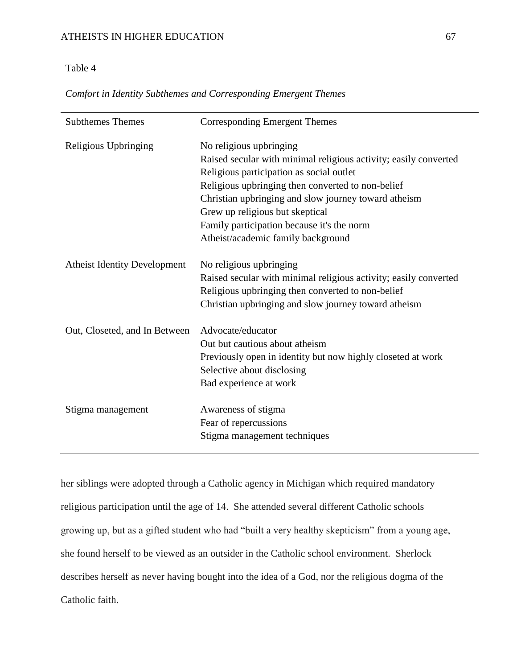# Table 4

| Comfort in Identity Subthemes and Corresponding Emergent Themes |  |  |  |  |
|-----------------------------------------------------------------|--|--|--|--|
|                                                                 |  |  |  |  |

| <b>Subthemes Themes</b>             | Corresponding Emergent Themes                                                                                                                                                                                                                                                                                                                                               |  |  |  |
|-------------------------------------|-----------------------------------------------------------------------------------------------------------------------------------------------------------------------------------------------------------------------------------------------------------------------------------------------------------------------------------------------------------------------------|--|--|--|
| Religious Upbringing                | No religious upbringing<br>Raised secular with minimal religious activity; easily converted<br>Religious participation as social outlet<br>Religious upbringing then converted to non-belief<br>Christian upbringing and slow journey toward atheism<br>Grew up religious but skeptical<br>Family participation because it's the norm<br>Atheist/academic family background |  |  |  |
| <b>Atheist Identity Development</b> | No religious upbringing<br>Raised secular with minimal religious activity; easily converted<br>Religious upbringing then converted to non-belief<br>Christian upbringing and slow journey toward atheism                                                                                                                                                                    |  |  |  |
| Out, Closeted, and In Between       | Advocate/educator<br>Out but cautious about atheism<br>Previously open in identity but now highly closeted at work<br>Selective about disclosing<br>Bad experience at work                                                                                                                                                                                                  |  |  |  |
| Stigma management                   | Awareness of stigma<br>Fear of repercussions<br>Stigma management techniques                                                                                                                                                                                                                                                                                                |  |  |  |

her siblings were adopted through a Catholic agency in Michigan which required mandatory religious participation until the age of 14. She attended several different Catholic schools growing up, but as a gifted student who had "built a very healthy skepticism" from a young age, she found herself to be viewed as an outsider in the Catholic school environment. Sherlock describes herself as never having bought into the idea of a God, nor the religious dogma of the Catholic faith.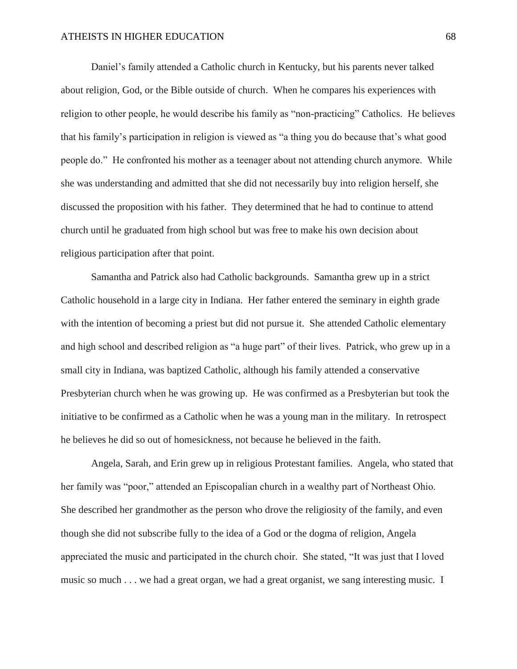Daniel's family attended a Catholic church in Kentucky, but his parents never talked about religion, God, or the Bible outside of church. When he compares his experiences with religion to other people, he would describe his family as "non-practicing" Catholics. He believes that his family's participation in religion is viewed as "a thing you do because that's what good people do." He confronted his mother as a teenager about not attending church anymore. While she was understanding and admitted that she did not necessarily buy into religion herself, she discussed the proposition with his father. They determined that he had to continue to attend church until he graduated from high school but was free to make his own decision about religious participation after that point.

Samantha and Patrick also had Catholic backgrounds. Samantha grew up in a strict Catholic household in a large city in Indiana. Her father entered the seminary in eighth grade with the intention of becoming a priest but did not pursue it. She attended Catholic elementary and high school and described religion as "a huge part" of their lives. Patrick, who grew up in a small city in Indiana, was baptized Catholic, although his family attended a conservative Presbyterian church when he was growing up. He was confirmed as a Presbyterian but took the initiative to be confirmed as a Catholic when he was a young man in the military. In retrospect he believes he did so out of homesickness, not because he believed in the faith.

Angela, Sarah, and Erin grew up in religious Protestant families. Angela, who stated that her family was "poor," attended an Episcopalian church in a wealthy part of Northeast Ohio. She described her grandmother as the person who drove the religiosity of the family, and even though she did not subscribe fully to the idea of a God or the dogma of religion, Angela appreciated the music and participated in the church choir. She stated, "It was just that I loved music so much . . . we had a great organ, we had a great organist, we sang interesting music. I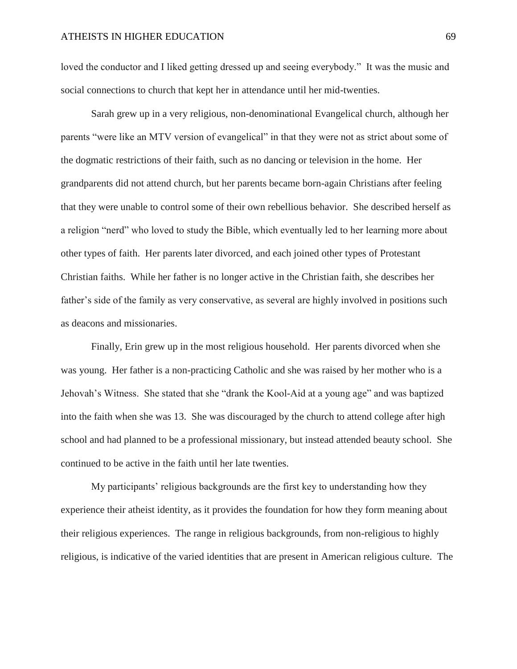loved the conductor and I liked getting dressed up and seeing everybody." It was the music and social connections to church that kept her in attendance until her mid-twenties.

Sarah grew up in a very religious, non-denominational Evangelical church, although her parents "were like an MTV version of evangelical" in that they were not as strict about some of the dogmatic restrictions of their faith, such as no dancing or television in the home. Her grandparents did not attend church, but her parents became born-again Christians after feeling that they were unable to control some of their own rebellious behavior. She described herself as a religion "nerd" who loved to study the Bible, which eventually led to her learning more about other types of faith. Her parents later divorced, and each joined other types of Protestant Christian faiths. While her father is no longer active in the Christian faith, she describes her father's side of the family as very conservative, as several are highly involved in positions such as deacons and missionaries.

Finally, Erin grew up in the most religious household. Her parents divorced when she was young. Her father is a non-practicing Catholic and she was raised by her mother who is a Jehovah's Witness. She stated that she "drank the Kool-Aid at a young age" and was baptized into the faith when she was 13. She was discouraged by the church to attend college after high school and had planned to be a professional missionary, but instead attended beauty school. She continued to be active in the faith until her late twenties.

My participants' religious backgrounds are the first key to understanding how they experience their atheist identity, as it provides the foundation for how they form meaning about their religious experiences. The range in religious backgrounds, from non-religious to highly religious, is indicative of the varied identities that are present in American religious culture. The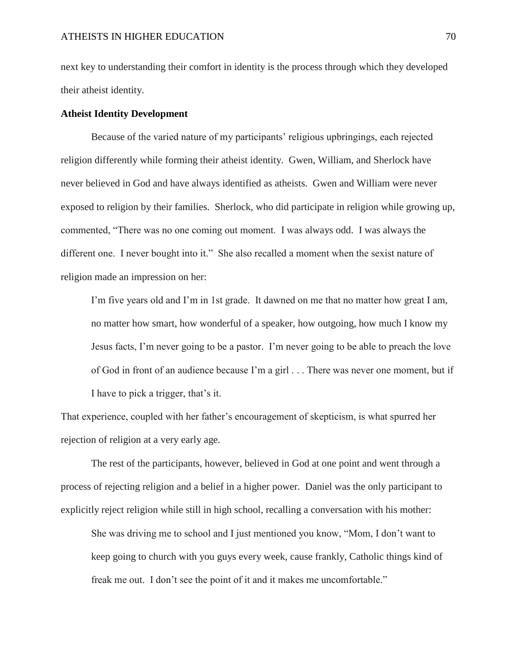next key to understanding their comfort in identity is the process through which they developed their atheist identity.

# **Atheist Identity Development**

Because of the varied nature of my participants' religious upbringings, each rejected religion differently while forming their atheist identity. Gwen, William, and Sherlock have never believed in God and have always identified as atheists. Gwen and William were never exposed to religion by their families. Sherlock, who did participate in religion while growing up, commented, "There was no one coming out moment. I was always odd. I was always the different one. I never bought into it." She also recalled a moment when the sexist nature of religion made an impression on her:

I'm five years old and I'm in 1st grade. It dawned on me that no matter how great I am, no matter how smart, how wonderful of a speaker, how outgoing, how much I know my Jesus facts, I'm never going to be a pastor. I'm never going to be able to preach the love of God in front of an audience because I'm a girl . . . There was never one moment, but if I have to pick a trigger, that's it.

That experience, coupled with her father's encouragement of skepticism, is what spurred her rejection of religion at a very early age.

The rest of the participants, however, believed in God at one point and went through a process of rejecting religion and a belief in a higher power. Daniel was the only participant to explicitly reject religion while still in high school, recalling a conversation with his mother:

She was driving me to school and I just mentioned you know, "Mom, I don't want to keep going to church with you guys every week, cause frankly, Catholic things kind of freak me out. I don't see the point of it and it makes me uncomfortable."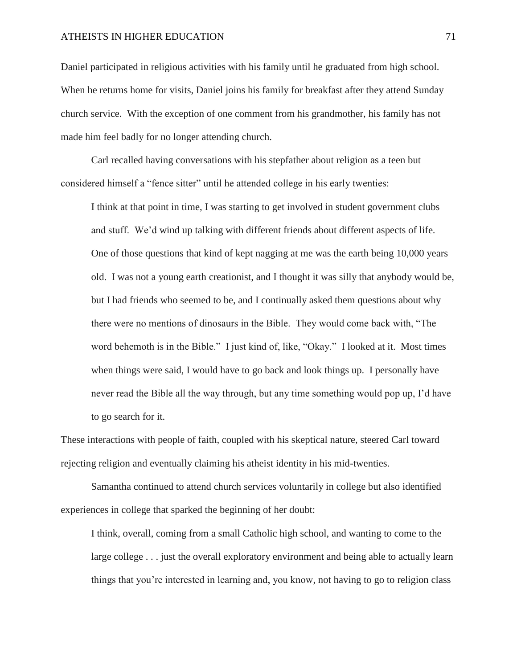Daniel participated in religious activities with his family until he graduated from high school. When he returns home for visits, Daniel joins his family for breakfast after they attend Sunday church service. With the exception of one comment from his grandmother, his family has not made him feel badly for no longer attending church.

Carl recalled having conversations with his stepfather about religion as a teen but considered himself a "fence sitter" until he attended college in his early twenties:

I think at that point in time, I was starting to get involved in student government clubs and stuff. We'd wind up talking with different friends about different aspects of life. One of those questions that kind of kept nagging at me was the earth being 10,000 years old. I was not a young earth creationist, and I thought it was silly that anybody would be, but I had friends who seemed to be, and I continually asked them questions about why there were no mentions of dinosaurs in the Bible. They would come back with, "The word behemoth is in the Bible." I just kind of, like, "Okay." I looked at it. Most times when things were said, I would have to go back and look things up. I personally have never read the Bible all the way through, but any time something would pop up, I'd have to go search for it.

These interactions with people of faith, coupled with his skeptical nature, steered Carl toward rejecting religion and eventually claiming his atheist identity in his mid-twenties.

Samantha continued to attend church services voluntarily in college but also identified experiences in college that sparked the beginning of her doubt:

I think, overall, coming from a small Catholic high school, and wanting to come to the large college . . . just the overall exploratory environment and being able to actually learn things that you're interested in learning and, you know, not having to go to religion class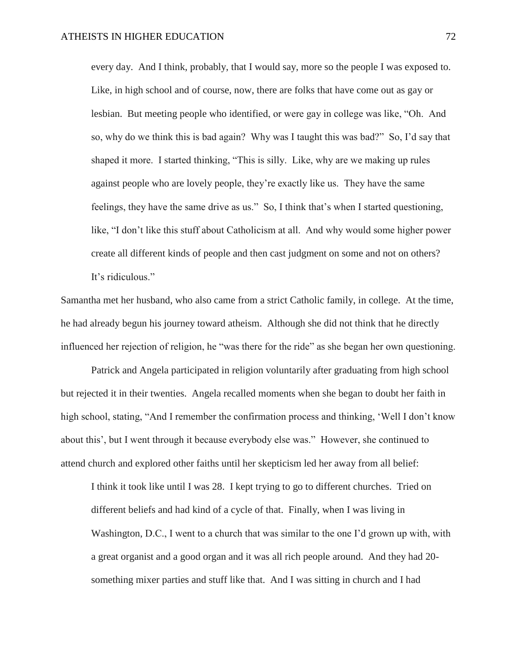every day. And I think, probably, that I would say, more so the people I was exposed to. Like, in high school and of course, now, there are folks that have come out as gay or lesbian. But meeting people who identified, or were gay in college was like, "Oh. And so, why do we think this is bad again? Why was I taught this was bad?" So, I'd say that shaped it more. I started thinking, "This is silly. Like, why are we making up rules against people who are lovely people, they're exactly like us. They have the same feelings, they have the same drive as us." So, I think that's when I started questioning, like, "I don't like this stuff about Catholicism at all. And why would some higher power create all different kinds of people and then cast judgment on some and not on others? It's ridiculous."

Samantha met her husband, who also came from a strict Catholic family, in college. At the time, he had already begun his journey toward atheism. Although she did not think that he directly influenced her rejection of religion, he "was there for the ride" as she began her own questioning.

Patrick and Angela participated in religion voluntarily after graduating from high school but rejected it in their twenties. Angela recalled moments when she began to doubt her faith in high school, stating, "And I remember the confirmation process and thinking, 'Well I don't know about this', but I went through it because everybody else was." However, she continued to attend church and explored other faiths until her skepticism led her away from all belief:

I think it took like until I was 28. I kept trying to go to different churches. Tried on different beliefs and had kind of a cycle of that. Finally, when I was living in Washington, D.C., I went to a church that was similar to the one I'd grown up with, with a great organist and a good organ and it was all rich people around. And they had 20 something mixer parties and stuff like that. And I was sitting in church and I had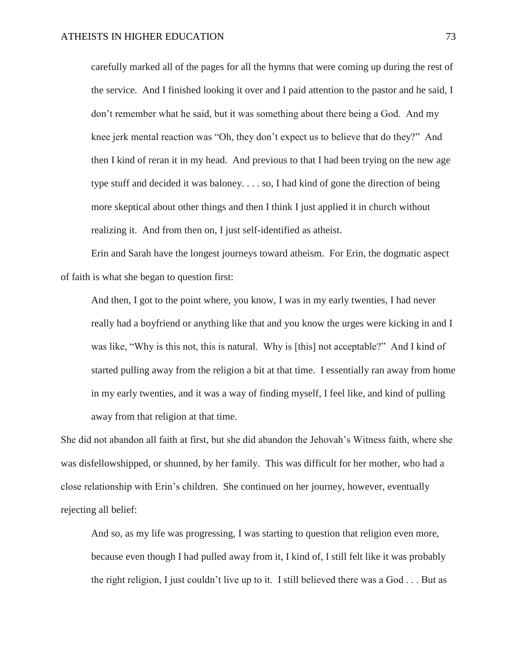carefully marked all of the pages for all the hymns that were coming up during the rest of the service. And I finished looking it over and I paid attention to the pastor and he said, I don't remember what he said, but it was something about there being a God. And my knee jerk mental reaction was "Oh, they don't expect us to believe that do they?" And then I kind of reran it in my head. And previous to that I had been trying on the new age type stuff and decided it was baloney. . . . so, I had kind of gone the direction of being more skeptical about other things and then I think I just applied it in church without realizing it. And from then on, I just self-identified as atheist.

Erin and Sarah have the longest journeys toward atheism. For Erin, the dogmatic aspect of faith is what she began to question first:

And then, I got to the point where, you know, I was in my early twenties, I had never really had a boyfriend or anything like that and you know the urges were kicking in and I was like, "Why is this not, this is natural. Why is [this] not acceptable?" And I kind of started pulling away from the religion a bit at that time. I essentially ran away from home in my early twenties, and it was a way of finding myself, I feel like, and kind of pulling away from that religion at that time.

She did not abandon all faith at first, but she did abandon the Jehovah's Witness faith, where she was disfellowshipped, or shunned, by her family. This was difficult for her mother, who had a close relationship with Erin's children. She continued on her journey, however, eventually rejecting all belief:

And so, as my life was progressing, I was starting to question that religion even more, because even though I had pulled away from it, I kind of, I still felt like it was probably the right religion, I just couldn't live up to it. I still believed there was a God . . . But as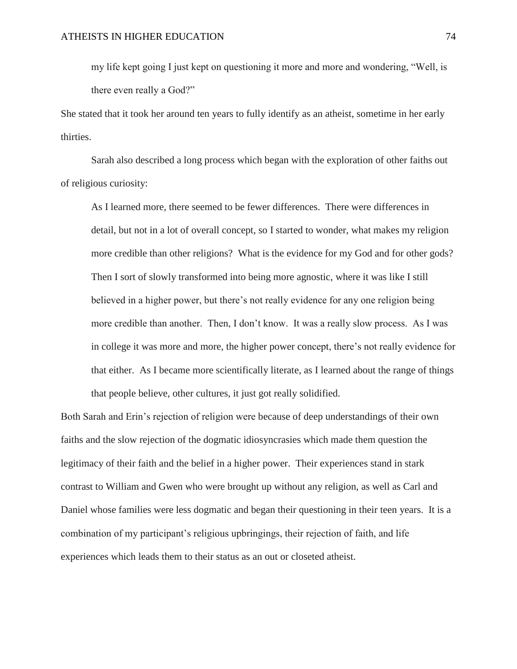my life kept going I just kept on questioning it more and more and wondering, "Well, is there even really a God?"

She stated that it took her around ten years to fully identify as an atheist, sometime in her early thirties.

Sarah also described a long process which began with the exploration of other faiths out of religious curiosity:

As I learned more, there seemed to be fewer differences. There were differences in detail, but not in a lot of overall concept, so I started to wonder, what makes my religion more credible than other religions? What is the evidence for my God and for other gods? Then I sort of slowly transformed into being more agnostic, where it was like I still believed in a higher power, but there's not really evidence for any one religion being more credible than another. Then, I don't know. It was a really slow process. As I was in college it was more and more, the higher power concept, there's not really evidence for that either. As I became more scientifically literate, as I learned about the range of things that people believe, other cultures, it just got really solidified.

Both Sarah and Erin's rejection of religion were because of deep understandings of their own faiths and the slow rejection of the dogmatic idiosyncrasies which made them question the legitimacy of their faith and the belief in a higher power. Their experiences stand in stark contrast to William and Gwen who were brought up without any religion, as well as Carl and Daniel whose families were less dogmatic and began their questioning in their teen years. It is a combination of my participant's religious upbringings, their rejection of faith, and life experiences which leads them to their status as an out or closeted atheist.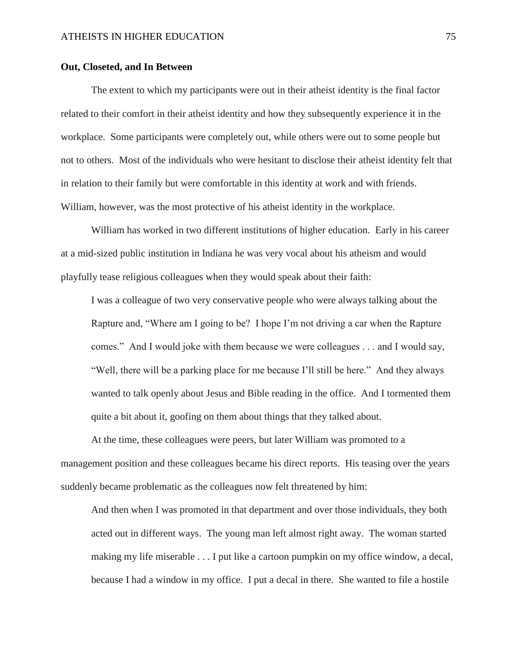### **Out, Closeted, and In Between**

The extent to which my participants were out in their atheist identity is the final factor related to their comfort in their atheist identity and how they subsequently experience it in the workplace. Some participants were completely out, while others were out to some people but not to others. Most of the individuals who were hesitant to disclose their atheist identity felt that in relation to their family but were comfortable in this identity at work and with friends. William, however, was the most protective of his atheist identity in the workplace.

William has worked in two different institutions of higher education. Early in his career at a mid-sized public institution in Indiana he was very vocal about his atheism and would playfully tease religious colleagues when they would speak about their faith:

I was a colleague of two very conservative people who were always talking about the Rapture and, "Where am I going to be? I hope I'm not driving a car when the Rapture comes." And I would joke with them because we were colleagues . . . and I would say, "Well, there will be a parking place for me because I'll still be here." And they always wanted to talk openly about Jesus and Bible reading in the office. And I tormented them quite a bit about it, goofing on them about things that they talked about.

At the time, these colleagues were peers, but later William was promoted to a management position and these colleagues became his direct reports. His teasing over the years suddenly became problematic as the colleagues now felt threatened by him:

And then when I was promoted in that department and over those individuals, they both acted out in different ways. The young man left almost right away. The woman started making my life miserable . . . I put like a cartoon pumpkin on my office window, a decal, because I had a window in my office. I put a decal in there. She wanted to file a hostile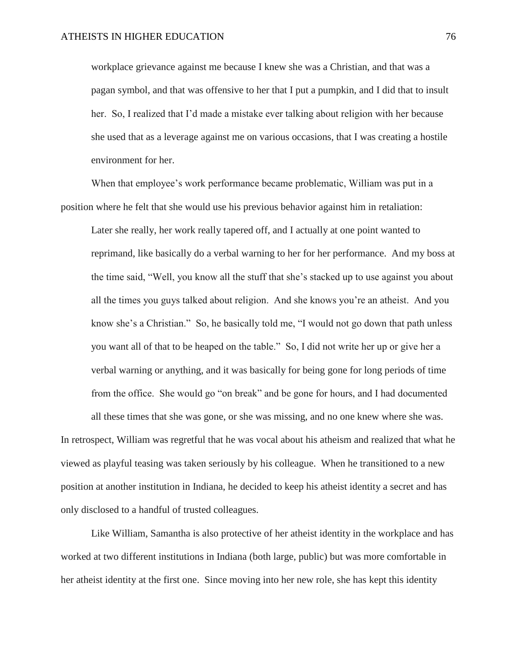workplace grievance against me because I knew she was a Christian, and that was a pagan symbol, and that was offensive to her that I put a pumpkin, and I did that to insult her. So, I realized that I'd made a mistake ever talking about religion with her because she used that as a leverage against me on various occasions, that I was creating a hostile environment for her.

When that employee's work performance became problematic, William was put in a position where he felt that she would use his previous behavior against him in retaliation:

Later she really, her work really tapered off, and I actually at one point wanted to reprimand, like basically do a verbal warning to her for her performance. And my boss at the time said, "Well, you know all the stuff that she's stacked up to use against you about all the times you guys talked about religion. And she knows you're an atheist. And you know she's a Christian." So, he basically told me, "I would not go down that path unless you want all of that to be heaped on the table." So, I did not write her up or give her a verbal warning or anything, and it was basically for being gone for long periods of time from the office. She would go "on break" and be gone for hours, and I had documented

In retrospect, William was regretful that he was vocal about his atheism and realized that what he viewed as playful teasing was taken seriously by his colleague. When he transitioned to a new position at another institution in Indiana, he decided to keep his atheist identity a secret and has only disclosed to a handful of trusted colleagues.

all these times that she was gone, or she was missing, and no one knew where she was.

Like William, Samantha is also protective of her atheist identity in the workplace and has worked at two different institutions in Indiana (both large, public) but was more comfortable in her atheist identity at the first one. Since moving into her new role, she has kept this identity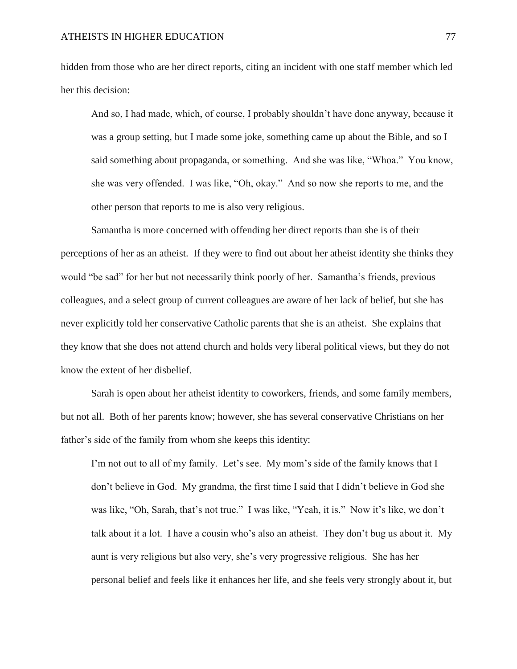hidden from those who are her direct reports, citing an incident with one staff member which led her this decision:

And so, I had made, which, of course, I probably shouldn't have done anyway, because it was a group setting, but I made some joke, something came up about the Bible, and so I said something about propaganda, or something. And she was like, "Whoa." You know, she was very offended. I was like, "Oh, okay." And so now she reports to me, and the other person that reports to me is also very religious.

Samantha is more concerned with offending her direct reports than she is of their perceptions of her as an atheist. If they were to find out about her atheist identity she thinks they would "be sad" for her but not necessarily think poorly of her. Samantha's friends, previous colleagues, and a select group of current colleagues are aware of her lack of belief, but she has never explicitly told her conservative Catholic parents that she is an atheist. She explains that they know that she does not attend church and holds very liberal political views, but they do not know the extent of her disbelief.

Sarah is open about her atheist identity to coworkers, friends, and some family members, but not all. Both of her parents know; however, she has several conservative Christians on her father's side of the family from whom she keeps this identity:

I'm not out to all of my family. Let's see. My mom's side of the family knows that I don't believe in God. My grandma, the first time I said that I didn't believe in God she was like, "Oh, Sarah, that's not true." I was like, "Yeah, it is." Now it's like, we don't talk about it a lot. I have a cousin who's also an atheist. They don't bug us about it. My aunt is very religious but also very, she's very progressive religious. She has her personal belief and feels like it enhances her life, and she feels very strongly about it, but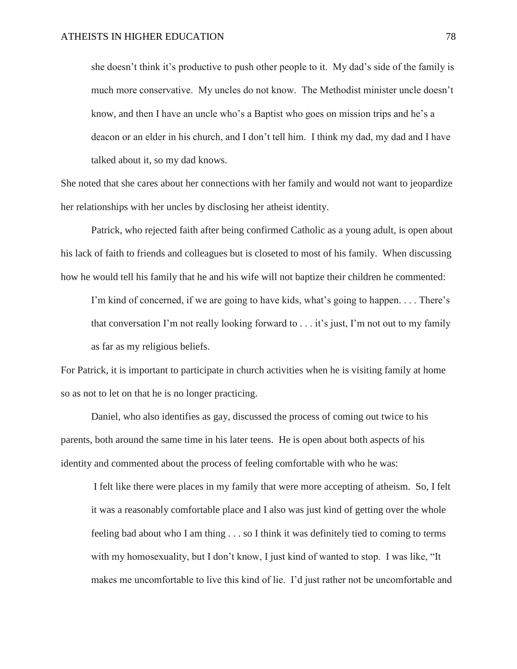she doesn't think it's productive to push other people to it. My dad's side of the family is much more conservative. My uncles do not know. The Methodist minister uncle doesn't know, and then I have an uncle who's a Baptist who goes on mission trips and he's a deacon or an elder in his church, and I don't tell him. I think my dad, my dad and I have talked about it, so my dad knows.

She noted that she cares about her connections with her family and would not want to jeopardize her relationships with her uncles by disclosing her atheist identity.

Patrick, who rejected faith after being confirmed Catholic as a young adult, is open about his lack of faith to friends and colleagues but is closeted to most of his family. When discussing how he would tell his family that he and his wife will not baptize their children he commented:

I'm kind of concerned, if we are going to have kids, what's going to happen. . . . There's that conversation I'm not really looking forward to . . . it's just, I'm not out to my family as far as my religious beliefs.

For Patrick, it is important to participate in church activities when he is visiting family at home so as not to let on that he is no longer practicing.

Daniel, who also identifies as gay, discussed the process of coming out twice to his parents, both around the same time in his later teens. He is open about both aspects of his identity and commented about the process of feeling comfortable with who he was:

I felt like there were places in my family that were more accepting of atheism. So, I felt it was a reasonably comfortable place and I also was just kind of getting over the whole feeling bad about who I am thing . . . so I think it was definitely tied to coming to terms with my homosexuality, but I don't know, I just kind of wanted to stop. I was like, "It makes me uncomfortable to live this kind of lie. I'd just rather not be uncomfortable and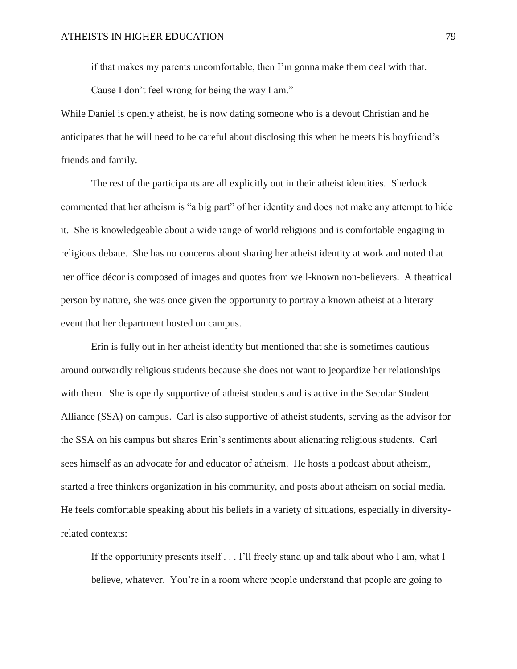if that makes my parents uncomfortable, then I'm gonna make them deal with that.

Cause I don't feel wrong for being the way I am."

While Daniel is openly atheist, he is now dating someone who is a devout Christian and he anticipates that he will need to be careful about disclosing this when he meets his boyfriend's friends and family.

The rest of the participants are all explicitly out in their atheist identities. Sherlock commented that her atheism is "a big part" of her identity and does not make any attempt to hide it. She is knowledgeable about a wide range of world religions and is comfortable engaging in religious debate. She has no concerns about sharing her atheist identity at work and noted that her office décor is composed of images and quotes from well-known non-believers. A theatrical person by nature, she was once given the opportunity to portray a known atheist at a literary event that her department hosted on campus.

Erin is fully out in her atheist identity but mentioned that she is sometimes cautious around outwardly religious students because she does not want to jeopardize her relationships with them. She is openly supportive of atheist students and is active in the Secular Student Alliance (SSA) on campus. Carl is also supportive of atheist students, serving as the advisor for the SSA on his campus but shares Erin's sentiments about alienating religious students. Carl sees himself as an advocate for and educator of atheism. He hosts a podcast about atheism, started a free thinkers organization in his community, and posts about atheism on social media. He feels comfortable speaking about his beliefs in a variety of situations, especially in diversityrelated contexts:

If the opportunity presents itself . . . I'll freely stand up and talk about who I am, what I believe, whatever. You're in a room where people understand that people are going to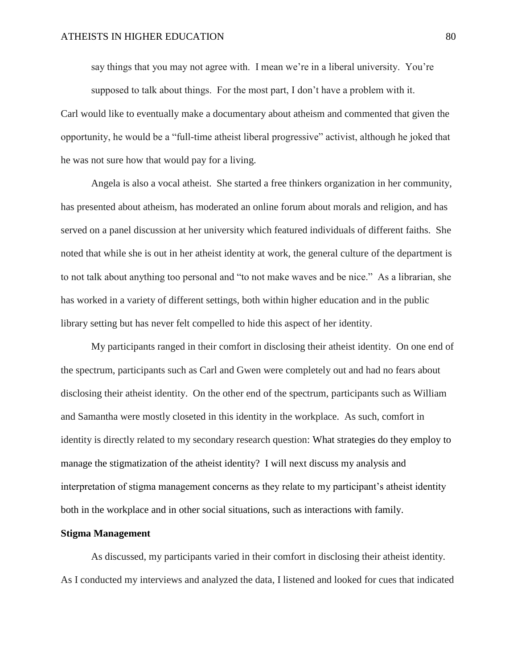say things that you may not agree with. I mean we're in a liberal university. You're supposed to talk about things. For the most part, I don't have a problem with it.

Carl would like to eventually make a documentary about atheism and commented that given the opportunity, he would be a "full-time atheist liberal progressive" activist, although he joked that he was not sure how that would pay for a living.

Angela is also a vocal atheist. She started a free thinkers organization in her community, has presented about atheism, has moderated an online forum about morals and religion, and has served on a panel discussion at her university which featured individuals of different faiths. She noted that while she is out in her atheist identity at work, the general culture of the department is to not talk about anything too personal and "to not make waves and be nice." As a librarian, she has worked in a variety of different settings, both within higher education and in the public library setting but has never felt compelled to hide this aspect of her identity.

My participants ranged in their comfort in disclosing their atheist identity. On one end of the spectrum, participants such as Carl and Gwen were completely out and had no fears about disclosing their atheist identity. On the other end of the spectrum, participants such as William and Samantha were mostly closeted in this identity in the workplace. As such, comfort in identity is directly related to my secondary research question: What strategies do they employ to manage the stigmatization of the atheist identity? I will next discuss my analysis and interpretation of stigma management concerns as they relate to my participant's atheist identity both in the workplace and in other social situations, such as interactions with family.

#### **Stigma Management**

As discussed, my participants varied in their comfort in disclosing their atheist identity. As I conducted my interviews and analyzed the data, I listened and looked for cues that indicated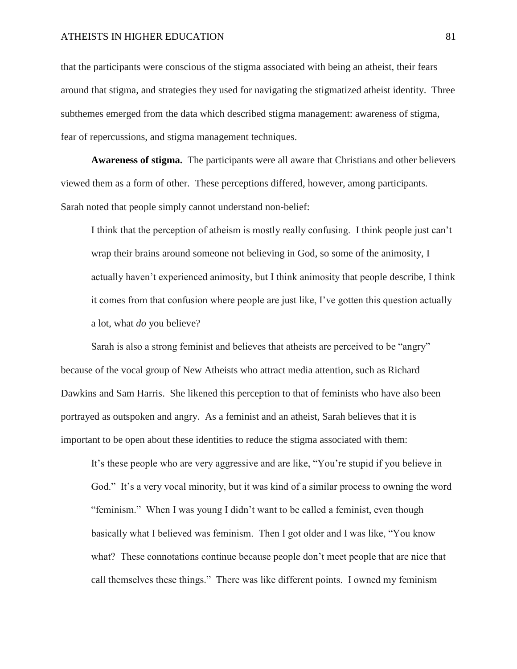that the participants were conscious of the stigma associated with being an atheist, their fears around that stigma, and strategies they used for navigating the stigmatized atheist identity. Three subthemes emerged from the data which described stigma management: awareness of stigma, fear of repercussions, and stigma management techniques.

**Awareness of stigma.** The participants were all aware that Christians and other believers viewed them as a form of other. These perceptions differed, however, among participants. Sarah noted that people simply cannot understand non-belief:

I think that the perception of atheism is mostly really confusing. I think people just can't wrap their brains around someone not believing in God, so some of the animosity, I actually haven't experienced animosity, but I think animosity that people describe, I think it comes from that confusion where people are just like, I've gotten this question actually a lot, what *do* you believe?

Sarah is also a strong feminist and believes that atheists are perceived to be "angry" because of the vocal group of New Atheists who attract media attention, such as Richard Dawkins and Sam Harris. She likened this perception to that of feminists who have also been portrayed as outspoken and angry. As a feminist and an atheist, Sarah believes that it is important to be open about these identities to reduce the stigma associated with them:

It's these people who are very aggressive and are like, "You're stupid if you believe in God." It's a very vocal minority, but it was kind of a similar process to owning the word "feminism." When I was young I didn't want to be called a feminist, even though basically what I believed was feminism. Then I got older and I was like, "You know what? These connotations continue because people don't meet people that are nice that call themselves these things." There was like different points. I owned my feminism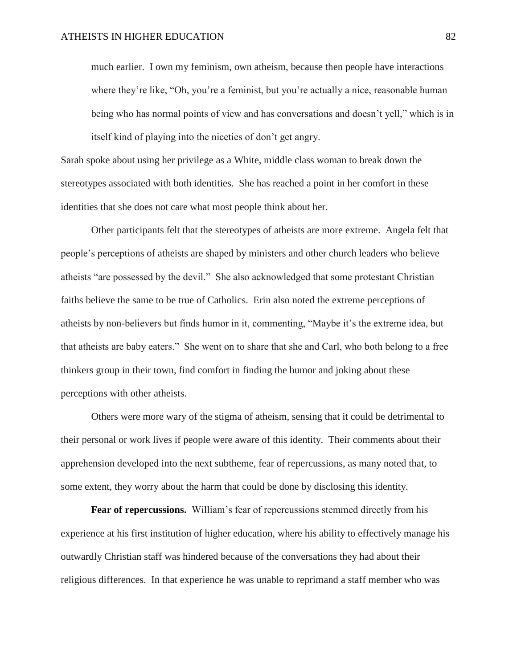much earlier. I own my feminism, own atheism, because then people have interactions where they're like, "Oh, you're a feminist, but you're actually a nice, reasonable human being who has normal points of view and has conversations and doesn't yell," which is in itself kind of playing into the niceties of don't get angry.

Sarah spoke about using her privilege as a White, middle class woman to break down the stereotypes associated with both identities. She has reached a point in her comfort in these identities that she does not care what most people think about her.

Other participants felt that the stereotypes of atheists are more extreme. Angela felt that people's perceptions of atheists are shaped by ministers and other church leaders who believe atheists "are possessed by the devil." She also acknowledged that some protestant Christian faiths believe the same to be true of Catholics. Erin also noted the extreme perceptions of atheists by non-believers but finds humor in it, commenting, "Maybe it's the extreme idea, but that atheists are baby eaters." She went on to share that she and Carl, who both belong to a free thinkers group in their town, find comfort in finding the humor and joking about these perceptions with other atheists.

Others were more wary of the stigma of atheism, sensing that it could be detrimental to their personal or work lives if people were aware of this identity. Their comments about their apprehension developed into the next subtheme, fear of repercussions, as many noted that, to some extent, they worry about the harm that could be done by disclosing this identity.

**Fear of repercussions.** William's fear of repercussions stemmed directly from his experience at his first institution of higher education, where his ability to effectively manage his outwardly Christian staff was hindered because of the conversations they had about their religious differences. In that experience he was unable to reprimand a staff member who was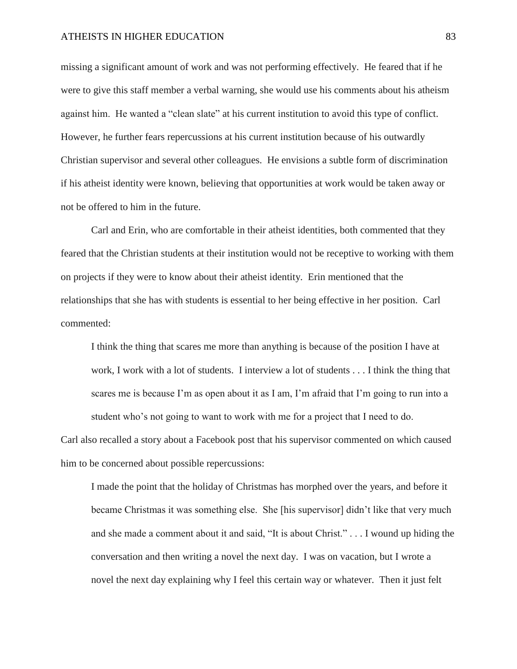missing a significant amount of work and was not performing effectively. He feared that if he were to give this staff member a verbal warning, she would use his comments about his atheism against him. He wanted a "clean slate" at his current institution to avoid this type of conflict. However, he further fears repercussions at his current institution because of his outwardly Christian supervisor and several other colleagues. He envisions a subtle form of discrimination if his atheist identity were known, believing that opportunities at work would be taken away or not be offered to him in the future.

Carl and Erin, who are comfortable in their atheist identities, both commented that they feared that the Christian students at their institution would not be receptive to working with them on projects if they were to know about their atheist identity. Erin mentioned that the relationships that she has with students is essential to her being effective in her position. Carl commented:

I think the thing that scares me more than anything is because of the position I have at work, I work with a lot of students. I interview a lot of students . . . I think the thing that scares me is because I'm as open about it as I am, I'm afraid that I'm going to run into a student who's not going to want to work with me for a project that I need to do.

Carl also recalled a story about a Facebook post that his supervisor commented on which caused him to be concerned about possible repercussions:

I made the point that the holiday of Christmas has morphed over the years, and before it became Christmas it was something else. She [his supervisor] didn't like that very much and she made a comment about it and said, "It is about Christ." . . . I wound up hiding the conversation and then writing a novel the next day. I was on vacation, but I wrote a novel the next day explaining why I feel this certain way or whatever. Then it just felt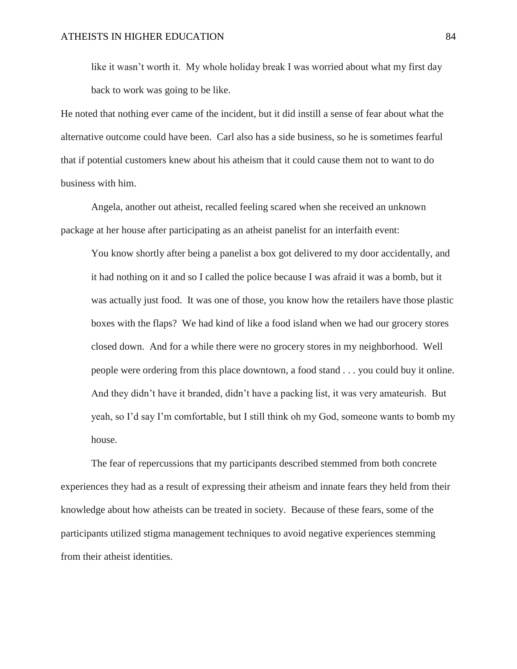like it wasn't worth it. My whole holiday break I was worried about what my first day back to work was going to be like.

He noted that nothing ever came of the incident, but it did instill a sense of fear about what the alternative outcome could have been. Carl also has a side business, so he is sometimes fearful that if potential customers knew about his atheism that it could cause them not to want to do business with him.

Angela, another out atheist, recalled feeling scared when she received an unknown package at her house after participating as an atheist panelist for an interfaith event:

You know shortly after being a panelist a box got delivered to my door accidentally, and it had nothing on it and so I called the police because I was afraid it was a bomb, but it was actually just food. It was one of those, you know how the retailers have those plastic boxes with the flaps? We had kind of like a food island when we had our grocery stores closed down. And for a while there were no grocery stores in my neighborhood. Well people were ordering from this place downtown, a food stand . . . you could buy it online. And they didn't have it branded, didn't have a packing list, it was very amateurish. But yeah, so I'd say I'm comfortable, but I still think oh my God, someone wants to bomb my house.

The fear of repercussions that my participants described stemmed from both concrete experiences they had as a result of expressing their atheism and innate fears they held from their knowledge about how atheists can be treated in society. Because of these fears, some of the participants utilized stigma management techniques to avoid negative experiences stemming from their atheist identities.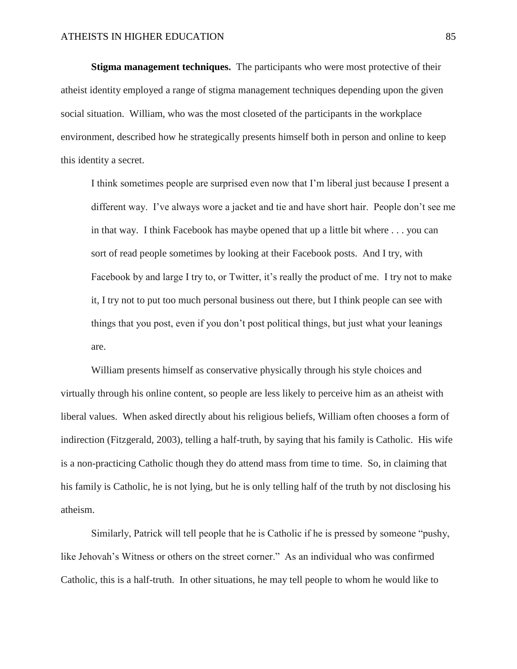**Stigma management techniques.** The participants who were most protective of their atheist identity employed a range of stigma management techniques depending upon the given social situation. William, who was the most closeted of the participants in the workplace environment, described how he strategically presents himself both in person and online to keep this identity a secret.

I think sometimes people are surprised even now that I'm liberal just because I present a different way. I've always wore a jacket and tie and have short hair. People don't see me in that way. I think Facebook has maybe opened that up a little bit where . . . you can sort of read people sometimes by looking at their Facebook posts. And I try, with Facebook by and large I try to, or Twitter, it's really the product of me. I try not to make it, I try not to put too much personal business out there, but I think people can see with things that you post, even if you don't post political things, but just what your leanings are.

William presents himself as conservative physically through his style choices and virtually through his online content, so people are less likely to perceive him as an atheist with liberal values. When asked directly about his religious beliefs, William often chooses a form of indirection (Fitzgerald, 2003), telling a half-truth, by saying that his family is Catholic. His wife is a non-practicing Catholic though they do attend mass from time to time. So, in claiming that his family is Catholic, he is not lying, but he is only telling half of the truth by not disclosing his atheism.

Similarly, Patrick will tell people that he is Catholic if he is pressed by someone "pushy, like Jehovah's Witness or others on the street corner." As an individual who was confirmed Catholic, this is a half-truth. In other situations, he may tell people to whom he would like to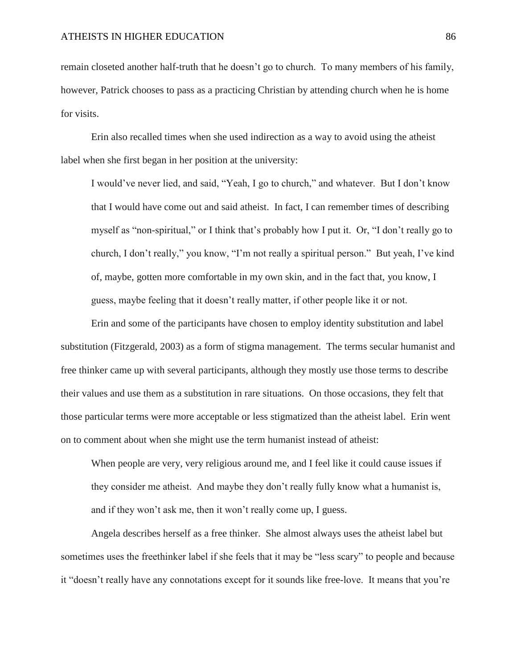remain closeted another half-truth that he doesn't go to church. To many members of his family, however, Patrick chooses to pass as a practicing Christian by attending church when he is home for visits.

Erin also recalled times when she used indirection as a way to avoid using the atheist label when she first began in her position at the university:

I would've never lied, and said, "Yeah, I go to church," and whatever. But I don't know that I would have come out and said atheist. In fact, I can remember times of describing myself as "non-spiritual," or I think that's probably how I put it. Or, "I don't really go to church, I don't really," you know, "I'm not really a spiritual person." But yeah, I've kind of, maybe, gotten more comfortable in my own skin, and in the fact that, you know, I guess, maybe feeling that it doesn't really matter, if other people like it or not.

Erin and some of the participants have chosen to employ identity substitution and label substitution (Fitzgerald, 2003) as a form of stigma management. The terms secular humanist and free thinker came up with several participants, although they mostly use those terms to describe their values and use them as a substitution in rare situations. On those occasions, they felt that those particular terms were more acceptable or less stigmatized than the atheist label. Erin went on to comment about when she might use the term humanist instead of atheist:

When people are very, very religious around me, and I feel like it could cause issues if they consider me atheist. And maybe they don't really fully know what a humanist is, and if they won't ask me, then it won't really come up, I guess.

Angela describes herself as a free thinker. She almost always uses the atheist label but sometimes uses the freethinker label if she feels that it may be "less scary" to people and because it "doesn't really have any connotations except for it sounds like free-love. It means that you're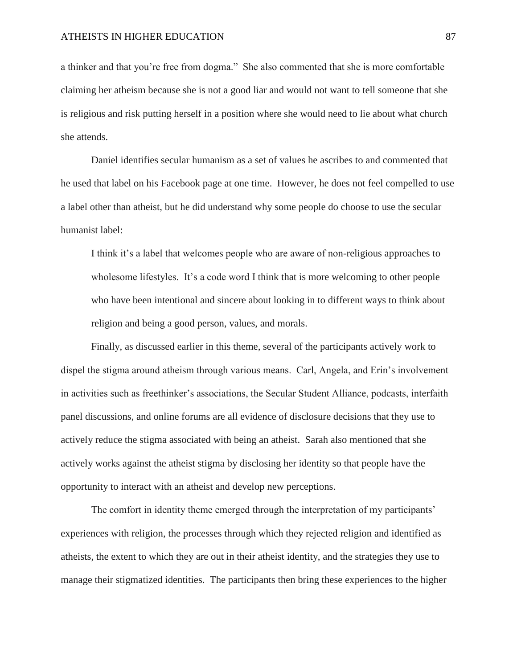a thinker and that you're free from dogma." She also commented that she is more comfortable claiming her atheism because she is not a good liar and would not want to tell someone that she is religious and risk putting herself in a position where she would need to lie about what church she attends.

Daniel identifies secular humanism as a set of values he ascribes to and commented that he used that label on his Facebook page at one time. However, he does not feel compelled to use a label other than atheist, but he did understand why some people do choose to use the secular humanist label:

I think it's a label that welcomes people who are aware of non-religious approaches to wholesome lifestyles. It's a code word I think that is more welcoming to other people who have been intentional and sincere about looking in to different ways to think about religion and being a good person, values, and morals.

Finally, as discussed earlier in this theme, several of the participants actively work to dispel the stigma around atheism through various means. Carl, Angela, and Erin's involvement in activities such as freethinker's associations, the Secular Student Alliance, podcasts, interfaith panel discussions, and online forums are all evidence of disclosure decisions that they use to actively reduce the stigma associated with being an atheist. Sarah also mentioned that she actively works against the atheist stigma by disclosing her identity so that people have the opportunity to interact with an atheist and develop new perceptions.

The comfort in identity theme emerged through the interpretation of my participants' experiences with religion, the processes through which they rejected religion and identified as atheists, the extent to which they are out in their atheist identity, and the strategies they use to manage their stigmatized identities. The participants then bring these experiences to the higher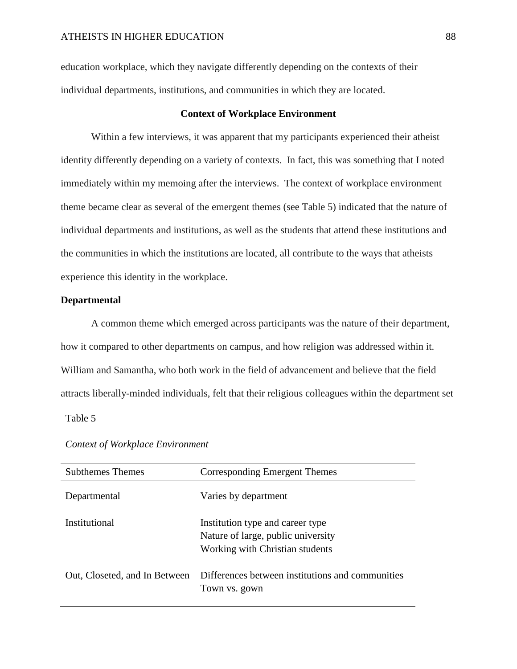education workplace, which they navigate differently depending on the contexts of their individual departments, institutions, and communities in which they are located.

#### **Context of Workplace Environment**

Within a few interviews, it was apparent that my participants experienced their atheist identity differently depending on a variety of contexts. In fact, this was something that I noted immediately within my memoing after the interviews. The context of workplace environment theme became clear as several of the emergent themes (see Table 5) indicated that the nature of individual departments and institutions, as well as the students that attend these institutions and the communities in which the institutions are located, all contribute to the ways that atheists experience this identity in the workplace.

### **Departmental**

A common theme which emerged across participants was the nature of their department, how it compared to other departments on campus, and how religion was addressed within it. William and Samantha, who both work in the field of advancement and believe that the field attracts liberally-minded individuals, felt that their religious colleagues within the department set

# Table 5

| <b>Subthemes Themes</b>       | Corresponding Emergent Themes                                                                             |
|-------------------------------|-----------------------------------------------------------------------------------------------------------|
| Departmental                  | Varies by department                                                                                      |
| Institutional                 | Institution type and career type<br>Nature of large, public university<br>Working with Christian students |
| Out, Closeted, and In Between | Differences between institutions and communities<br>Town vs. gown                                         |

### *Context of Workplace Environment*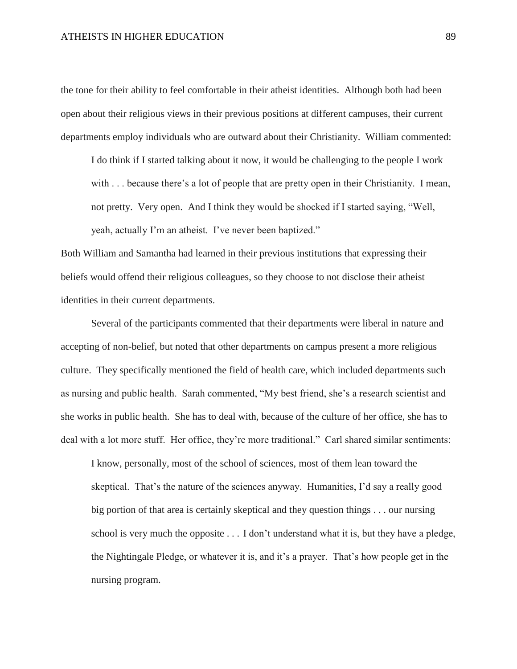the tone for their ability to feel comfortable in their atheist identities. Although both had been open about their religious views in their previous positions at different campuses, their current departments employ individuals who are outward about their Christianity. William commented:

I do think if I started talking about it now, it would be challenging to the people I work with . . . because there's a lot of people that are pretty open in their Christianity. I mean, not pretty. Very open. And I think they would be shocked if I started saying, "Well, yeah, actually I'm an atheist. I've never been baptized."

Both William and Samantha had learned in their previous institutions that expressing their beliefs would offend their religious colleagues, so they choose to not disclose their atheist identities in their current departments.

Several of the participants commented that their departments were liberal in nature and accepting of non-belief, but noted that other departments on campus present a more religious culture. They specifically mentioned the field of health care, which included departments such as nursing and public health. Sarah commented, "My best friend, she's a research scientist and she works in public health. She has to deal with, because of the culture of her office, she has to deal with a lot more stuff. Her office, they're more traditional." Carl shared similar sentiments:

I know, personally, most of the school of sciences, most of them lean toward the skeptical. That's the nature of the sciences anyway. Humanities, I'd say a really good big portion of that area is certainly skeptical and they question things . . . our nursing school is very much the opposite . . . I don't understand what it is, but they have a pledge, the Nightingale Pledge, or whatever it is, and it's a prayer. That's how people get in the nursing program.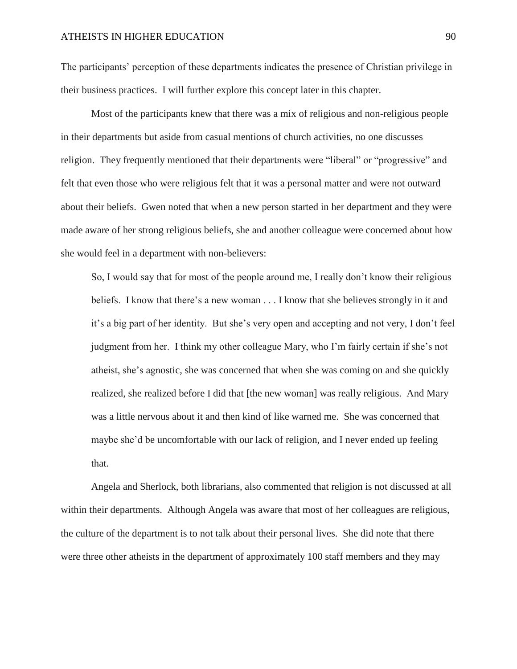The participants' perception of these departments indicates the presence of Christian privilege in their business practices. I will further explore this concept later in this chapter.

Most of the participants knew that there was a mix of religious and non-religious people in their departments but aside from casual mentions of church activities, no one discusses religion. They frequently mentioned that their departments were "liberal" or "progressive" and felt that even those who were religious felt that it was a personal matter and were not outward about their beliefs. Gwen noted that when a new person started in her department and they were made aware of her strong religious beliefs, she and another colleague were concerned about how she would feel in a department with non-believers:

So, I would say that for most of the people around me, I really don't know their religious beliefs. I know that there's a new woman . . . I know that she believes strongly in it and it's a big part of her identity. But she's very open and accepting and not very, I don't feel judgment from her. I think my other colleague Mary, who I'm fairly certain if she's not atheist, she's agnostic, she was concerned that when she was coming on and she quickly realized, she realized before I did that [the new woman] was really religious. And Mary was a little nervous about it and then kind of like warned me. She was concerned that maybe she'd be uncomfortable with our lack of religion, and I never ended up feeling that.

Angela and Sherlock, both librarians, also commented that religion is not discussed at all within their departments. Although Angela was aware that most of her colleagues are religious, the culture of the department is to not talk about their personal lives. She did note that there were three other atheists in the department of approximately 100 staff members and they may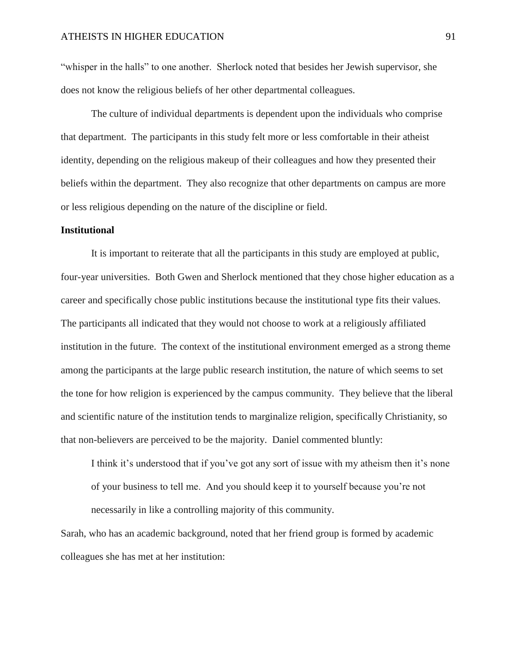"whisper in the halls" to one another. Sherlock noted that besides her Jewish supervisor, she does not know the religious beliefs of her other departmental colleagues.

The culture of individual departments is dependent upon the individuals who comprise that department. The participants in this study felt more or less comfortable in their atheist identity, depending on the religious makeup of their colleagues and how they presented their beliefs within the department. They also recognize that other departments on campus are more or less religious depending on the nature of the discipline or field.

#### **Institutional**

It is important to reiterate that all the participants in this study are employed at public, four-year universities. Both Gwen and Sherlock mentioned that they chose higher education as a career and specifically chose public institutions because the institutional type fits their values. The participants all indicated that they would not choose to work at a religiously affiliated institution in the future. The context of the institutional environment emerged as a strong theme among the participants at the large public research institution, the nature of which seems to set the tone for how religion is experienced by the campus community. They believe that the liberal and scientific nature of the institution tends to marginalize religion, specifically Christianity, so that non-believers are perceived to be the majority. Daniel commented bluntly:

I think it's understood that if you've got any sort of issue with my atheism then it's none of your business to tell me. And you should keep it to yourself because you're not necessarily in like a controlling majority of this community.

Sarah, who has an academic background, noted that her friend group is formed by academic colleagues she has met at her institution: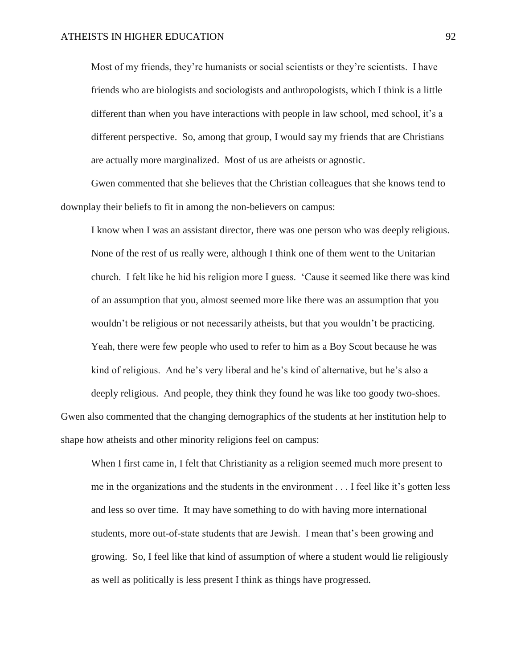Most of my friends, they're humanists or social scientists or they're scientists. I have friends who are biologists and sociologists and anthropologists, which I think is a little different than when you have interactions with people in law school, med school, it's a different perspective. So, among that group, I would say my friends that are Christians are actually more marginalized. Most of us are atheists or agnostic.

Gwen commented that she believes that the Christian colleagues that she knows tend to downplay their beliefs to fit in among the non-believers on campus:

I know when I was an assistant director, there was one person who was deeply religious. None of the rest of us really were, although I think one of them went to the Unitarian church. I felt like he hid his religion more I guess. 'Cause it seemed like there was kind of an assumption that you, almost seemed more like there was an assumption that you wouldn't be religious or not necessarily atheists, but that you wouldn't be practicing. Yeah, there were few people who used to refer to him as a Boy Scout because he was kind of religious. And he's very liberal and he's kind of alternative, but he's also a

deeply religious. And people, they think they found he was like too goody two-shoes. Gwen also commented that the changing demographics of the students at her institution help to shape how atheists and other minority religions feel on campus:

When I first came in, I felt that Christianity as a religion seemed much more present to me in the organizations and the students in the environment . . . I feel like it's gotten less and less so over time. It may have something to do with having more international students, more out-of-state students that are Jewish. I mean that's been growing and growing. So, I feel like that kind of assumption of where a student would lie religiously as well as politically is less present I think as things have progressed.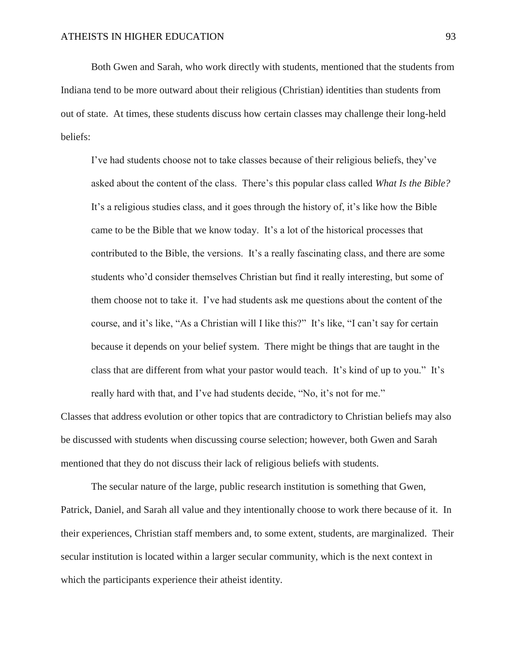Both Gwen and Sarah, who work directly with students, mentioned that the students from Indiana tend to be more outward about their religious (Christian) identities than students from out of state. At times, these students discuss how certain classes may challenge their long-held beliefs:

I've had students choose not to take classes because of their religious beliefs, they've asked about the content of the class. There's this popular class called *What Is the Bible?*  It's a religious studies class, and it goes through the history of, it's like how the Bible came to be the Bible that we know today. It's a lot of the historical processes that contributed to the Bible, the versions. It's a really fascinating class, and there are some students who'd consider themselves Christian but find it really interesting, but some of them choose not to take it. I've had students ask me questions about the content of the course, and it's like, "As a Christian will I like this?" It's like, "I can't say for certain because it depends on your belief system. There might be things that are taught in the class that are different from what your pastor would teach. It's kind of up to you." It's really hard with that, and I've had students decide, "No, it's not for me."

Classes that address evolution or other topics that are contradictory to Christian beliefs may also be discussed with students when discussing course selection; however, both Gwen and Sarah mentioned that they do not discuss their lack of religious beliefs with students.

The secular nature of the large, public research institution is something that Gwen, Patrick, Daniel, and Sarah all value and they intentionally choose to work there because of it. In their experiences, Christian staff members and, to some extent, students, are marginalized. Their secular institution is located within a larger secular community, which is the next context in which the participants experience their atheist identity.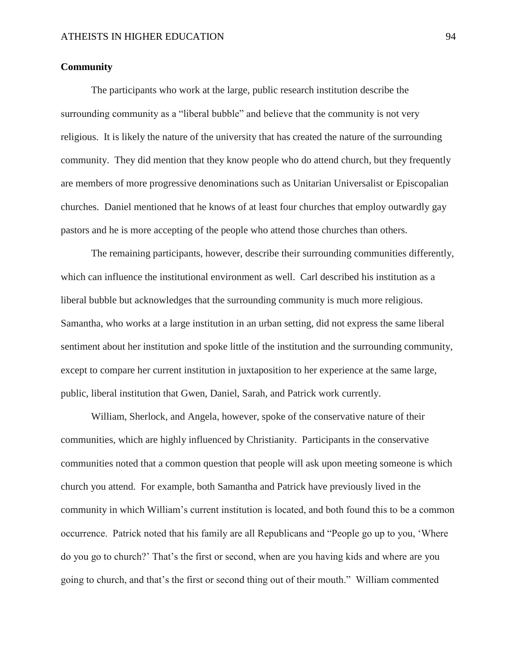### **Community**

The participants who work at the large, public research institution describe the surrounding community as a "liberal bubble" and believe that the community is not very religious. It is likely the nature of the university that has created the nature of the surrounding community. They did mention that they know people who do attend church, but they frequently are members of more progressive denominations such as Unitarian Universalist or Episcopalian churches. Daniel mentioned that he knows of at least four churches that employ outwardly gay pastors and he is more accepting of the people who attend those churches than others.

The remaining participants, however, describe their surrounding communities differently, which can influence the institutional environment as well. Carl described his institution as a liberal bubble but acknowledges that the surrounding community is much more religious. Samantha, who works at a large institution in an urban setting, did not express the same liberal sentiment about her institution and spoke little of the institution and the surrounding community, except to compare her current institution in juxtaposition to her experience at the same large, public, liberal institution that Gwen, Daniel, Sarah, and Patrick work currently.

William, Sherlock, and Angela, however, spoke of the conservative nature of their communities, which are highly influenced by Christianity. Participants in the conservative communities noted that a common question that people will ask upon meeting someone is which church you attend. For example, both Samantha and Patrick have previously lived in the community in which William's current institution is located, and both found this to be a common occurrence. Patrick noted that his family are all Republicans and "People go up to you, 'Where do you go to church?' That's the first or second, when are you having kids and where are you going to church, and that's the first or second thing out of their mouth." William commented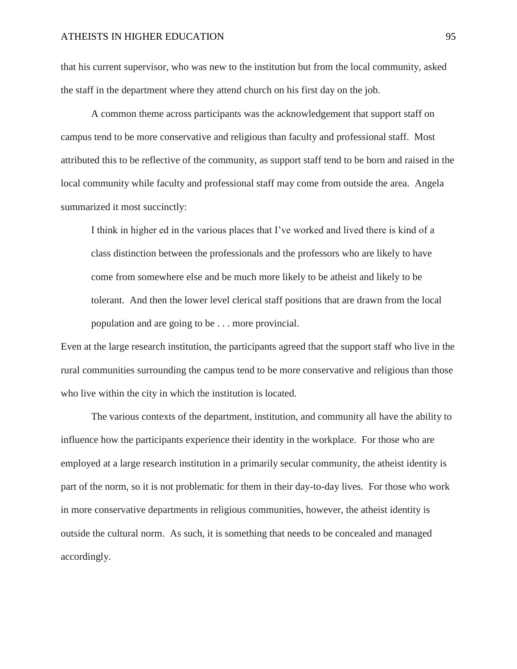that his current supervisor, who was new to the institution but from the local community, asked the staff in the department where they attend church on his first day on the job.

A common theme across participants was the acknowledgement that support staff on campus tend to be more conservative and religious than faculty and professional staff. Most attributed this to be reflective of the community, as support staff tend to be born and raised in the local community while faculty and professional staff may come from outside the area. Angela summarized it most succinctly:

I think in higher ed in the various places that I've worked and lived there is kind of a class distinction between the professionals and the professors who are likely to have come from somewhere else and be much more likely to be atheist and likely to be tolerant. And then the lower level clerical staff positions that are drawn from the local population and are going to be . . . more provincial.

Even at the large research institution, the participants agreed that the support staff who live in the rural communities surrounding the campus tend to be more conservative and religious than those who live within the city in which the institution is located.

The various contexts of the department, institution, and community all have the ability to influence how the participants experience their identity in the workplace. For those who are employed at a large research institution in a primarily secular community, the atheist identity is part of the norm, so it is not problematic for them in their day-to-day lives. For those who work in more conservative departments in religious communities, however, the atheist identity is outside the cultural norm. As such, it is something that needs to be concealed and managed accordingly.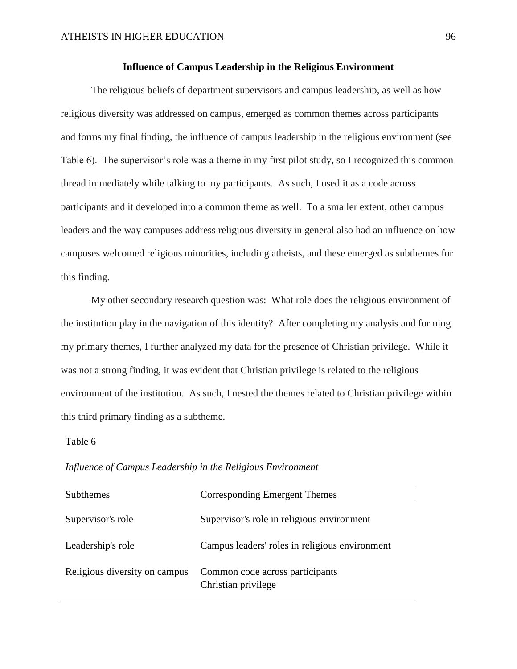### **Influence of Campus Leadership in the Religious Environment**

The religious beliefs of department supervisors and campus leadership, as well as how religious diversity was addressed on campus, emerged as common themes across participants and forms my final finding, the influence of campus leadership in the religious environment (see Table 6). The supervisor's role was a theme in my first pilot study, so I recognized this common thread immediately while talking to my participants. As such, I used it as a code across participants and it developed into a common theme as well. To a smaller extent, other campus leaders and the way campuses address religious diversity in general also had an influence on how campuses welcomed religious minorities, including atheists, and these emerged as subthemes for this finding.

My other secondary research question was: What role does the religious environment of the institution play in the navigation of this identity? After completing my analysis and forming my primary themes, I further analyzed my data for the presence of Christian privilege. While it was not a strong finding, it was evident that Christian privilege is related to the religious environment of the institution. As such, I nested the themes related to Christian privilege within this third primary finding as a subtheme.

# Table 6

| <b>Subthemes</b>              | Corresponding Emergent Themes                          |
|-------------------------------|--------------------------------------------------------|
| Supervisor's role             | Supervisor's role in religious environment             |
| Leadership's role             | Campus leaders' roles in religious environment         |
| Religious diversity on campus | Common code across participants<br>Christian privilege |

*Influence of Campus Leadership in the Religious Environment*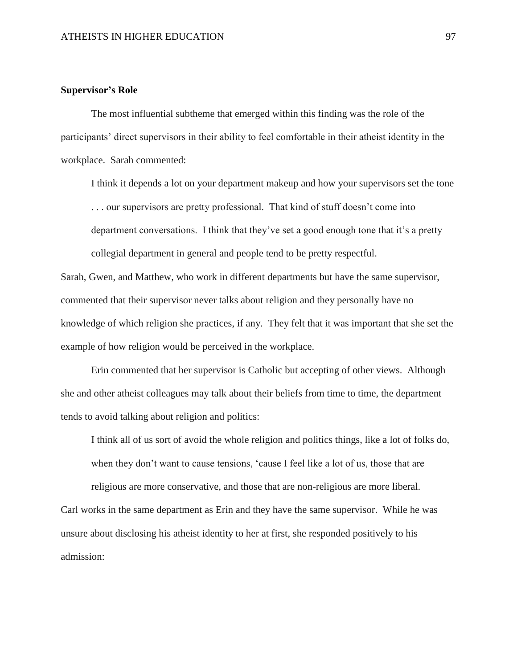#### **Supervisor's Role**

The most influential subtheme that emerged within this finding was the role of the participants' direct supervisors in their ability to feel comfortable in their atheist identity in the workplace. Sarah commented:

I think it depends a lot on your department makeup and how your supervisors set the tone . . . our supervisors are pretty professional. That kind of stuff doesn't come into department conversations. I think that they've set a good enough tone that it's a pretty collegial department in general and people tend to be pretty respectful.

Sarah, Gwen, and Matthew, who work in different departments but have the same supervisor, commented that their supervisor never talks about religion and they personally have no knowledge of which religion she practices, if any. They felt that it was important that she set the example of how religion would be perceived in the workplace.

Erin commented that her supervisor is Catholic but accepting of other views. Although she and other atheist colleagues may talk about their beliefs from time to time, the department tends to avoid talking about religion and politics:

I think all of us sort of avoid the whole religion and politics things, like a lot of folks do, when they don't want to cause tensions, 'cause I feel like a lot of us, those that are

religious are more conservative, and those that are non-religious are more liberal. Carl works in the same department as Erin and they have the same supervisor. While he was unsure about disclosing his atheist identity to her at first, she responded positively to his admission: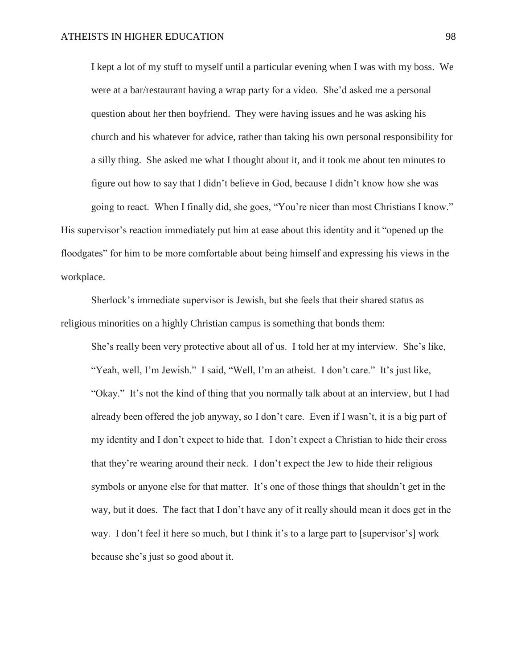I kept a lot of my stuff to myself until a particular evening when I was with my boss. We were at a bar/restaurant having a wrap party for a video. She'd asked me a personal question about her then boyfriend. They were having issues and he was asking his church and his whatever for advice, rather than taking his own personal responsibility for a silly thing. She asked me what I thought about it, and it took me about ten minutes to figure out how to say that I didn't believe in God, because I didn't know how she was going to react. When I finally did, she goes, "You're nicer than most Christians I know." His supervisor's reaction immediately put him at ease about this identity and it "opened up the floodgates" for him to be more comfortable about being himself and expressing his views in the workplace.

Sherlock's immediate supervisor is Jewish, but she feels that their shared status as religious minorities on a highly Christian campus is something that bonds them:

She's really been very protective about all of us. I told her at my interview. She's like, "Yeah, well, I'm Jewish." I said, "Well, I'm an atheist. I don't care." It's just like, "Okay." It's not the kind of thing that you normally talk about at an interview, but I had already been offered the job anyway, so I don't care. Even if I wasn't, it is a big part of my identity and I don't expect to hide that. I don't expect a Christian to hide their cross that they're wearing around their neck. I don't expect the Jew to hide their religious symbols or anyone else for that matter. It's one of those things that shouldn't get in the way, but it does. The fact that I don't have any of it really should mean it does get in the way. I don't feel it here so much, but I think it's to a large part to [supervisor's] work because she's just so good about it.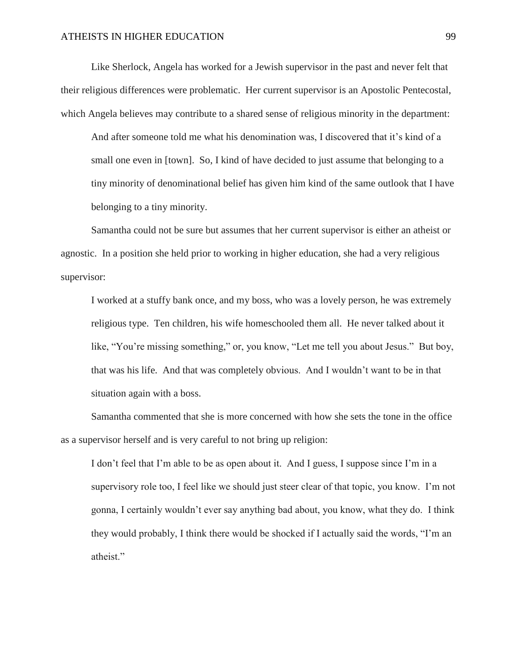Like Sherlock, Angela has worked for a Jewish supervisor in the past and never felt that their religious differences were problematic. Her current supervisor is an Apostolic Pentecostal, which Angela believes may contribute to a shared sense of religious minority in the department:

And after someone told me what his denomination was, I discovered that it's kind of a small one even in [town]. So, I kind of have decided to just assume that belonging to a tiny minority of denominational belief has given him kind of the same outlook that I have belonging to a tiny minority.

Samantha could not be sure but assumes that her current supervisor is either an atheist or agnostic. In a position she held prior to working in higher education, she had a very religious supervisor:

I worked at a stuffy bank once, and my boss, who was a lovely person, he was extremely religious type. Ten children, his wife homeschooled them all. He never talked about it like, "You're missing something," or, you know, "Let me tell you about Jesus." But boy, that was his life. And that was completely obvious. And I wouldn't want to be in that situation again with a boss.

Samantha commented that she is more concerned with how she sets the tone in the office as a supervisor herself and is very careful to not bring up religion:

I don't feel that I'm able to be as open about it. And I guess, I suppose since I'm in a supervisory role too, I feel like we should just steer clear of that topic, you know. I'm not gonna, I certainly wouldn't ever say anything bad about, you know, what they do. I think they would probably, I think there would be shocked if I actually said the words, "I'm an atheist."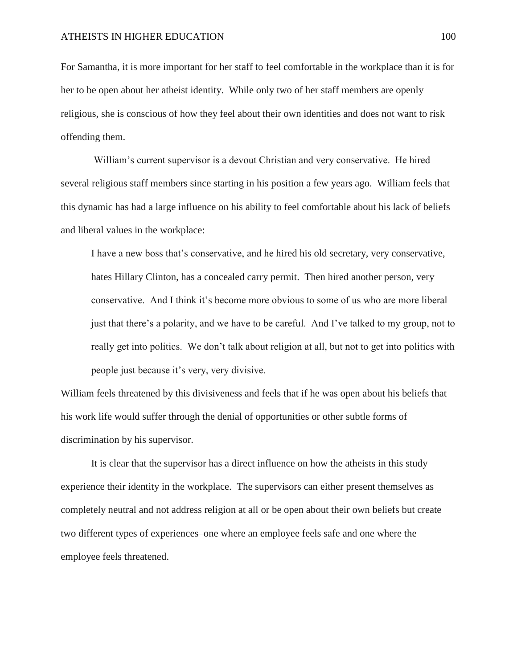For Samantha, it is more important for her staff to feel comfortable in the workplace than it is for her to be open about her atheist identity. While only two of her staff members are openly religious, she is conscious of how they feel about their own identities and does not want to risk offending them.

William's current supervisor is a devout Christian and very conservative. He hired several religious staff members since starting in his position a few years ago. William feels that this dynamic has had a large influence on his ability to feel comfortable about his lack of beliefs and liberal values in the workplace:

I have a new boss that's conservative, and he hired his old secretary, very conservative, hates Hillary Clinton, has a concealed carry permit. Then hired another person, very conservative. And I think it's become more obvious to some of us who are more liberal just that there's a polarity, and we have to be careful. And I've talked to my group, not to really get into politics. We don't talk about religion at all, but not to get into politics with people just because it's very, very divisive.

William feels threatened by this divisiveness and feels that if he was open about his beliefs that his work life would suffer through the denial of opportunities or other subtle forms of discrimination by his supervisor.

It is clear that the supervisor has a direct influence on how the atheists in this study experience their identity in the workplace. The supervisors can either present themselves as completely neutral and not address religion at all or be open about their own beliefs but create two different types of experiences–one where an employee feels safe and one where the employee feels threatened.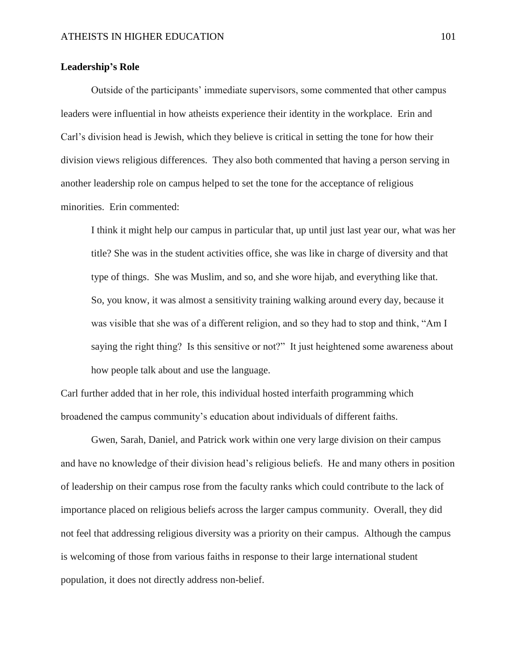## **Leadership's Role**

Outside of the participants' immediate supervisors, some commented that other campus leaders were influential in how atheists experience their identity in the workplace. Erin and Carl's division head is Jewish, which they believe is critical in setting the tone for how their division views religious differences. They also both commented that having a person serving in another leadership role on campus helped to set the tone for the acceptance of religious minorities. Erin commented:

I think it might help our campus in particular that, up until just last year our, what was her title? She was in the student activities office, she was like in charge of diversity and that type of things. She was Muslim, and so, and she wore hijab, and everything like that. So, you know, it was almost a sensitivity training walking around every day, because it was visible that she was of a different religion, and so they had to stop and think, "Am I saying the right thing? Is this sensitive or not?" It just heightened some awareness about how people talk about and use the language.

Carl further added that in her role, this individual hosted interfaith programming which broadened the campus community's education about individuals of different faiths.

Gwen, Sarah, Daniel, and Patrick work within one very large division on their campus and have no knowledge of their division head's religious beliefs. He and many others in position of leadership on their campus rose from the faculty ranks which could contribute to the lack of importance placed on religious beliefs across the larger campus community. Overall, they did not feel that addressing religious diversity was a priority on their campus. Although the campus is welcoming of those from various faiths in response to their large international student population, it does not directly address non-belief.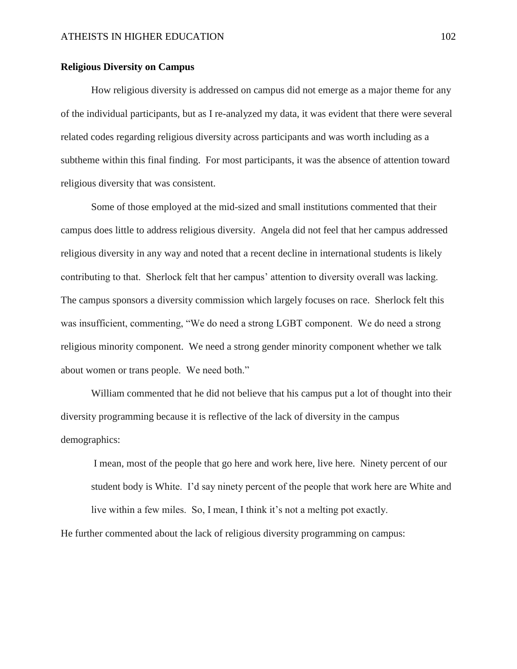## **Religious Diversity on Campus**

How religious diversity is addressed on campus did not emerge as a major theme for any of the individual participants, but as I re-analyzed my data, it was evident that there were several related codes regarding religious diversity across participants and was worth including as a subtheme within this final finding. For most participants, it was the absence of attention toward religious diversity that was consistent.

Some of those employed at the mid-sized and small institutions commented that their campus does little to address religious diversity. Angela did not feel that her campus addressed religious diversity in any way and noted that a recent decline in international students is likely contributing to that. Sherlock felt that her campus' attention to diversity overall was lacking. The campus sponsors a diversity commission which largely focuses on race. Sherlock felt this was insufficient, commenting, "We do need a strong LGBT component. We do need a strong religious minority component. We need a strong gender minority component whether we talk about women or trans people. We need both."

William commented that he did not believe that his campus put a lot of thought into their diversity programming because it is reflective of the lack of diversity in the campus demographics:

I mean, most of the people that go here and work here, live here. Ninety percent of our student body is White. I'd say ninety percent of the people that work here are White and live within a few miles. So, I mean, I think it's not a melting pot exactly.

He further commented about the lack of religious diversity programming on campus: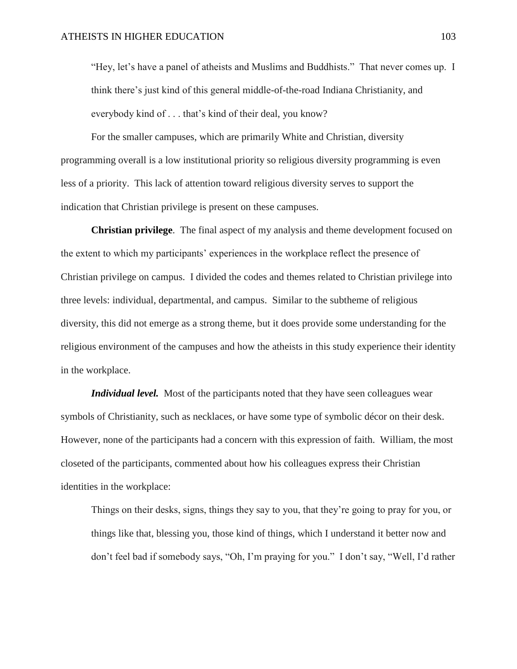"Hey, let's have a panel of atheists and Muslims and Buddhists." That never comes up. I think there's just kind of this general middle-of-the-road Indiana Christianity, and everybody kind of . . . that's kind of their deal, you know?

For the smaller campuses, which are primarily White and Christian, diversity programming overall is a low institutional priority so religious diversity programming is even less of a priority. This lack of attention toward religious diversity serves to support the indication that Christian privilege is present on these campuses.

**Christian privilege**. The final aspect of my analysis and theme development focused on the extent to which my participants' experiences in the workplace reflect the presence of Christian privilege on campus. I divided the codes and themes related to Christian privilege into three levels: individual, departmental, and campus. Similar to the subtheme of religious diversity, this did not emerge as a strong theme, but it does provide some understanding for the religious environment of the campuses and how the atheists in this study experience their identity in the workplace.

*Individual level.* Most of the participants noted that they have seen colleagues wear symbols of Christianity, such as necklaces, or have some type of symbolic décor on their desk. However, none of the participants had a concern with this expression of faith. William, the most closeted of the participants, commented about how his colleagues express their Christian identities in the workplace:

Things on their desks, signs, things they say to you, that they're going to pray for you, or things like that, blessing you, those kind of things, which I understand it better now and don't feel bad if somebody says, "Oh, I'm praying for you." I don't say, "Well, I'd rather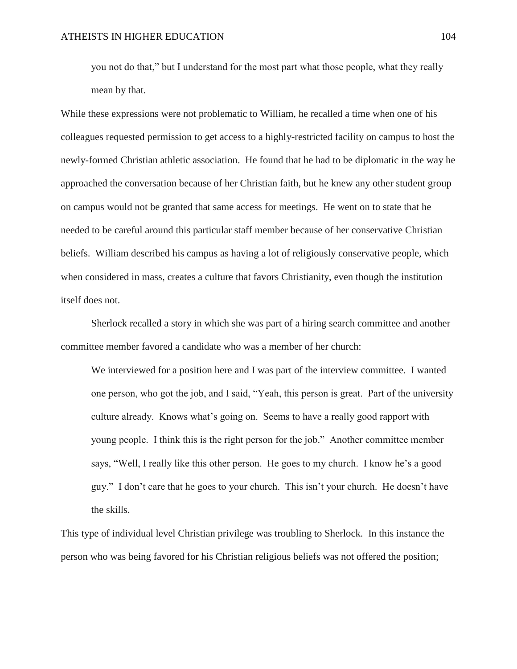you not do that," but I understand for the most part what those people, what they really mean by that.

While these expressions were not problematic to William, he recalled a time when one of his colleagues requested permission to get access to a highly-restricted facility on campus to host the newly-formed Christian athletic association. He found that he had to be diplomatic in the way he approached the conversation because of her Christian faith, but he knew any other student group on campus would not be granted that same access for meetings. He went on to state that he needed to be careful around this particular staff member because of her conservative Christian beliefs. William described his campus as having a lot of religiously conservative people, which when considered in mass, creates a culture that favors Christianity, even though the institution itself does not.

Sherlock recalled a story in which she was part of a hiring search committee and another committee member favored a candidate who was a member of her church:

We interviewed for a position here and I was part of the interview committee. I wanted one person, who got the job, and I said, "Yeah, this person is great. Part of the university culture already. Knows what's going on. Seems to have a really good rapport with young people. I think this is the right person for the job." Another committee member says, "Well, I really like this other person. He goes to my church. I know he's a good guy." I don't care that he goes to your church. This isn't your church. He doesn't have the skills.

This type of individual level Christian privilege was troubling to Sherlock. In this instance the person who was being favored for his Christian religious beliefs was not offered the position;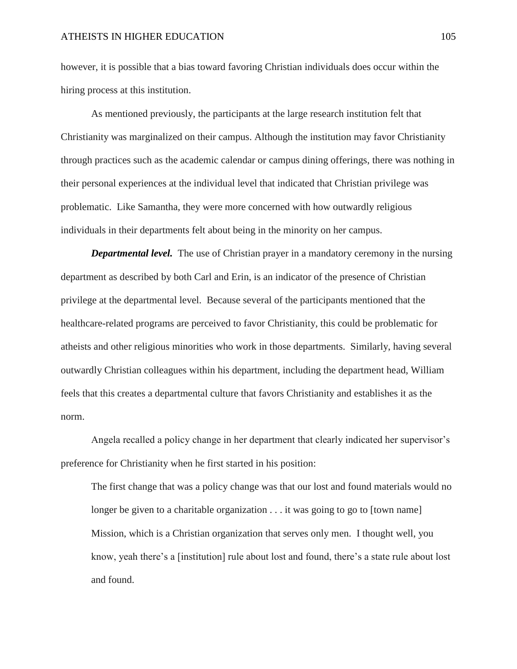however, it is possible that a bias toward favoring Christian individuals does occur within the hiring process at this institution.

As mentioned previously, the participants at the large research institution felt that Christianity was marginalized on their campus. Although the institution may favor Christianity through practices such as the academic calendar or campus dining offerings, there was nothing in their personal experiences at the individual level that indicated that Christian privilege was problematic. Like Samantha, they were more concerned with how outwardly religious individuals in their departments felt about being in the minority on her campus.

*Departmental level.* The use of Christian prayer in a mandatory ceremony in the nursing department as described by both Carl and Erin, is an indicator of the presence of Christian privilege at the departmental level. Because several of the participants mentioned that the healthcare-related programs are perceived to favor Christianity, this could be problematic for atheists and other religious minorities who work in those departments. Similarly, having several outwardly Christian colleagues within his department, including the department head, William feels that this creates a departmental culture that favors Christianity and establishes it as the norm.

Angela recalled a policy change in her department that clearly indicated her supervisor's preference for Christianity when he first started in his position:

The first change that was a policy change was that our lost and found materials would no longer be given to a charitable organization . . . it was going to go to [town name] Mission, which is a Christian organization that serves only men. I thought well, you know, yeah there's a [institution] rule about lost and found, there's a state rule about lost and found.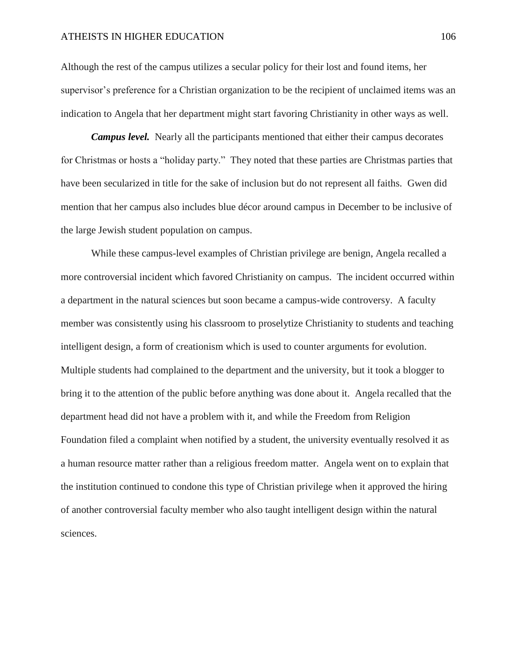Although the rest of the campus utilizes a secular policy for their lost and found items, her supervisor's preference for a Christian organization to be the recipient of unclaimed items was an indication to Angela that her department might start favoring Christianity in other ways as well.

*Campus level.* Nearly all the participants mentioned that either their campus decorates for Christmas or hosts a "holiday party."They noted that these parties are Christmas parties that have been secularized in title for the sake of inclusion but do not represent all faiths.Gwen did mention that her campus also includes blue décor around campus in December to be inclusive of the large Jewish student population on campus.

While these campus-level examples of Christian privilege are benign, Angela recalled a more controversial incident which favored Christianity on campus. The incident occurred within a department in the natural sciences but soon became a campus-wide controversy. A faculty member was consistently using his classroom to proselytize Christianity to students and teaching intelligent design, a form of creationism which is used to counter arguments for evolution. Multiple students had complained to the department and the university, but it took a blogger to bring it to the attention of the public before anything was done about it. Angela recalled that the department head did not have a problem with it, and while the Freedom from Religion Foundation filed a complaint when notified by a student, the university eventually resolved it as a human resource matter rather than a religious freedom matter. Angela went on to explain that the institution continued to condone this type of Christian privilege when it approved the hiring of another controversial faculty member who also taught intelligent design within the natural sciences.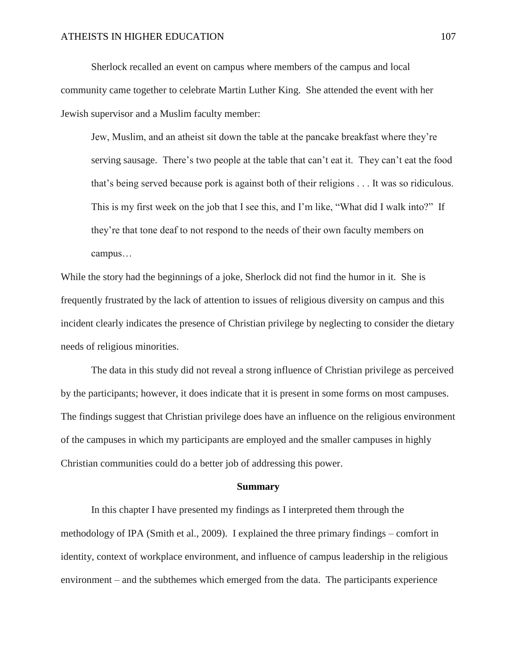Sherlock recalled an event on campus where members of the campus and local community came together to celebrate Martin Luther King. She attended the event with her Jewish supervisor and a Muslim faculty member:

Jew, Muslim, and an atheist sit down the table at the pancake breakfast where they're serving sausage. There's two people at the table that can't eat it. They can't eat the food that's being served because pork is against both of their religions . . . It was so ridiculous. This is my first week on the job that I see this, and I'm like, "What did I walk into?" If they're that tone deaf to not respond to the needs of their own faculty members on campus…

While the story had the beginnings of a joke, Sherlock did not find the humor in it. She is frequently frustrated by the lack of attention to issues of religious diversity on campus and this incident clearly indicates the presence of Christian privilege by neglecting to consider the dietary needs of religious minorities.

The data in this study did not reveal a strong influence of Christian privilege as perceived by the participants; however, it does indicate that it is present in some forms on most campuses. The findings suggest that Christian privilege does have an influence on the religious environment of the campuses in which my participants are employed and the smaller campuses in highly Christian communities could do a better job of addressing this power.

#### **Summary**

In this chapter I have presented my findings as I interpreted them through the methodology of IPA (Smith et al., 2009). I explained the three primary findings – comfort in identity, context of workplace environment, and influence of campus leadership in the religious environment – and the subthemes which emerged from the data. The participants experience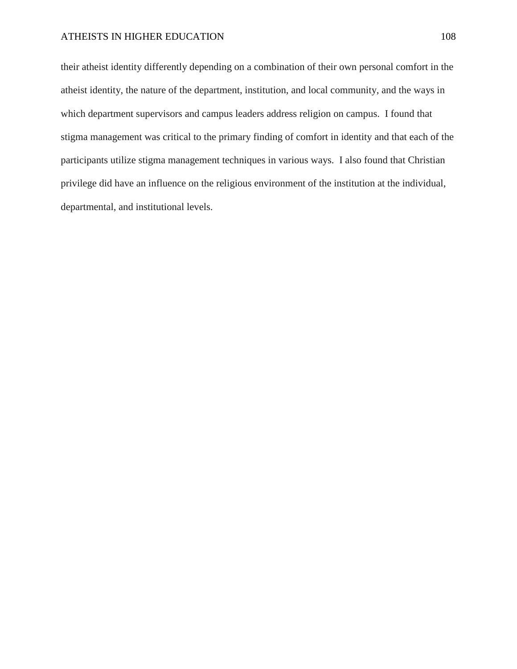their atheist identity differently depending on a combination of their own personal comfort in the atheist identity, the nature of the department, institution, and local community, and the ways in which department supervisors and campus leaders address religion on campus. I found that stigma management was critical to the primary finding of comfort in identity and that each of the participants utilize stigma management techniques in various ways. I also found that Christian privilege did have an influence on the religious environment of the institution at the individual, departmental, and institutional levels.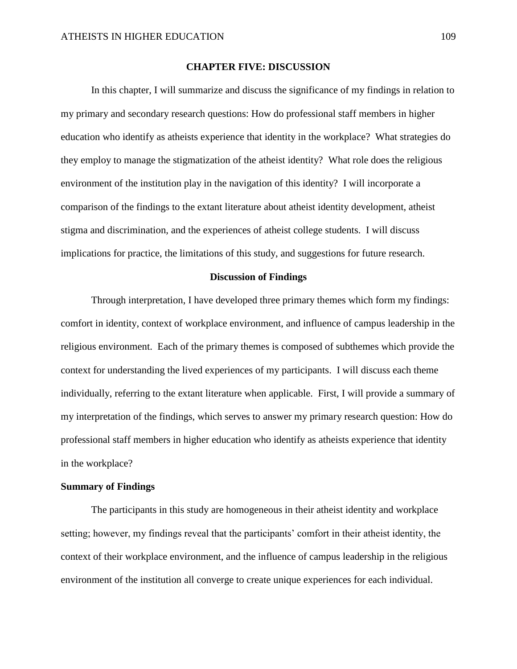#### **CHAPTER FIVE: DISCUSSION**

In this chapter, I will summarize and discuss the significance of my findings in relation to my primary and secondary research questions: How do professional staff members in higher education who identify as atheists experience that identity in the workplace? What strategies do they employ to manage the stigmatization of the atheist identity? What role does the religious environment of the institution play in the navigation of this identity? I will incorporate a comparison of the findings to the extant literature about atheist identity development, atheist stigma and discrimination, and the experiences of atheist college students. I will discuss implications for practice, the limitations of this study, and suggestions for future research.

#### **Discussion of Findings**

Through interpretation, I have developed three primary themes which form my findings: comfort in identity, context of workplace environment, and influence of campus leadership in the religious environment. Each of the primary themes is composed of subthemes which provide the context for understanding the lived experiences of my participants. I will discuss each theme individually, referring to the extant literature when applicable. First, I will provide a summary of my interpretation of the findings, which serves to answer my primary research question: How do professional staff members in higher education who identify as atheists experience that identity in the workplace?

#### **Summary of Findings**

The participants in this study are homogeneous in their atheist identity and workplace setting; however, my findings reveal that the participants' comfort in their atheist identity, the context of their workplace environment, and the influence of campus leadership in the religious environment of the institution all converge to create unique experiences for each individual.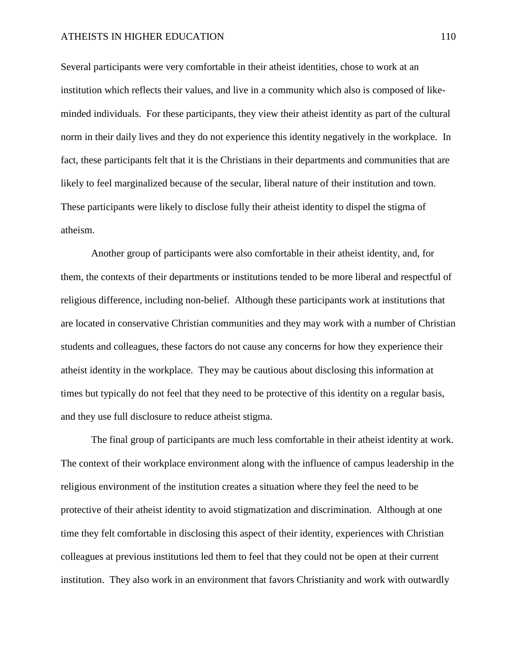#### ATHEISTS IN HIGHER EDUCATION 110

Several participants were very comfortable in their atheist identities, chose to work at an institution which reflects their values, and live in a community which also is composed of likeminded individuals. For these participants, they view their atheist identity as part of the cultural norm in their daily lives and they do not experience this identity negatively in the workplace. In fact, these participants felt that it is the Christians in their departments and communities that are likely to feel marginalized because of the secular, liberal nature of their institution and town. These participants were likely to disclose fully their atheist identity to dispel the stigma of atheism.

Another group of participants were also comfortable in their atheist identity, and, for them, the contexts of their departments or institutions tended to be more liberal and respectful of religious difference, including non-belief. Although these participants work at institutions that are located in conservative Christian communities and they may work with a number of Christian students and colleagues, these factors do not cause any concerns for how they experience their atheist identity in the workplace. They may be cautious about disclosing this information at times but typically do not feel that they need to be protective of this identity on a regular basis, and they use full disclosure to reduce atheist stigma.

The final group of participants are much less comfortable in their atheist identity at work. The context of their workplace environment along with the influence of campus leadership in the religious environment of the institution creates a situation where they feel the need to be protective of their atheist identity to avoid stigmatization and discrimination. Although at one time they felt comfortable in disclosing this aspect of their identity, experiences with Christian colleagues at previous institutions led them to feel that they could not be open at their current institution. They also work in an environment that favors Christianity and work with outwardly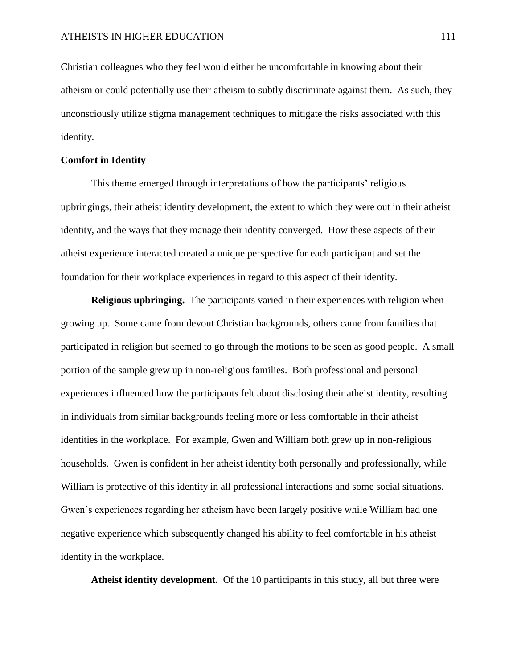Christian colleagues who they feel would either be uncomfortable in knowing about their atheism or could potentially use their atheism to subtly discriminate against them. As such, they unconsciously utilize stigma management techniques to mitigate the risks associated with this identity.

### **Comfort in Identity**

This theme emerged through interpretations of how the participants' religious upbringings, their atheist identity development, the extent to which they were out in their atheist identity, and the ways that they manage their identity converged. How these aspects of their atheist experience interacted created a unique perspective for each participant and set the foundation for their workplace experiences in regard to this aspect of their identity.

**Religious upbringing.** The participants varied in their experiences with religion when growing up. Some came from devout Christian backgrounds, others came from families that participated in religion but seemed to go through the motions to be seen as good people. A small portion of the sample grew up in non-religious families. Both professional and personal experiences influenced how the participants felt about disclosing their atheist identity, resulting in individuals from similar backgrounds feeling more or less comfortable in their atheist identities in the workplace. For example, Gwen and William both grew up in non-religious households. Gwen is confident in her atheist identity both personally and professionally, while William is protective of this identity in all professional interactions and some social situations. Gwen's experiences regarding her atheism have been largely positive while William had one negative experience which subsequently changed his ability to feel comfortable in his atheist identity in the workplace.

**Atheist identity development.** Of the 10 participants in this study, all but three were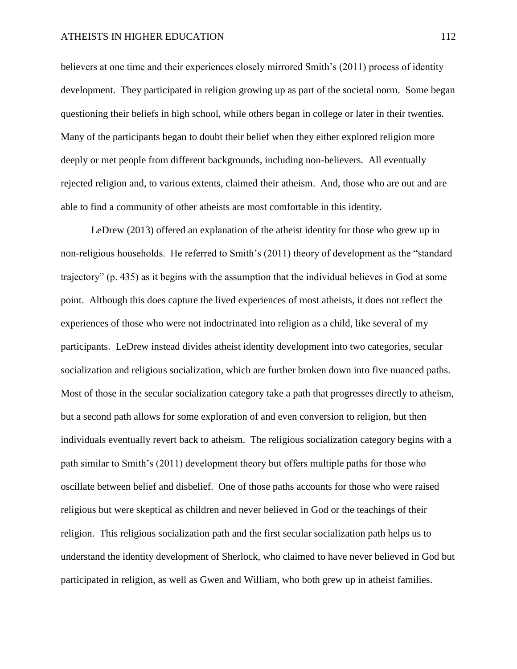#### ATHEISTS IN HIGHER EDUCATION 112

believers at one time and their experiences closely mirrored Smith's (2011) process of identity development. They participated in religion growing up as part of the societal norm. Some began questioning their beliefs in high school, while others began in college or later in their twenties. Many of the participants began to doubt their belief when they either explored religion more deeply or met people from different backgrounds, including non-believers. All eventually rejected religion and, to various extents, claimed their atheism. And, those who are out and are able to find a community of other atheists are most comfortable in this identity.

LeDrew (2013) offered an explanation of the atheist identity for those who grew up in non-religious households. He referred to Smith's (2011) theory of development as the "standard trajectory" (p. 435) as it begins with the assumption that the individual believes in God at some point. Although this does capture the lived experiences of most atheists, it does not reflect the experiences of those who were not indoctrinated into religion as a child, like several of my participants. LeDrew instead divides atheist identity development into two categories, secular socialization and religious socialization, which are further broken down into five nuanced paths. Most of those in the secular socialization category take a path that progresses directly to atheism, but a second path allows for some exploration of and even conversion to religion, but then individuals eventually revert back to atheism. The religious socialization category begins with a path similar to Smith's (2011) development theory but offers multiple paths for those who oscillate between belief and disbelief. One of those paths accounts for those who were raised religious but were skeptical as children and never believed in God or the teachings of their religion. This religious socialization path and the first secular socialization path helps us to understand the identity development of Sherlock, who claimed to have never believed in God but participated in religion, as well as Gwen and William, who both grew up in atheist families.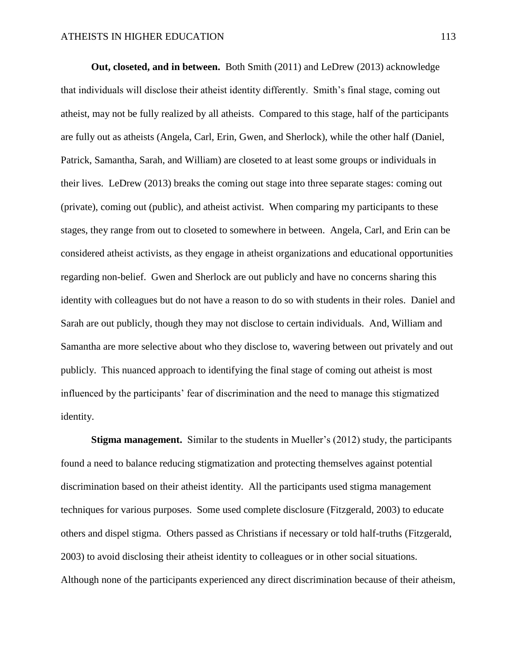**Out, closeted, and in between.** Both Smith (2011) and LeDrew (2013) acknowledge that individuals will disclose their atheist identity differently. Smith's final stage, coming out atheist, may not be fully realized by all atheists. Compared to this stage, half of the participants are fully out as atheists (Angela, Carl, Erin, Gwen, and Sherlock), while the other half (Daniel, Patrick, Samantha, Sarah, and William) are closeted to at least some groups or individuals in their lives. LeDrew (2013) breaks the coming out stage into three separate stages: coming out (private), coming out (public), and atheist activist. When comparing my participants to these stages, they range from out to closeted to somewhere in between. Angela, Carl, and Erin can be considered atheist activists, as they engage in atheist organizations and educational opportunities regarding non-belief. Gwen and Sherlock are out publicly and have no concerns sharing this identity with colleagues but do not have a reason to do so with students in their roles. Daniel and Sarah are out publicly, though they may not disclose to certain individuals. And, William and Samantha are more selective about who they disclose to, wavering between out privately and out publicly. This nuanced approach to identifying the final stage of coming out atheist is most influenced by the participants' fear of discrimination and the need to manage this stigmatized identity.

**Stigma management.** Similar to the students in Mueller's (2012) study, the participants found a need to balance reducing stigmatization and protecting themselves against potential discrimination based on their atheist identity.All the participants used stigma management techniques for various purposes. Some used complete disclosure (Fitzgerald, 2003) to educate others and dispel stigma. Others passed as Christians if necessary or told half-truths (Fitzgerald, 2003) to avoid disclosing their atheist identity to colleagues or in other social situations. Although none of the participants experienced any direct discrimination because of their atheism,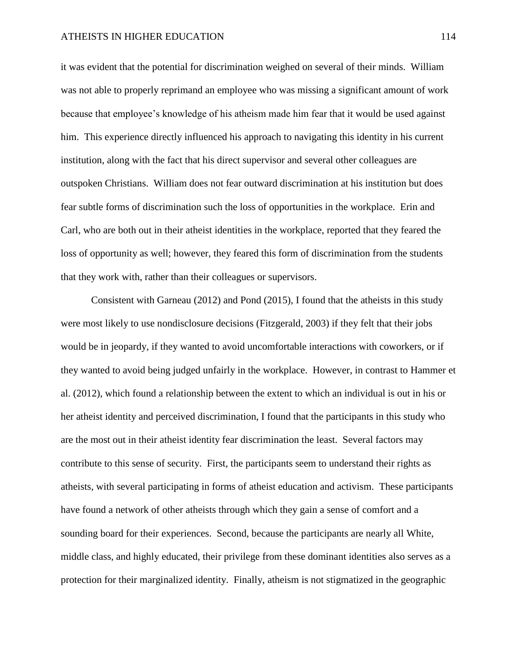it was evident that the potential for discrimination weighed on several of their minds. William was not able to properly reprimand an employee who was missing a significant amount of work because that employee's knowledge of his atheism made him fear that it would be used against him. This experience directly influenced his approach to navigating this identity in his current institution, along with the fact that his direct supervisor and several other colleagues are outspoken Christians. William does not fear outward discrimination at his institution but does fear subtle forms of discrimination such the loss of opportunities in the workplace. Erin and Carl, who are both out in their atheist identities in the workplace, reported that they feared the loss of opportunity as well; however, they feared this form of discrimination from the students that they work with, rather than their colleagues or supervisors.

Consistent with Garneau (2012) and Pond (2015), I found that the atheists in this study were most likely to use nondisclosure decisions (Fitzgerald, 2003) if they felt that their jobs would be in jeopardy, if they wanted to avoid uncomfortable interactions with coworkers, or if they wanted to avoid being judged unfairly in the workplace. However, in contrast to Hammer et al. (2012), which found a relationship between the extent to which an individual is out in his or her atheist identity and perceived discrimination, I found that the participants in this study who are the most out in their atheist identity fear discrimination the least. Several factors may contribute to this sense of security. First, the participants seem to understand their rights as atheists, with several participating in forms of atheist education and activism. These participants have found a network of other atheists through which they gain a sense of comfort and a sounding board for their experiences. Second, because the participants are nearly all White, middle class, and highly educated, their privilege from these dominant identities also serves as a protection for their marginalized identity. Finally, atheism is not stigmatized in the geographic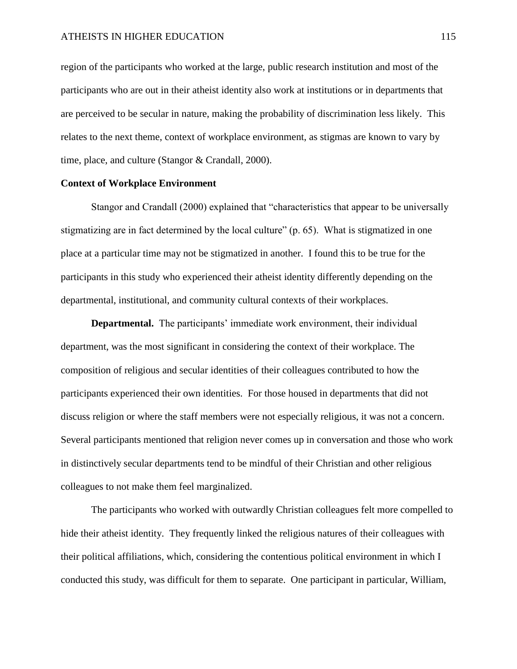region of the participants who worked at the large, public research institution and most of the participants who are out in their atheist identity also work at institutions or in departments that are perceived to be secular in nature, making the probability of discrimination less likely. This relates to the next theme, context of workplace environment, as stigmas are known to vary by time, place, and culture (Stangor & Crandall, 2000).

#### **Context of Workplace Environment**

Stangor and Crandall (2000) explained that "characteristics that appear to be universally stigmatizing are in fact determined by the local culture" (p. 65). What is stigmatized in one place at a particular time may not be stigmatized in another. I found this to be true for the participants in this study who experienced their atheist identity differently depending on the departmental, institutional, and community cultural contexts of their workplaces.

**Departmental.** The participants' immediate work environment, their individual department, was the most significant in considering the context of their workplace. The composition of religious and secular identities of their colleagues contributed to how the participants experienced their own identities. For those housed in departments that did not discuss religion or where the staff members were not especially religious, it was not a concern. Several participants mentioned that religion never comes up in conversation and those who work in distinctively secular departments tend to be mindful of their Christian and other religious colleagues to not make them feel marginalized.

The participants who worked with outwardly Christian colleagues felt more compelled to hide their atheist identity. They frequently linked the religious natures of their colleagues with their political affiliations, which, considering the contentious political environment in which I conducted this study, was difficult for them to separate. One participant in particular, William,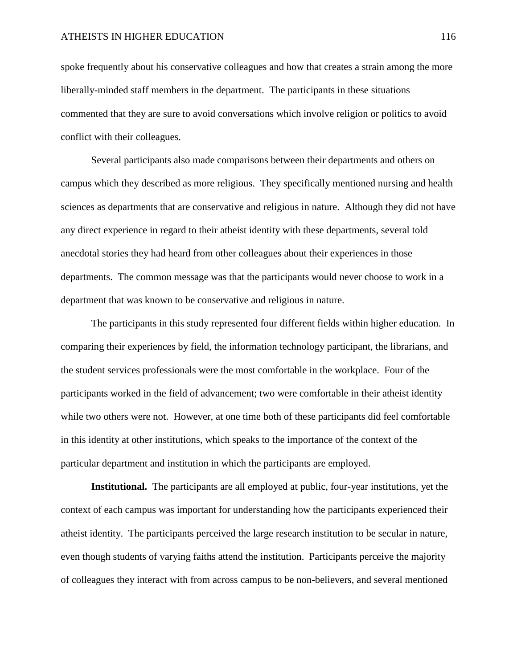spoke frequently about his conservative colleagues and how that creates a strain among the more liberally-minded staff members in the department. The participants in these situations commented that they are sure to avoid conversations which involve religion or politics to avoid conflict with their colleagues.

Several participants also made comparisons between their departments and others on campus which they described as more religious. They specifically mentioned nursing and health sciences as departments that are conservative and religious in nature. Although they did not have any direct experience in regard to their atheist identity with these departments, several told anecdotal stories they had heard from other colleagues about their experiences in those departments. The common message was that the participants would never choose to work in a department that was known to be conservative and religious in nature.

The participants in this study represented four different fields within higher education. In comparing their experiences by field, the information technology participant, the librarians, and the student services professionals were the most comfortable in the workplace. Four of the participants worked in the field of advancement; two were comfortable in their atheist identity while two others were not. However, at one time both of these participants did feel comfortable in this identity at other institutions, which speaks to the importance of the context of the particular department and institution in which the participants are employed.

**Institutional.** The participants are all employed at public, four-year institutions, yet the context of each campus was important for understanding how the participants experienced their atheist identity. The participants perceived the large research institution to be secular in nature, even though students of varying faiths attend the institution. Participants perceive the majority of colleagues they interact with from across campus to be non-believers, and several mentioned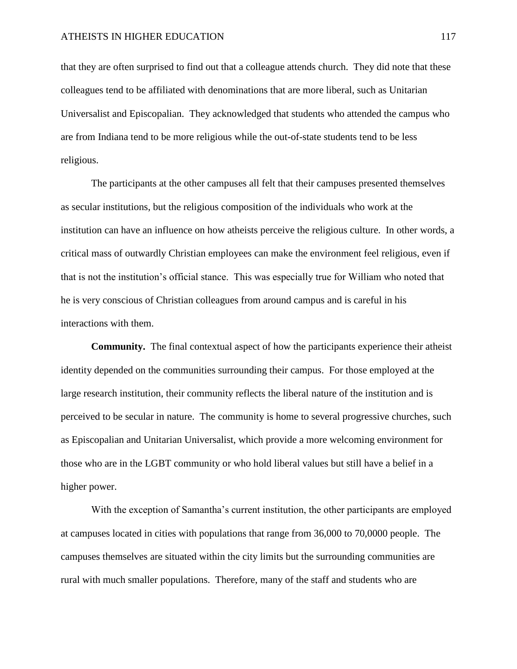that they are often surprised to find out that a colleague attends church. They did note that these colleagues tend to be affiliated with denominations that are more liberal, such as Unitarian Universalist and Episcopalian. They acknowledged that students who attended the campus who are from Indiana tend to be more religious while the out-of-state students tend to be less religious.

The participants at the other campuses all felt that their campuses presented themselves as secular institutions, but the religious composition of the individuals who work at the institution can have an influence on how atheists perceive the religious culture. In other words, a critical mass of outwardly Christian employees can make the environment feel religious, even if that is not the institution's official stance. This was especially true for William who noted that he is very conscious of Christian colleagues from around campus and is careful in his interactions with them.

**Community.** The final contextual aspect of how the participants experience their atheist identity depended on the communities surrounding their campus. For those employed at the large research institution, their community reflects the liberal nature of the institution and is perceived to be secular in nature. The community is home to several progressive churches, such as Episcopalian and Unitarian Universalist, which provide a more welcoming environment for those who are in the LGBT community or who hold liberal values but still have a belief in a higher power.

With the exception of Samantha's current institution, the other participants are employed at campuses located in cities with populations that range from 36,000 to 70,0000 people. The campuses themselves are situated within the city limits but the surrounding communities are rural with much smaller populations. Therefore, many of the staff and students who are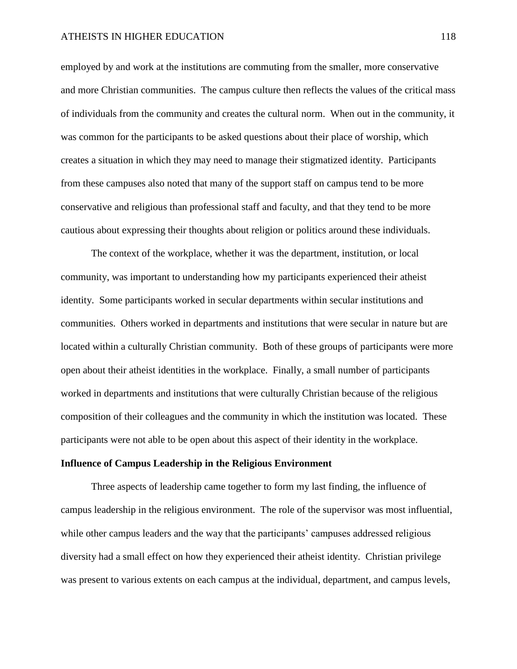employed by and work at the institutions are commuting from the smaller, more conservative and more Christian communities. The campus culture then reflects the values of the critical mass of individuals from the community and creates the cultural norm. When out in the community, it was common for the participants to be asked questions about their place of worship, which creates a situation in which they may need to manage their stigmatized identity. Participants from these campuses also noted that many of the support staff on campus tend to be more conservative and religious than professional staff and faculty, and that they tend to be more cautious about expressing their thoughts about religion or politics around these individuals.

The context of the workplace, whether it was the department, institution, or local community, was important to understanding how my participants experienced their atheist identity. Some participants worked in secular departments within secular institutions and communities. Others worked in departments and institutions that were secular in nature but are located within a culturally Christian community. Both of these groups of participants were more open about their atheist identities in the workplace. Finally, a small number of participants worked in departments and institutions that were culturally Christian because of the religious composition of their colleagues and the community in which the institution was located. These participants were not able to be open about this aspect of their identity in the workplace.

#### **Influence of Campus Leadership in the Religious Environment**

Three aspects of leadership came together to form my last finding, the influence of campus leadership in the religious environment. The role of the supervisor was most influential, while other campus leaders and the way that the participants' campuses addressed religious diversity had a small effect on how they experienced their atheist identity. Christian privilege was present to various extents on each campus at the individual, department, and campus levels,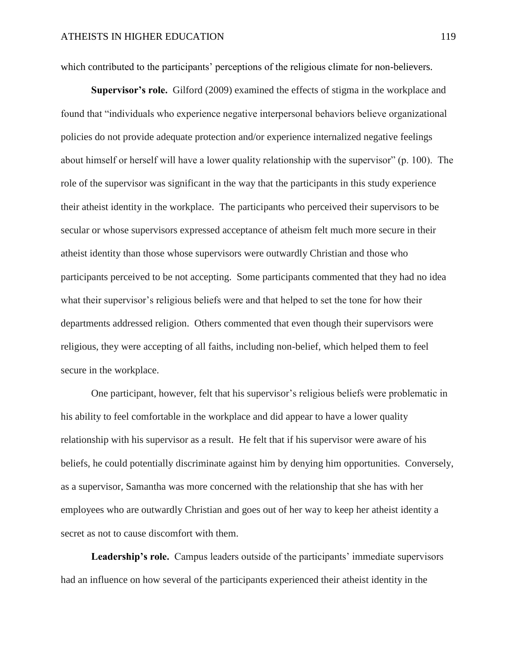which contributed to the participants' perceptions of the religious climate for non-believers.

**Supervisor's role.** Gilford (2009) examined the effects of stigma in the workplace and found that "individuals who experience negative interpersonal behaviors believe organizational policies do not provide adequate protection and/or experience internalized negative feelings about himself or herself will have a lower quality relationship with the supervisor" (p. 100). The role of the supervisor was significant in the way that the participants in this study experience their atheist identity in the workplace. The participants who perceived their supervisors to be secular or whose supervisors expressed acceptance of atheism felt much more secure in their atheist identity than those whose supervisors were outwardly Christian and those who participants perceived to be not accepting. Some participants commented that they had no idea what their supervisor's religious beliefs were and that helped to set the tone for how their departments addressed religion. Others commented that even though their supervisors were religious, they were accepting of all faiths, including non-belief, which helped them to feel secure in the workplace.

One participant, however, felt that his supervisor's religious beliefs were problematic in his ability to feel comfortable in the workplace and did appear to have a lower quality relationship with his supervisor as a result. He felt that if his supervisor were aware of his beliefs, he could potentially discriminate against him by denying him opportunities. Conversely, as a supervisor, Samantha was more concerned with the relationship that she has with her employees who are outwardly Christian and goes out of her way to keep her atheist identity a secret as not to cause discomfort with them.

**Leadership's role.** Campus leaders outside of the participants' immediate supervisors had an influence on how several of the participants experienced their atheist identity in the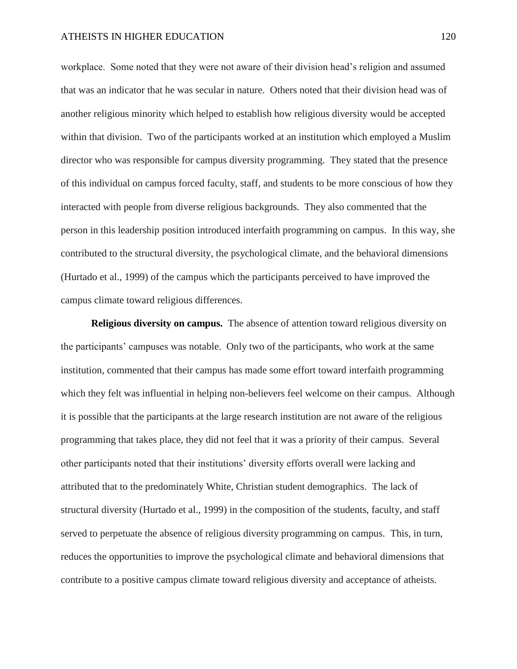workplace. Some noted that they were not aware of their division head's religion and assumed that was an indicator that he was secular in nature. Others noted that their division head was of another religious minority which helped to establish how religious diversity would be accepted within that division. Two of the participants worked at an institution which employed a Muslim director who was responsible for campus diversity programming. They stated that the presence of this individual on campus forced faculty, staff, and students to be more conscious of how they interacted with people from diverse religious backgrounds. They also commented that the person in this leadership position introduced interfaith programming on campus. In this way, she contributed to the structural diversity, the psychological climate, and the behavioral dimensions (Hurtado et al., 1999) of the campus which the participants perceived to have improved the campus climate toward religious differences.

**Religious diversity on campus.** The absence of attention toward religious diversity on the participants' campuses was notable. Only two of the participants, who work at the same institution, commented that their campus has made some effort toward interfaith programming which they felt was influential in helping non-believers feel welcome on their campus. Although it is possible that the participants at the large research institution are not aware of the religious programming that takes place, they did not feel that it was a priority of their campus. Several other participants noted that their institutions' diversity efforts overall were lacking and attributed that to the predominately White, Christian student demographics. The lack of structural diversity (Hurtado et al., 1999) in the composition of the students, faculty, and staff served to perpetuate the absence of religious diversity programming on campus. This, in turn, reduces the opportunities to improve the psychological climate and behavioral dimensions that contribute to a positive campus climate toward religious diversity and acceptance of atheists.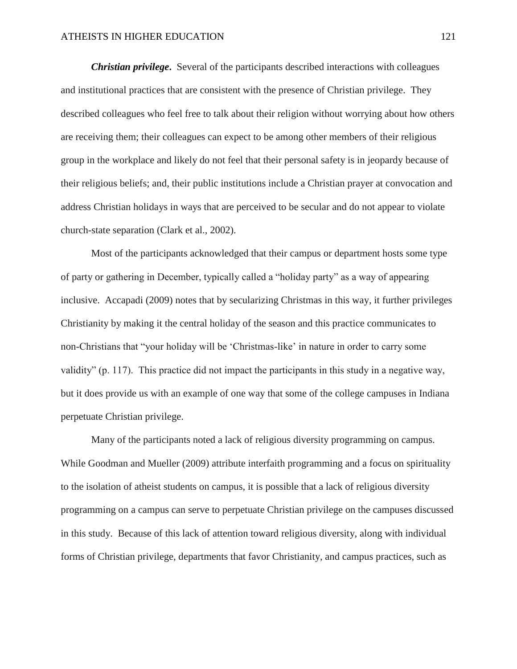*Christian privilege***.** Several of the participants described interactions with colleagues and institutional practices that are consistent with the presence of Christian privilege. They described colleagues who feel free to talk about their religion without worrying about how others are receiving them; their colleagues can expect to be among other members of their religious group in the workplace and likely do not feel that their personal safety is in jeopardy because of their religious beliefs; and, their public institutions include a Christian prayer at convocation and address Christian holidays in ways that are perceived to be secular and do not appear to violate church-state separation (Clark et al., 2002).

Most of the participants acknowledged that their campus or department hosts some type of party or gathering in December, typically called a "holiday party" as a way of appearing inclusive. Accapadi (2009) notes that by secularizing Christmas in this way, it further privileges Christianity by making it the central holiday of the season and this practice communicates to non-Christians that "your holiday will be 'Christmas-like' in nature in order to carry some validity" (p. 117). This practice did not impact the participants in this study in a negative way, but it does provide us with an example of one way that some of the college campuses in Indiana perpetuate Christian privilege.

Many of the participants noted a lack of religious diversity programming on campus. While Goodman and Mueller (2009) attribute interfaith programming and a focus on spirituality to the isolation of atheist students on campus, it is possible that a lack of religious diversity programming on a campus can serve to perpetuate Christian privilege on the campuses discussed in this study. Because of this lack of attention toward religious diversity, along with individual forms of Christian privilege, departments that favor Christianity, and campus practices, such as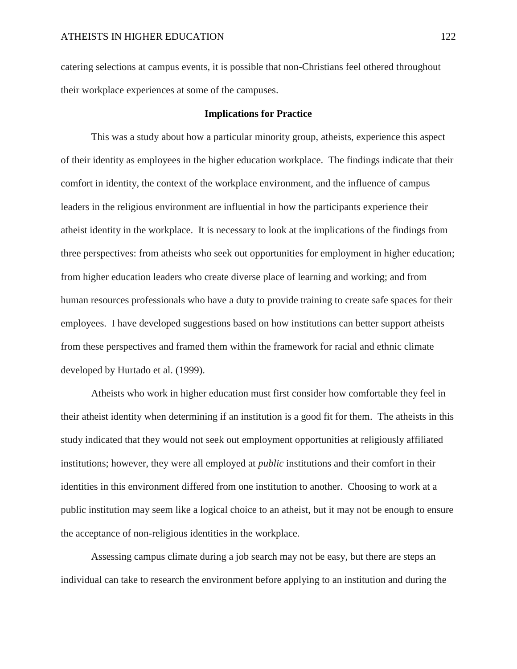catering selections at campus events, it is possible that non-Christians feel othered throughout their workplace experiences at some of the campuses.

#### **Implications for Practice**

This was a study about how a particular minority group, atheists, experience this aspect of their identity as employees in the higher education workplace. The findings indicate that their comfort in identity, the context of the workplace environment, and the influence of campus leaders in the religious environment are influential in how the participants experience their atheist identity in the workplace. It is necessary to look at the implications of the findings from three perspectives: from atheists who seek out opportunities for employment in higher education; from higher education leaders who create diverse place of learning and working; and from human resources professionals who have a duty to provide training to create safe spaces for their employees. I have developed suggestions based on how institutions can better support atheists from these perspectives and framed them within the framework for racial and ethnic climate developed by Hurtado et al. (1999).

Atheists who work in higher education must first consider how comfortable they feel in their atheist identity when determining if an institution is a good fit for them. The atheists in this study indicated that they would not seek out employment opportunities at religiously affiliated institutions; however, they were all employed at *public* institutions and their comfort in their identities in this environment differed from one institution to another. Choosing to work at a public institution may seem like a logical choice to an atheist, but it may not be enough to ensure the acceptance of non-religious identities in the workplace.

Assessing campus climate during a job search may not be easy, but there are steps an individual can take to research the environment before applying to an institution and during the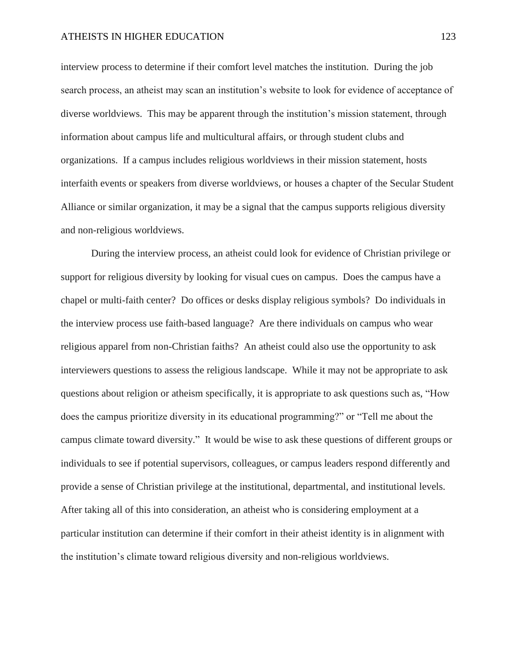#### ATHEISTS IN HIGHER EDUCATION 123

interview process to determine if their comfort level matches the institution. During the job search process, an atheist may scan an institution's website to look for evidence of acceptance of diverse worldviews. This may be apparent through the institution's mission statement, through information about campus life and multicultural affairs, or through student clubs and organizations. If a campus includes religious worldviews in their mission statement, hosts interfaith events or speakers from diverse worldviews, or houses a chapter of the Secular Student Alliance or similar organization, it may be a signal that the campus supports religious diversity and non-religious worldviews.

During the interview process, an atheist could look for evidence of Christian privilege or support for religious diversity by looking for visual cues on campus. Does the campus have a chapel or multi-faith center? Do offices or desks display religious symbols? Do individuals in the interview process use faith-based language? Are there individuals on campus who wear religious apparel from non-Christian faiths? An atheist could also use the opportunity to ask interviewers questions to assess the religious landscape. While it may not be appropriate to ask questions about religion or atheism specifically, it is appropriate to ask questions such as, "How does the campus prioritize diversity in its educational programming?" or "Tell me about the campus climate toward diversity." It would be wise to ask these questions of different groups or individuals to see if potential supervisors, colleagues, or campus leaders respond differently and provide a sense of Christian privilege at the institutional, departmental, and institutional levels. After taking all of this into consideration, an atheist who is considering employment at a particular institution can determine if their comfort in their atheist identity is in alignment with the institution's climate toward religious diversity and non-religious worldviews.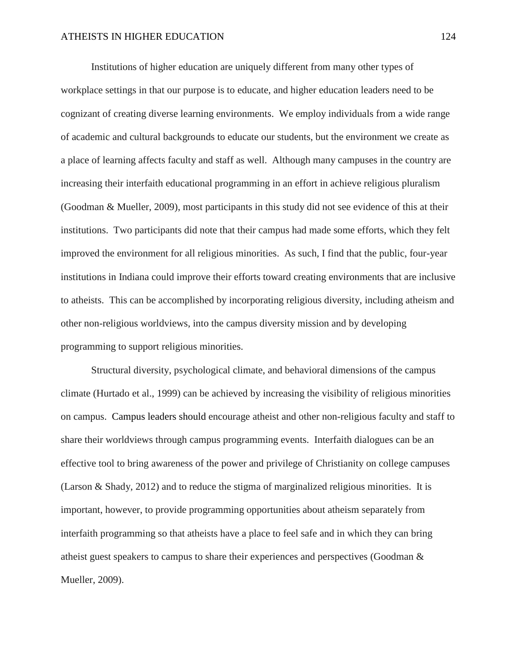Institutions of higher education are uniquely different from many other types of workplace settings in that our purpose is to educate, and higher education leaders need to be cognizant of creating diverse learning environments. We employ individuals from a wide range of academic and cultural backgrounds to educate our students, but the environment we create as a place of learning affects faculty and staff as well. Although many campuses in the country are increasing their interfaith educational programming in an effort in achieve religious pluralism (Goodman & Mueller, 2009), most participants in this study did not see evidence of this at their institutions. Two participants did note that their campus had made some efforts, which they felt improved the environment for all religious minorities. As such, I find that the public, four-year institutions in Indiana could improve their efforts toward creating environments that are inclusive to atheists. This can be accomplished by incorporating religious diversity, including atheism and other non-religious worldviews, into the campus diversity mission and by developing programming to support religious minorities.

Structural diversity, psychological climate, and behavioral dimensions of the campus climate (Hurtado et al., 1999) can be achieved by increasing the visibility of religious minorities on campus. Campus leaders should encourage atheist and other non-religious faculty and staff to share their worldviews through campus programming events. Interfaith dialogues can be an effective tool to bring awareness of the power and privilege of Christianity on college campuses (Larson & Shady, 2012) and to reduce the stigma of marginalized religious minorities. It is important, however, to provide programming opportunities about atheism separately from interfaith programming so that atheists have a place to feel safe and in which they can bring atheist guest speakers to campus to share their experiences and perspectives (Goodman & Mueller, 2009).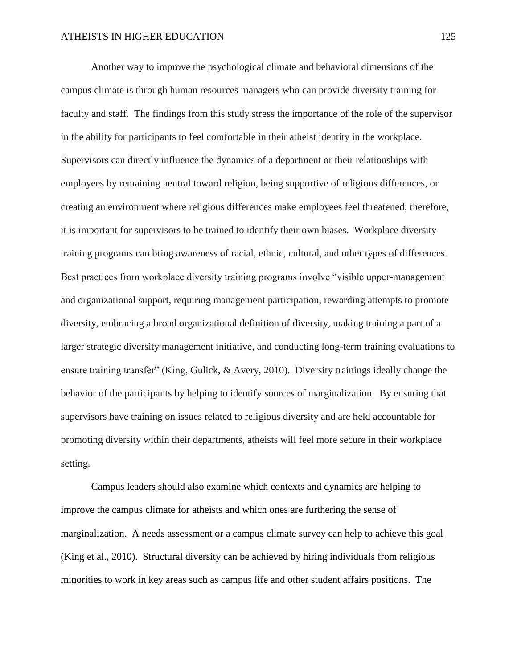Another way to improve the psychological climate and behavioral dimensions of the campus climate is through human resources managers who can provide diversity training for faculty and staff. The findings from this study stress the importance of the role of the supervisor in the ability for participants to feel comfortable in their atheist identity in the workplace. Supervisors can directly influence the dynamics of a department or their relationships with employees by remaining neutral toward religion, being supportive of religious differences, or creating an environment where religious differences make employees feel threatened; therefore, it is important for supervisors to be trained to identify their own biases. Workplace diversity training programs can bring awareness of racial, ethnic, cultural, and other types of differences. Best practices from workplace diversity training programs involve "visible upper-management and organizational support, requiring management participation, rewarding attempts to promote diversity, embracing a broad organizational definition of diversity, making training a part of a larger strategic diversity management initiative, and conducting long-term training evaluations to ensure training transfer" (King, Gulick, & Avery, 2010). Diversity trainings ideally change the behavior of the participants by helping to identify sources of marginalization. By ensuring that supervisors have training on issues related to religious diversity and are held accountable for promoting diversity within their departments, atheists will feel more secure in their workplace setting.

Campus leaders should also examine which contexts and dynamics are helping to improve the campus climate for atheists and which ones are furthering the sense of marginalization. A needs assessment or a campus climate survey can help to achieve this goal (King et al., 2010). Structural diversity can be achieved by hiring individuals from religious minorities to work in key areas such as campus life and other student affairs positions. The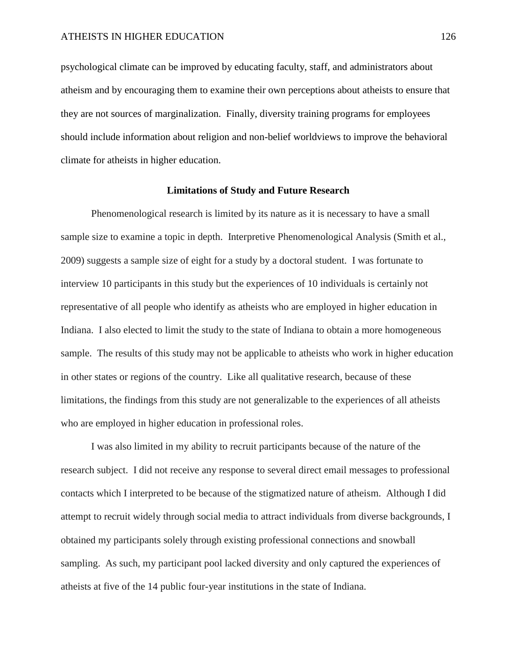psychological climate can be improved by educating faculty, staff, and administrators about atheism and by encouraging them to examine their own perceptions about atheists to ensure that they are not sources of marginalization. Finally, diversity training programs for employees should include information about religion and non-belief worldviews to improve the behavioral climate for atheists in higher education.

### **Limitations of Study and Future Research**

Phenomenological research is limited by its nature as it is necessary to have a small sample size to examine a topic in depth. Interpretive Phenomenological Analysis (Smith et al., 2009) suggests a sample size of eight for a study by a doctoral student. I was fortunate to interview 10 participants in this study but the experiences of 10 individuals is certainly not representative of all people who identify as atheists who are employed in higher education in Indiana. I also elected to limit the study to the state of Indiana to obtain a more homogeneous sample. The results of this study may not be applicable to atheists who work in higher education in other states or regions of the country. Like all qualitative research, because of these limitations, the findings from this study are not generalizable to the experiences of all atheists who are employed in higher education in professional roles.

I was also limited in my ability to recruit participants because of the nature of the research subject. I did not receive any response to several direct email messages to professional contacts which I interpreted to be because of the stigmatized nature of atheism. Although I did attempt to recruit widely through social media to attract individuals from diverse backgrounds, I obtained my participants solely through existing professional connections and snowball sampling. As such, my participant pool lacked diversity and only captured the experiences of atheists at five of the 14 public four-year institutions in the state of Indiana.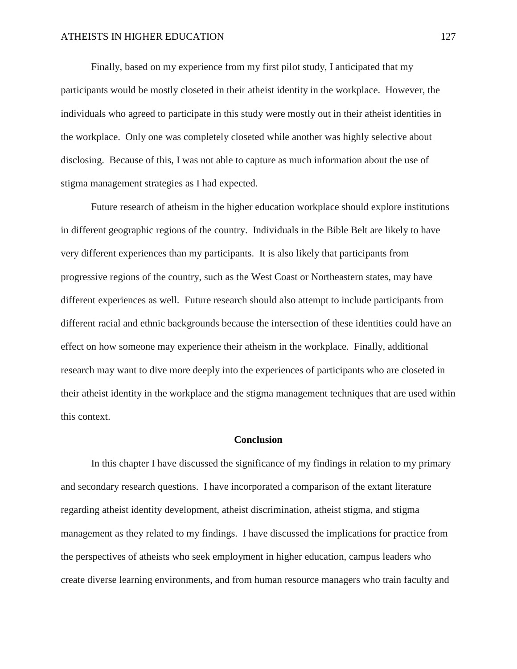Finally, based on my experience from my first pilot study, I anticipated that my participants would be mostly closeted in their atheist identity in the workplace. However, the individuals who agreed to participate in this study were mostly out in their atheist identities in the workplace. Only one was completely closeted while another was highly selective about disclosing. Because of this, I was not able to capture as much information about the use of stigma management strategies as I had expected.

Future research of atheism in the higher education workplace should explore institutions in different geographic regions of the country. Individuals in the Bible Belt are likely to have very different experiences than my participants. It is also likely that participants from progressive regions of the country, such as the West Coast or Northeastern states, may have different experiences as well. Future research should also attempt to include participants from different racial and ethnic backgrounds because the intersection of these identities could have an effect on how someone may experience their atheism in the workplace. Finally, additional research may want to dive more deeply into the experiences of participants who are closeted in their atheist identity in the workplace and the stigma management techniques that are used within this context.

#### **Conclusion**

In this chapter I have discussed the significance of my findings in relation to my primary and secondary research questions. I have incorporated a comparison of the extant literature regarding atheist identity development, atheist discrimination, atheist stigma, and stigma management as they related to my findings. I have discussed the implications for practice from the perspectives of atheists who seek employment in higher education, campus leaders who create diverse learning environments, and from human resource managers who train faculty and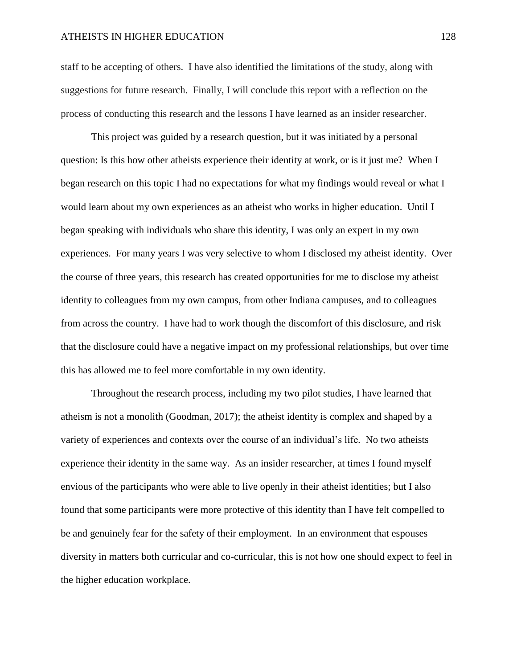staff to be accepting of others. I have also identified the limitations of the study, along with suggestions for future research. Finally, I will conclude this report with a reflection on the process of conducting this research and the lessons I have learned as an insider researcher.

This project was guided by a research question, but it was initiated by a personal question: Is this how other atheists experience their identity at work, or is it just me? When I began research on this topic I had no expectations for what my findings would reveal or what I would learn about my own experiences as an atheist who works in higher education. Until I began speaking with individuals who share this identity, I was only an expert in my own experiences. For many years I was very selective to whom I disclosed my atheist identity. Over the course of three years, this research has created opportunities for me to disclose my atheist identity to colleagues from my own campus, from other Indiana campuses, and to colleagues from across the country. I have had to work though the discomfort of this disclosure, and risk that the disclosure could have a negative impact on my professional relationships, but over time this has allowed me to feel more comfortable in my own identity.

Throughout the research process, including my two pilot studies, I have learned that atheism is not a monolith (Goodman, 2017); the atheist identity is complex and shaped by a variety of experiences and contexts over the course of an individual's life. No two atheists experience their identity in the same way. As an insider researcher, at times I found myself envious of the participants who were able to live openly in their atheist identities; but I also found that some participants were more protective of this identity than I have felt compelled to be and genuinely fear for the safety of their employment. In an environment that espouses diversity in matters both curricular and co-curricular, this is not how one should expect to feel in the higher education workplace.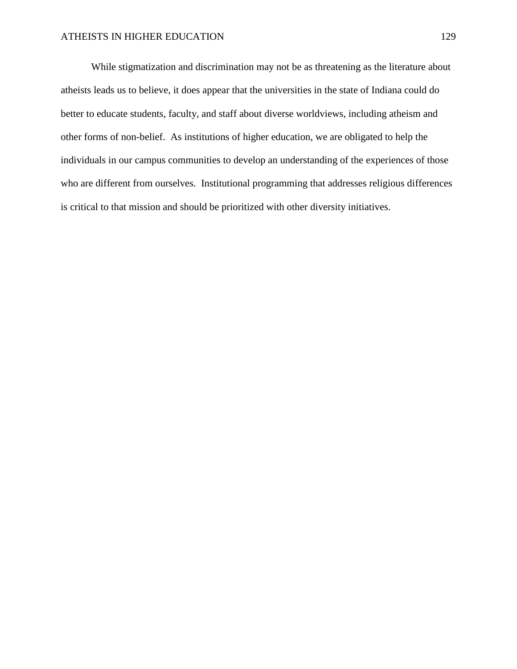While stigmatization and discrimination may not be as threatening as the literature about atheists leads us to believe, it does appear that the universities in the state of Indiana could do better to educate students, faculty, and staff about diverse worldviews, including atheism and other forms of non-belief. As institutions of higher education, we are obligated to help the individuals in our campus communities to develop an understanding of the experiences of those who are different from ourselves. Institutional programming that addresses religious differences is critical to that mission and should be prioritized with other diversity initiatives.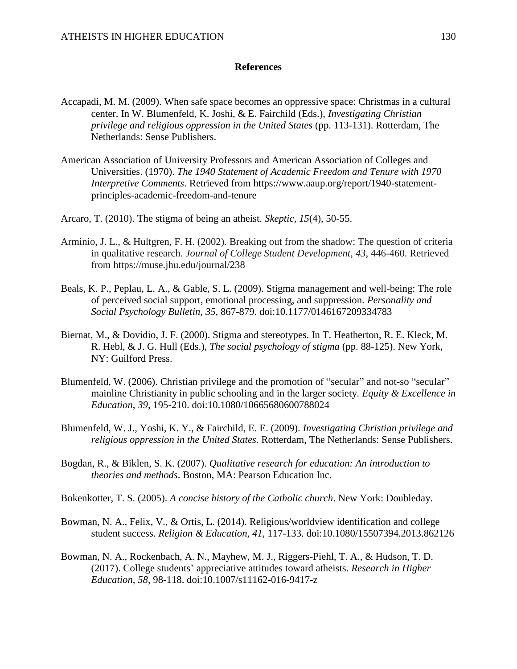### **References**

- Accapadi, M. M. (2009). When safe space becomes an oppressive space: Christmas in a cultural center. In W. Blumenfeld, K. Joshi, & E. Fairchild (Eds.), *Investigating Christian privilege and religious oppression in the United States* (pp. 113-131). Rotterdam, The Netherlands: Sense Publishers.
- American Association of University Professors and American Association of Colleges and Universities. (1970). *The 1940 Statement of Academic Freedom and Tenure with 1970 Interpretive Comments.* Retrieved from https://www.aaup.org/report/1940-statementprinciples-academic-freedom-and-tenure
- Arcaro, T. (2010). The stigma of being an atheist. *Skeptic, 15*(4), 50-55.
- Arminio, J. L., & Hultgren, F. H. (2002). Breaking out from the shadow: The question of criteria in qualitative research. *Journal of College Student Development, 43*, 446-460. Retrieved from https://muse.jhu.edu/journal/238
- Beals, K. P., Peplau, L. A., & Gable, S. L. (2009). Stigma management and well-being: The role of perceived social support, emotional processing, and suppression. *Personality and Social Psychology Bulletin, 35*, 867-879. doi:10.1177/0146167209334783
- Biernat, M., & Dovidio, J. F. (2000). Stigma and stereotypes. In T. Heatherton, R. E. Kleck, M. R. Hebl, & J. G. Hull (Eds.), *The social psychology of stigma* (pp. 88-125). New York, NY: Guilford Press.
- Blumenfeld, W. (2006). Christian privilege and the promotion of "secular" and not-so "secular" mainline Christianity in public schooling and in the larger society. *Equity & Excellence in Education*, *39*, 195-210. doi:10.1080/10665680600788024
- Blumenfeld, W. J., Yoshi, K. Y., & Fairchild, E. E. (2009). *Investigating Christian privilege and religious oppression in the United States*. Rotterdam, The Netherlands: Sense Publishers.
- Bogdan, R., & Biklen, S. K. (2007). *Qualitative research for education: An introduction to theories and methods*. Boston, MA: Pearson Education Inc.
- Bokenkotter, T. S. (2005). *A concise history of the Catholic church*. New York: Doubleday.
- Bowman, N. A., Felix, V., & Ortis, L. (2014). Religious/worldview identification and college student success. *Religion & Education, 41*, 117-133. doi:10.1080/15507394.2013.862126
- Bowman, N. A., Rockenbach, A. N., Mayhew, M. J., Riggers-Piehl, T. A., & Hudson, T. D. (2017). College students' appreciative attitudes toward atheists. *Research in Higher Education*, *58*, 98-118. doi:10.1007/s11162-016-9417-z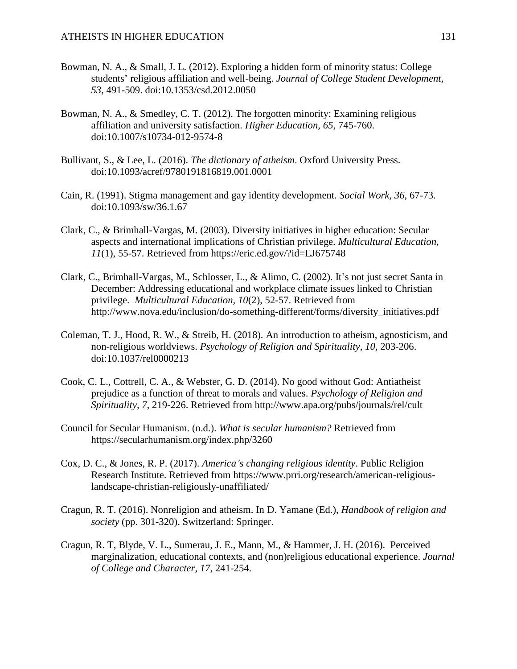- Bowman, N. A., & Small, J. L. (2012). Exploring a hidden form of minority status: College students' religious affiliation and well-being. *Journal of College Student Development, 53*, 491-509. doi:10.1353/csd.2012.0050
- Bowman, N. A., & Smedley, C. T. (2012). The forgotten minority: Examining religious affiliation and university satisfaction. *Higher Education, 65*, 745-760. doi:10.1007/s10734-012-9574-8
- Bullivant, S., & Lee, L. (2016). *The dictionary of atheism*. Oxford University Press. doi:10.1093/acref/9780191816819.001.0001
- Cain, R. (1991). Stigma management and gay identity development. *Social Work, 36*, 67-73. doi:10.1093/sw/36.1.67
- Clark, C., & Brimhall-Vargas, M. (2003). Diversity initiatives in higher education: Secular aspects and international implications of Christian privilege. *Multicultural Education, 11*(1), 55-57. Retrieved from https://eric.ed.gov/?id=EJ675748
- Clark, C., Brimhall-Vargas, M., Schlosser, L., & Alimo, C. (2002). It's not just secret Santa in December: Addressing educational and workplace climate issues linked to Christian privilege. *Multicultural Education, 10*(2), 52-57. Retrieved from http://www.nova.edu/inclusion/do-something-different/forms/diversity\_initiatives.pdf
- Coleman, T. J., Hood, R. W., & Streib, H. (2018). An introduction to atheism, agnosticism, and non-religious worldviews. *Psychology of Religion and Spirituality, 10*, 203-206. doi:10.1037/rel0000213
- Cook, C. L., Cottrell, C. A., & Webster, G. D. (2014). No good without God: Antiatheist prejudice as a function of threat to morals and values. *Psychology of Religion and Spirituality, 7*, 219-226. Retrieved from http://www.apa.org/pubs/journals/rel/cult
- Council for Secular Humanism. (n.d.). *What is secular humanism?* Retrieved from https://secularhumanism.org/index.php/3260
- Cox, D. C., & Jones, R. P. (2017). *America's changing religious identity*. Public Religion Research Institute. Retrieved from https://www.prri.org/research/american-religiouslandscape-christian-religiously-unaffiliated/
- Cragun, R. T. (2016). Nonreligion and atheism. In D. Yamane (Ed.), *Handbook of religion and society* (pp. 301-320). Switzerland: Springer.
- Cragun, R. T, Blyde, V. L., Sumerau, J. E., Mann, M., & Hammer, J. H. (2016). Perceived marginalization, educational contexts, and (non)religious educational experience. *Journal of College and Character*, *17*, 241-254.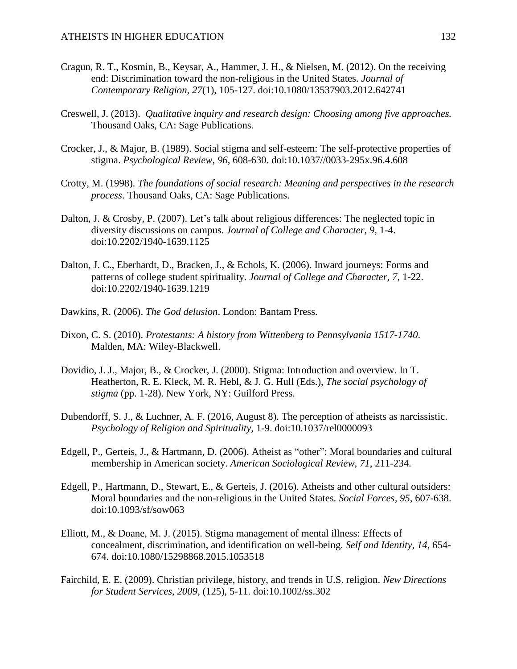- Cragun, R. T., Kosmin, B., Keysar, A., Hammer, J. H., & Nielsen, M. (2012). On the receiving end: Discrimination toward the non-religious in the United States. *Journal of Contemporary Religion, 27*(1), 105-127. doi:10.1080/13537903.2012.642741
- Creswell, J. (2013). *Qualitative inquiry and research design: Choosing among five approaches.* Thousand Oaks, CA: Sage Publications.
- Crocker, J., & Major, B. (1989). Social stigma and self-esteem: The self-protective properties of stigma. *Psychological Review, 96*, 608-630. doi:10.1037//0033-295x.96.4.608
- Crotty, M. (1998). *The foundations of social research: Meaning and perspectives in the research process*. Thousand Oaks, CA: Sage Publications.
- Dalton, J. & Crosby, P. (2007). Let's talk about religious differences: The neglected topic in diversity discussions on campus. *Journal of College and Character, 9*, 1-4. doi:10.2202/1940-1639.1125
- Dalton, J. C., Eberhardt, D., Bracken, J., & Echols, K. (2006). Inward journeys: Forms and patterns of college student spirituality. *Journal of College and Character, 7*, 1-22. doi:10.2202/1940-1639.1219
- Dawkins, R. (2006). *The God delusion*. London: Bantam Press.
- Dixon, C. S. (2010). *Protestants: A history from Wittenberg to Pennsylvania 1517-1740*. Malden, MA: Wiley-Blackwell.
- Dovidio, J. J., Major, B., & Crocker, J. (2000). Stigma: Introduction and overview. In T. Heatherton, R. E. Kleck, M. R. Hebl, & J. G. Hull (Eds.), *The social psychology of stigma* (pp. 1-28). New York, NY: Guilford Press.
- Dubendorff, S. J., & Luchner, A. F. (2016, August 8). The perception of atheists as narcissistic. *Psychology of Religion and Spirituality,* 1-9. doi:10.1037/rel0000093
- Edgell, P., Gerteis, J., & Hartmann, D. (2006). Atheist as "other": Moral boundaries and cultural membership in American society. *American Sociological Review, 71*, 211-234.
- Edgell, P., Hartmann, D., Stewart, E., & Gerteis, J. (2016). Atheists and other cultural outsiders: Moral boundaries and the non-religious in the United States. *Social Forces, 95*, 607-638. doi:10.1093/sf/sow063
- Elliott, M., & Doane, M. J. (2015). Stigma management of mental illness: Effects of concealment, discrimination, and identification on well-being. *Self and Identity, 14*, 654- 674. doi:10.1080/15298868.2015.1053518
- Fairchild, E. E. (2009). Christian privilege, history, and trends in U.S. religion. *New Directions for Student Services*, *2009,* (125), 5-11. doi:10.1002/ss.302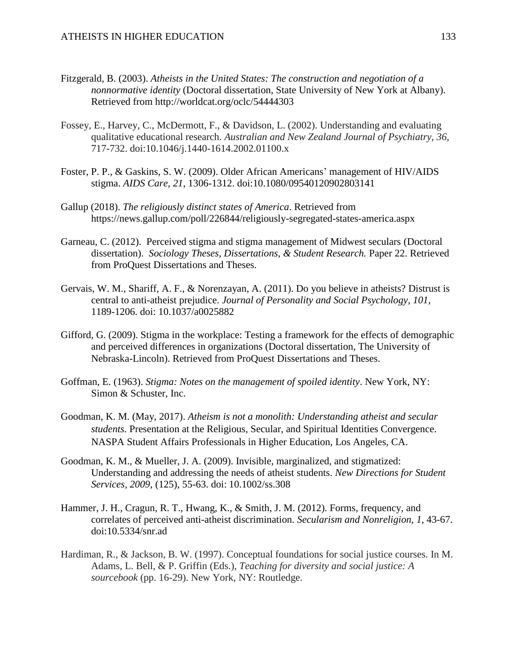- Fitzgerald, B. (2003). *Atheists in the United States: The construction and negotiation of a nonnormative identity* (Doctoral dissertation, State University of New York at Albany). Retrieved from http://worldcat.org/oclc/54444303
- Fossey, E., Harvey, C., McDermott, F., & Davidson, L. (2002). Understanding and evaluating qualitative educational research. *Australian and New Zealand Journal of Psychiatry, 36*, 717-732. doi:10.1046/j.1440-1614.2002.01100.x
- Foster, P. P., & Gaskins, S. W. (2009). Older African Americans' management of HIV/AIDS stigma. *AIDS Care, 21*, 1306-1312. doi:10.1080/09540120902803141
- Gallup (2018). *The religiously distinct states of America*. Retrieved from https://news.gallup.com/poll/226844/religiously-segregated-states-america.aspx
- Garneau, C. (2012). Perceived stigma and stigma management of Midwest seculars (Doctoral dissertation). *Sociology Theses, Dissertations, & Student Research.* Paper 22. Retrieved from ProQuest Dissertations and Theses.
- Gervais, W. M., Shariff, A. F., & Norenzayan, A. (2011). Do you believe in atheists? Distrust is central to anti-atheist prejudice. *Journal of Personality and Social Psychology, 101*, 1189-1206. doi: 10.1037/a0025882
- Gifford, G. (2009). Stigma in the workplace: Testing a framework for the effects of demographic and perceived differences in organizations (Doctoral dissertation, The University of Nebraska-Lincoln). Retrieved from ProQuest Dissertations and Theses.
- Goffman, E. (1963). *Stigma: Notes on the management of spoiled identity*. New York, NY: Simon & Schuster, Inc.
- Goodman, K. M. (May, 2017). *Atheism is not a monolith: Understanding atheist and secular students.* Presentation at the Religious, Secular, and Spiritual Identities Convergence. NASPA Student Affairs Professionals in Higher Education, Los Angeles, CA.
- Goodman, K. M., & Mueller, J. A. (2009). Invisible, marginalized, and stigmatized: Understanding and addressing the needs of atheist students. *New Directions for Student Services, 2009,* (125), 55-63. doi: 10.1002/ss.308
- Hammer, J. H., Cragun, R. T., Hwang, K., & Smith, J. M. (2012). Forms, frequency, and correlates of perceived anti-atheist discrimination. *Secularism and Nonreligion, 1*, 43-67. doi:10.5334/snr.ad
- Hardiman, R., & Jackson, B. W. (1997). Conceptual foundations for social justice courses. In M. Adams, L. Bell, & P. Griffin (Eds.), *Teaching for diversity and social justice: A sourcebook* (pp. 16-29). New York, NY: Routledge.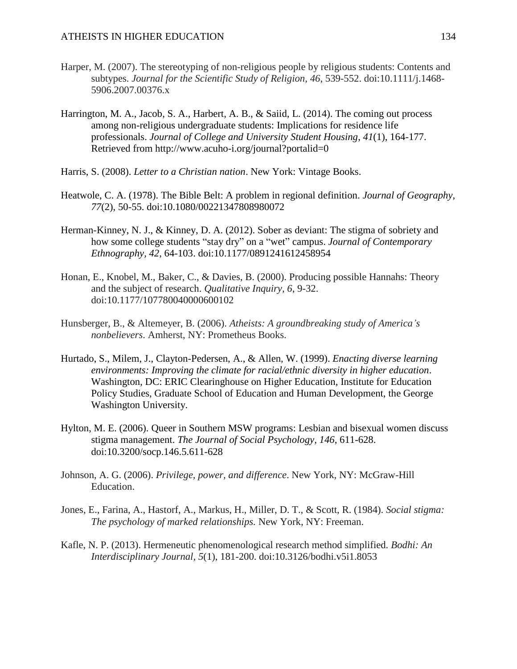- Harper, M. (2007). The stereotyping of non-religious people by religious students: Contents and subtypes. *Journal for the Scientific Study of Religion, 46*, 539-552. doi:10.1111/j.1468- 5906.2007.00376.x
- Harrington, M. A., Jacob, S. A., Harbert, A. B., & Saiid, L. (2014). The coming out process among non-religious undergraduate students: Implications for residence life professionals. *Journal of College and University Student Housing*, *41*(1), 164-177. Retrieved from http://www.acuho-i.org/journal?portalid=0
- Harris, S. (2008). *Letter to a Christian nation*. New York: Vintage Books.
- Heatwole, C. A. (1978). The Bible Belt: A problem in regional definition. *Journal of Geography, 77*(2), 50-55. doi:10.1080/00221347808980072
- Herman-Kinney, N. J., & Kinney, D. A. (2012). Sober as deviant: The stigma of sobriety and how some college students "stay dry" on a "wet" campus. *Journal of Contemporary Ethnography, 42*, 64-103. doi:10.1177/0891241612458954
- Honan, E., Knobel, M., Baker, C., & Davies, B. (2000). Producing possible Hannahs: Theory and the subject of research. *Qualitative Inquiry, 6*, 9-32. doi:10.1177/107780040000600102
- Hunsberger, B., & Altemeyer, B. (2006). *Atheists: A groundbreaking study of America's nonbelievers*. Amherst, NY: Prometheus Books.
- Hurtado, S., Milem, J., Clayton-Pedersen, A., & Allen, W. (1999). *Enacting diverse learning environments: Improving the climate for racial/ethnic diversity in higher education*. Washington, DC: ERIC Clearinghouse on Higher Education, Institute for Education Policy Studies, Graduate School of Education and Human Development, the George Washington University.
- Hylton, M. E. (2006). Queer in Southern MSW programs: Lesbian and bisexual women discuss stigma management. *The Journal of Social Psychology, 146*, 611-628. doi:10.3200/socp.146.5.611-628
- Johnson, A. G. (2006). *Privilege, power, and difference*. New York, NY: McGraw-Hill Education.
- Jones, E., Farina, A., Hastorf, A., Markus, H., Miller, D. T., & Scott, R. (1984). *Social stigma: The psychology of marked relationships.* New York, NY: Freeman.
- Kafle, N. P. (2013). Hermeneutic phenomenological research method simplified. *Bodhi: An Interdisciplinary Journal, 5*(1), 181-200. doi:10.3126/bodhi.v5i1.8053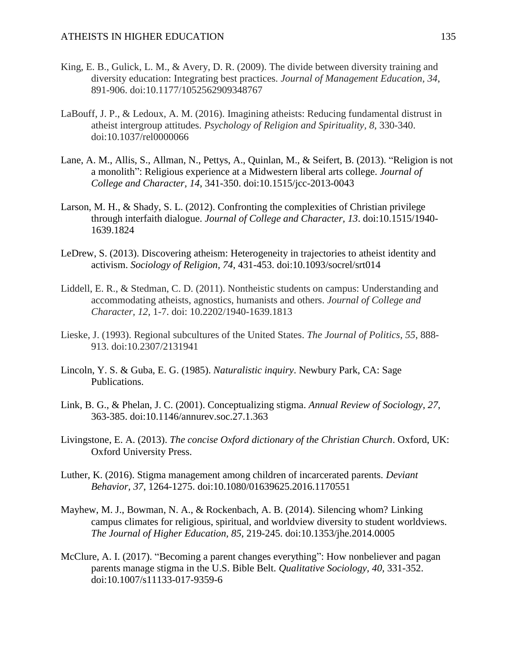- King, E. B., Gulick, L. M., & Avery, D. R. (2009). The divide between diversity training and diversity education: Integrating best practices. *Journal of Management Education, 34*, 891-906. doi:10.1177/1052562909348767
- LaBouff, J. P., & Ledoux, A. M. (2016). Imagining atheists: Reducing fundamental distrust in atheist intergroup attitudes. *Psychology of Religion and Spirituality, 8*, 330-340. doi:10.1037/rel0000066
- Lane, A. M., Allis, S., Allman, N., Pettys, A., Quinlan, M., & Seifert, B. (2013). "Religion is not a monolith": Religious experience at a Midwestern liberal arts college. *Journal of College and Character, 14*, 341-350. doi:10.1515/jcc-2013-0043
- Larson, M. H., & Shady, S. L. (2012). Confronting the complexities of Christian privilege through interfaith dialogue. *Journal of College and Character, 13*. doi:10.1515/1940- 1639.1824
- LeDrew, S. (2013). Discovering atheism: Heterogeneity in trajectories to atheist identity and activism. *Sociology of Religion, 74*, 431-453. doi:10.1093/socrel/srt014
- Liddell, E. R., & Stedman, C. D. (2011). Nontheistic students on campus: Understanding and accommodating atheists, agnostics, humanists and others. *Journal of College and Character, 12*, 1-7. doi: 10.2202/1940-1639.1813
- Lieske, J. (1993). Regional subcultures of the United States. *The Journal of Politics, 55*, 888- 913. doi:10.2307/2131941
- Lincoln, Y. S. & Guba, E. G. (1985). *Naturalistic inquiry*. Newbury Park, CA: Sage Publications.
- Link, B. G., & Phelan, J. C. (2001). Conceptualizing stigma. *Annual Review of Sociology, 27*, 363-385. doi:10.1146/annurev.soc.27.1.363
- Livingstone, E. A. (2013). *The concise Oxford dictionary of the Christian Church*. Oxford, UK: Oxford University Press.
- Luther, K. (2016). Stigma management among children of incarcerated parents. *Deviant Behavior, 37*, 1264-1275. doi:10.1080/01639625.2016.1170551
- Mayhew, M. J., Bowman, N. A., & Rockenbach, A. B. (2014). Silencing whom? Linking campus climates for religious, spiritual, and worldview diversity to student worldviews. *The Journal of Higher Education, 85*, 219-245. doi:10.1353/jhe.2014.0005
- McClure, A. I. (2017). "Becoming a parent changes everything": How nonbeliever and pagan parents manage stigma in the U.S. Bible Belt. *Qualitative Sociology, 40*, 331-352. doi:10.1007/s11133-017-9359-6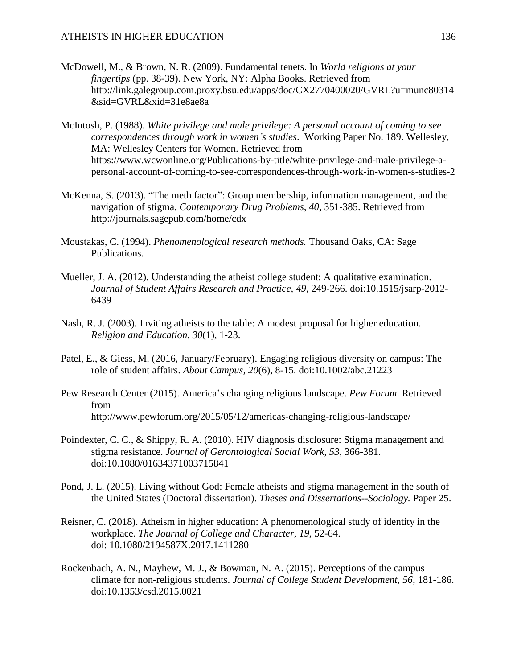- McDowell, M., & Brown, N. R. (2009). Fundamental tenets. In *World religions at your fingertips* (pp. 38-39). New York, NY: Alpha Books. Retrieved from http://link.galegroup.com.proxy.bsu.edu/apps/doc/CX2770400020/GVRL?u=munc80314 &sid=GVRL&xid=31e8ae8a
- McIntosh, P. (1988). *White privilege and male privilege: A personal account of coming to see correspondences through work in women's studies*. Working Paper No. 189. Wellesley, MA: Wellesley Centers for Women. Retrieved from https://www.wcwonline.org/Publications-by-title/white-privilege-and-male-privilege-apersonal-account-of-coming-to-see-correspondences-through-work-in-women-s-studies-2
- McKenna, S. (2013). "The meth factor": Group membership, information management, and the navigation of stigma. *Contemporary Drug Problems, 40*, 351-385. Retrieved from http://journals.sagepub.com/home/cdx
- Moustakas, C. (1994). *Phenomenological research methods.* Thousand Oaks, CA: Sage Publications.
- Mueller, J. A. (2012). Understanding the atheist college student: A qualitative examination. *Journal of Student Affairs Research and Practice, 49*, 249-266. doi:10.1515/jsarp-2012- 6439
- Nash, R. J. (2003). Inviting atheists to the table: A modest proposal for higher education. *Religion and Education, 30*(1), 1-23.
- Patel, E., & Giess, M. (2016, January/February). Engaging religious diversity on campus: The role of student affairs. *About Campus, 20*(6), 8-15. doi:10.1002/abc.21223
- Pew Research Center (2015). America's changing religious landscape. *Pew Forum*. Retrieved from http://www.pewforum.org/2015/05/12/americas-changing-religious-landscape/
- Poindexter, C. C., & Shippy, R. A. (2010). HIV diagnosis disclosure: Stigma management and stigma resistance. *Journal of Gerontological Social Work, 53*, 366-381. doi:10.1080/01634371003715841
- Pond, J. L. (2015). Living without God: Female atheists and stigma management in the south of the United States (Doctoral dissertation). *Theses and Dissertations--Sociology.* Paper 25.
- Reisner, C. (2018). Atheism in higher education: A phenomenological study of identity in the workplace. *The Journal of College and Character, 19*, 52-64. doi: 10.1080/2194587X.2017.1411280
- Rockenbach, A. N., Mayhew, M. J., & Bowman, N. A. (2015). Perceptions of the campus climate for non-religious students. *Journal of College Student Development, 56*, 181-186. doi:10.1353/csd.2015.0021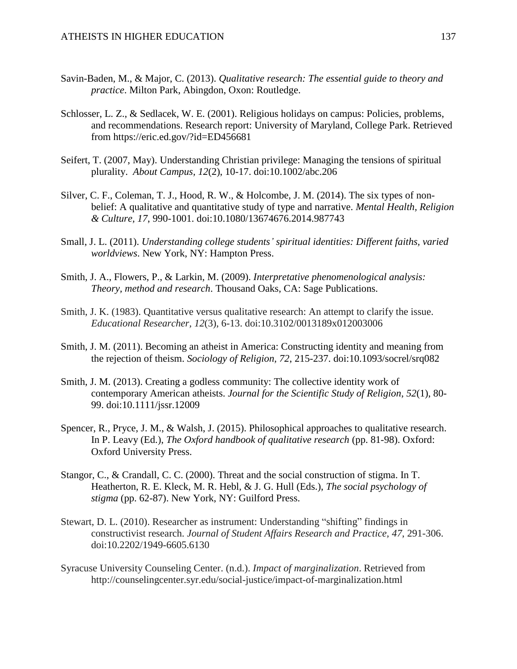- Savin-Baden, M., & Major, C. (2013). *Qualitative research: The essential guide to theory and practice*. Milton Park, Abingdon, Oxon: Routledge.
- Schlosser, L. Z., & Sedlacek, W. E. (2001). Religious holidays on campus: Policies, problems, and recommendations. Research report: University of Maryland, College Park. Retrieved from https://eric.ed.gov/?id=ED456681
- Seifert, T. (2007, May). Understanding Christian privilege: Managing the tensions of spiritual plurality. *About Campus, 12*(2), 10-17. doi:10.1002/abc.206
- Silver, C. F., Coleman, T. J., Hood, R. W., & Holcombe, J. M. (2014). The six types of nonbelief: A qualitative and quantitative study of type and narrative. *Mental Health, Religion & Culture, 17*, 990-1001. doi:10.1080/13674676.2014.987743
- Small, J. L. (2011). *Understanding college students' spiritual identities: Different faiths, varied worldviews*. New York, NY: Hampton Press.
- Smith, J. A., Flowers, P., & Larkin, M. (2009). *Interpretative phenomenological analysis: Theory, method and research*. Thousand Oaks, CA: Sage Publications.
- Smith, J. K. (1983). Quantitative versus qualitative research: An attempt to clarify the issue. *Educational Researcher, 12*(3), 6-13. doi:10.3102/0013189x012003006
- Smith, J. M. (2011). Becoming an atheist in America: Constructing identity and meaning from the rejection of theism. *Sociology of Religion, 72*, 215-237. doi:10.1093/socrel/srq082
- Smith, J. M. (2013). Creating a godless community: The collective identity work of contemporary American atheists. *Journal for the Scientific Study of Religion*, *52*(1), 80- 99. doi:10.1111/jssr.12009
- Spencer, R., Pryce, J. M., & Walsh, J. (2015). Philosophical approaches to qualitative research. In P. Leavy (Ed.), *The Oxford handbook of qualitative research* (pp. 81-98). Oxford: Oxford University Press.
- Stangor, C., & Crandall, C. C. (2000). Threat and the social construction of stigma. In T. Heatherton, R. E. Kleck, M. R. Hebl, & J. G. Hull (Eds.), *The social psychology of stigma* (pp. 62-87). New York, NY: Guilford Press.
- Stewart, D. L. (2010). Researcher as instrument: Understanding "shifting" findings in constructivist research. *Journal of Student Affairs Research and Practice, 47*, 291-306. doi:10.2202/1949-6605.6130
- Syracuse University Counseling Center. (n.d.). *Impact of marginalization*. Retrieved from http://counselingcenter.syr.edu/social-justice/impact-of-marginalization.html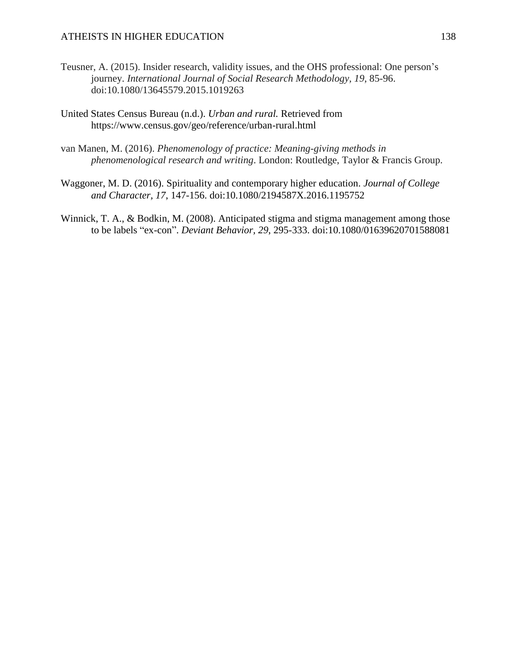- Teusner, A. (2015). Insider research, validity issues, and the OHS professional: One person's journey. *International Journal of Social Research Methodology, 19*, 85-96. doi:10.1080/13645579.2015.1019263
- United States Census Bureau (n.d.). *Urban and rural.* Retrieved from https://www.census.gov/geo/reference/urban-rural.html
- van Manen, M. (2016). *Phenomenology of practice: Meaning-giving methods in phenomenological research and writing*. London: Routledge, Taylor & Francis Group.
- Waggoner, M. D. (2016). Spirituality and contemporary higher education. *Journal of College and Character, 17*, 147-156. doi:10.1080/2194587X.2016.1195752
- Winnick, T. A., & Bodkin, M. (2008). Anticipated stigma and stigma management among those to be labels "ex-con". *Deviant Behavior, 29*, 295-333. doi:10.1080/01639620701588081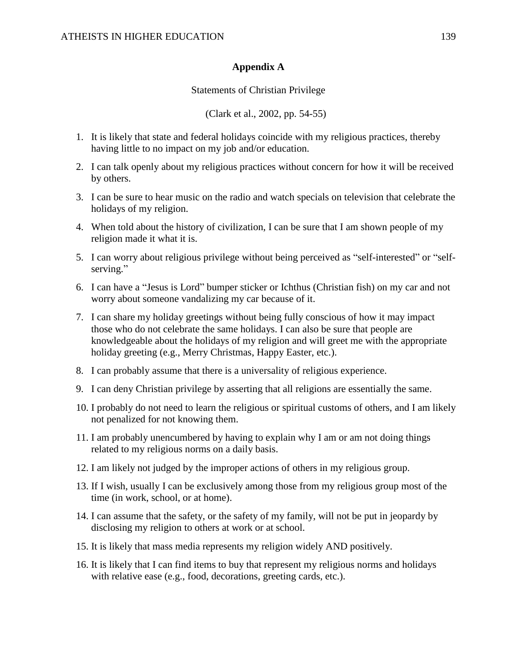### **Appendix A**

### Statements of Christian Privilege

(Clark et al., 2002, pp. 54-55)

- 1. It is likely that state and federal holidays coincide with my religious practices, thereby having little to no impact on my job and/or education.
- 2. I can talk openly about my religious practices without concern for how it will be received by others.
- 3. I can be sure to hear music on the radio and watch specials on television that celebrate the holidays of my religion.
- 4. When told about the history of civilization, I can be sure that I am shown people of my religion made it what it is.
- 5. I can worry about religious privilege without being perceived as "self-interested" or "selfserving."
- 6. I can have a "Jesus is Lord" bumper sticker or Ichthus (Christian fish) on my car and not worry about someone vandalizing my car because of it.
- 7. I can share my holiday greetings without being fully conscious of how it may impact those who do not celebrate the same holidays. I can also be sure that people are knowledgeable about the holidays of my religion and will greet me with the appropriate holiday greeting (e.g., Merry Christmas, Happy Easter, etc.).
- 8. I can probably assume that there is a universality of religious experience.
- 9. I can deny Christian privilege by asserting that all religions are essentially the same.
- 10. I probably do not need to learn the religious or spiritual customs of others, and I am likely not penalized for not knowing them.
- 11. I am probably unencumbered by having to explain why I am or am not doing things related to my religious norms on a daily basis.
- 12. I am likely not judged by the improper actions of others in my religious group.
- 13. If I wish, usually I can be exclusively among those from my religious group most of the time (in work, school, or at home).
- 14. I can assume that the safety, or the safety of my family, will not be put in jeopardy by disclosing my religion to others at work or at school.
- 15. It is likely that mass media represents my religion widely AND positively.
- 16. It is likely that I can find items to buy that represent my religious norms and holidays with relative ease (e.g., food, decorations, greeting cards, etc.).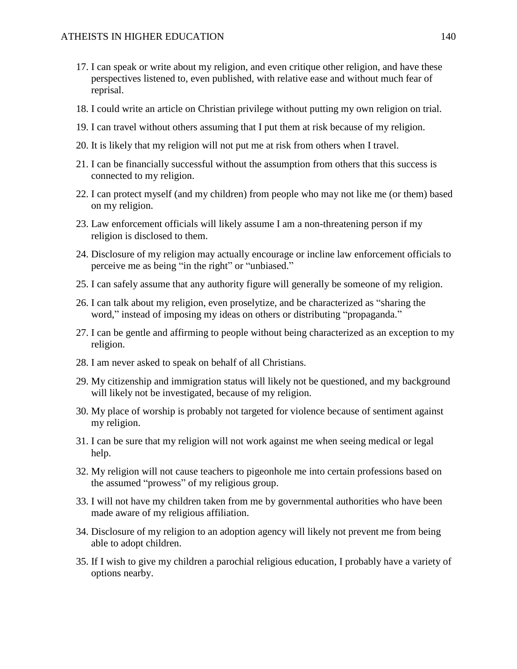- 17. I can speak or write about my religion, and even critique other religion, and have these perspectives listened to, even published, with relative ease and without much fear of reprisal.
- 18. I could write an article on Christian privilege without putting my own religion on trial.
- 19. I can travel without others assuming that I put them at risk because of my religion.
- 20. It is likely that my religion will not put me at risk from others when I travel.
- 21. I can be financially successful without the assumption from others that this success is connected to my religion.
- 22. I can protect myself (and my children) from people who may not like me (or them) based on my religion.
- 23. Law enforcement officials will likely assume I am a non-threatening person if my religion is disclosed to them.
- 24. Disclosure of my religion may actually encourage or incline law enforcement officials to perceive me as being "in the right" or "unbiased."
- 25. I can safely assume that any authority figure will generally be someone of my religion.
- 26. I can talk about my religion, even proselytize, and be characterized as "sharing the word," instead of imposing my ideas on others or distributing "propaganda."
- 27. I can be gentle and affirming to people without being characterized as an exception to my religion.
- 28. I am never asked to speak on behalf of all Christians.
- 29. My citizenship and immigration status will likely not be questioned, and my background will likely not be investigated, because of my religion.
- 30. My place of worship is probably not targeted for violence because of sentiment against my religion.
- 31. I can be sure that my religion will not work against me when seeing medical or legal help.
- 32. My religion will not cause teachers to pigeonhole me into certain professions based on the assumed "prowess" of my religious group.
- 33. I will not have my children taken from me by governmental authorities who have been made aware of my religious affiliation.
- 34. Disclosure of my religion to an adoption agency will likely not prevent me from being able to adopt children.
- 35. If I wish to give my children a parochial religious education, I probably have a variety of options nearby.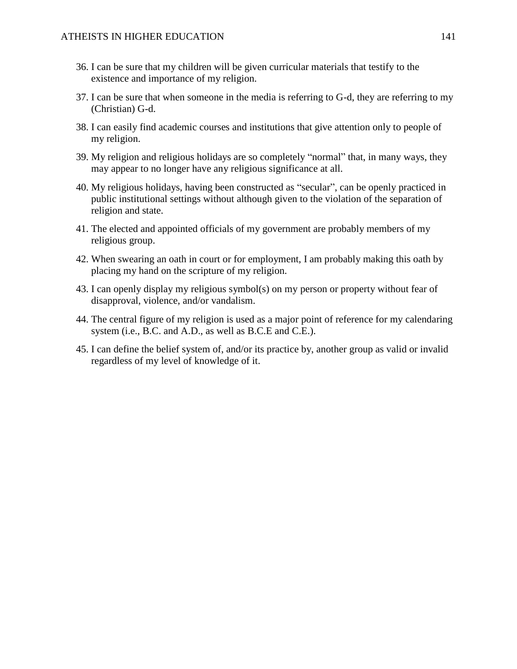- 36. I can be sure that my children will be given curricular materials that testify to the existence and importance of my religion.
- 37. I can be sure that when someone in the media is referring to G-d, they are referring to my (Christian) G-d.
- 38. I can easily find academic courses and institutions that give attention only to people of my religion.
- 39. My religion and religious holidays are so completely "normal" that, in many ways, they may appear to no longer have any religious significance at all.
- 40. My religious holidays, having been constructed as "secular", can be openly practiced in public institutional settings without although given to the violation of the separation of religion and state.
- 41. The elected and appointed officials of my government are probably members of my religious group.
- 42. When swearing an oath in court or for employment, I am probably making this oath by placing my hand on the scripture of my religion.
- 43. I can openly display my religious symbol(s) on my person or property without fear of disapproval, violence, and/or vandalism.
- 44. The central figure of my religion is used as a major point of reference for my calendaring system (i.e., B.C. and A.D., as well as B.C.E and C.E.).
- 45. I can define the belief system of, and/or its practice by, another group as valid or invalid regardless of my level of knowledge of it.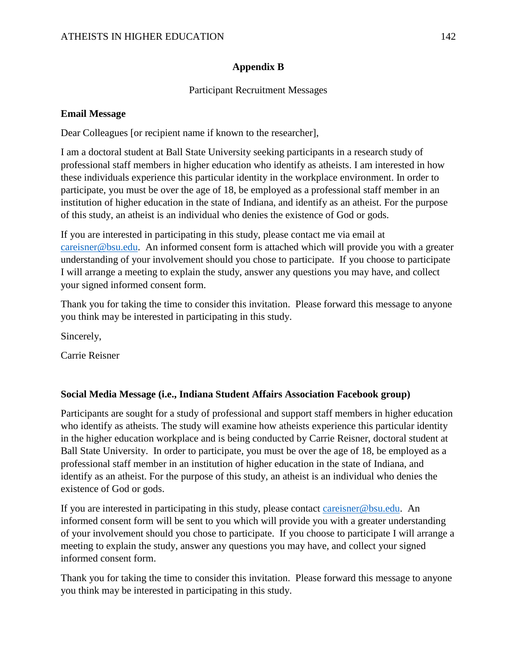# **Appendix B**

## Participant Recruitment Messages

### **Email Message**

Dear Colleagues [or recipient name if known to the researcher],

I am a doctoral student at Ball State University seeking participants in a research study of professional staff members in higher education who identify as atheists. I am interested in how these individuals experience this particular identity in the workplace environment. In order to participate, you must be over the age of 18, be employed as a professional staff member in an institution of higher education in the state of Indiana, and identify as an atheist. For the purpose of this study, an atheist is an individual who denies the existence of God or gods.

If you are interested in participating in this study, please contact me via email at [careisner@bsu.edu.](mailto:careisner@bsu.edu) An informed consent form is attached which will provide you with a greater understanding of your involvement should you chose to participate. If you choose to participate I will arrange a meeting to explain the study, answer any questions you may have, and collect your signed informed consent form.

Thank you for taking the time to consider this invitation. Please forward this message to anyone you think may be interested in participating in this study.

Sincerely,

Carrie Reisner

### **Social Media Message (i.e., Indiana Student Affairs Association Facebook group)**

Participants are sought for a study of professional and support staff members in higher education who identify as atheists. The study will examine how atheists experience this particular identity in the higher education workplace and is being conducted by Carrie Reisner, doctoral student at Ball State University. In order to participate, you must be over the age of 18, be employed as a professional staff member in an institution of higher education in the state of Indiana, and identify as an atheist. For the purpose of this study, an atheist is an individual who denies the existence of God or gods.

If you are interested in participating in this study, please contact [careisner@bsu.edu.](mailto:careisner@bsu.edu) An informed consent form will be sent to you which will provide you with a greater understanding of your involvement should you chose to participate. If you choose to participate I will arrange a meeting to explain the study, answer any questions you may have, and collect your signed informed consent form.

Thank you for taking the time to consider this invitation. Please forward this message to anyone you think may be interested in participating in this study.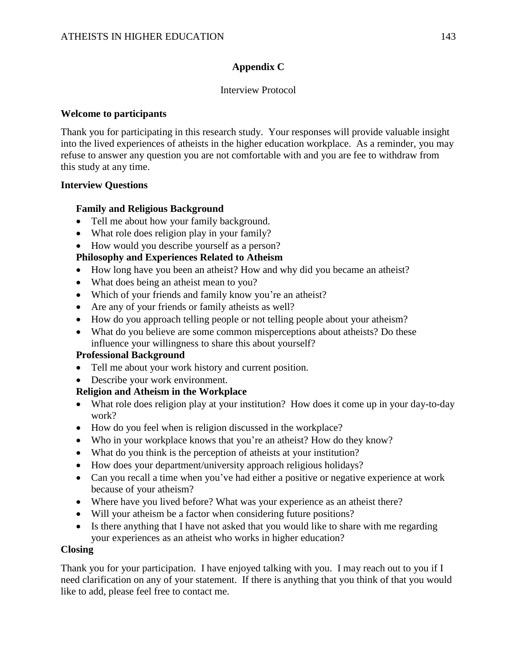# **Appendix C**

### Interview Protocol

### **Welcome to participants**

Thank you for participating in this research study. Your responses will provide valuable insight into the lived experiences of atheists in the higher education workplace. As a reminder, you may refuse to answer any question you are not comfortable with and you are fee to withdraw from this study at any time.

### **Interview Questions**

### **Family and Religious Background**

- Tell me about how your family background.
- What role does religion play in your family?
- How would you describe yourself as a person?

# **Philosophy and Experiences Related to Atheism**

- How long have you been an atheist? How and why did you became an atheist?
- What does being an atheist mean to you?
- Which of your friends and family know you're an atheist?
- Are any of your friends or family atheists as well?
- How do you approach telling people or not telling people about your atheism?
- What do you believe are some common misperceptions about atheists? Do these influence your willingness to share this about yourself?

# **Professional Background**

- Tell me about your work history and current position.
- Describe your work environment.

# **Religion and Atheism in the Workplace**

- What role does religion play at your institution? How does it come up in your day-to-day work?
- How do you feel when is religion discussed in the workplace?
- Who in your workplace knows that you're an atheist? How do they know?
- What do you think is the perception of atheists at your institution?
- How does your department/university approach religious holidays?
- Can you recall a time when you've had either a positive or negative experience at work because of your atheism?
- Where have you lived before? What was your experience as an atheist there?
- Will your atheism be a factor when considering future positions?
- Is there anything that I have not asked that you would like to share with me regarding your experiences as an atheist who works in higher education?

### **Closing**

Thank you for your participation. I have enjoyed talking with you. I may reach out to you if I need clarification on any of your statement. If there is anything that you think of that you would like to add, please feel free to contact me.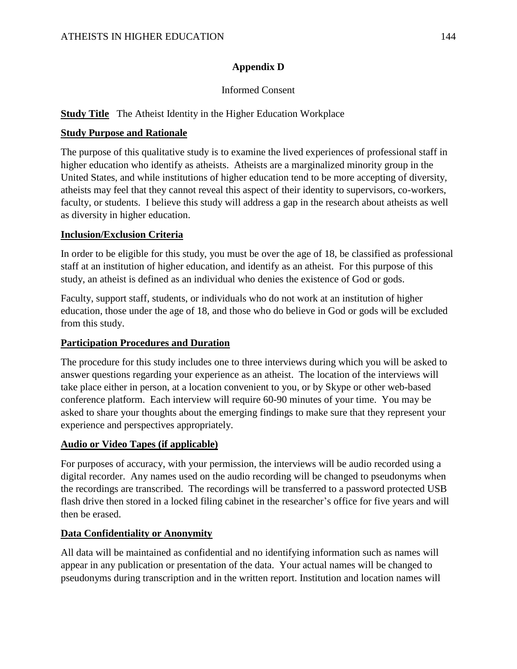# **Appendix D**

# Informed Consent

# **Study Title** The Atheist Identity in the Higher Education Workplace

# **Study Purpose and Rationale**

The purpose of this qualitative study is to examine the lived experiences of professional staff in higher education who identify as atheists. Atheists are a marginalized minority group in the United States, and while institutions of higher education tend to be more accepting of diversity, atheists may feel that they cannot reveal this aspect of their identity to supervisors, co-workers, faculty, or students. I believe this study will address a gap in the research about atheists as well as diversity in higher education.

### **Inclusion/Exclusion Criteria**

In order to be eligible for this study, you must be over the age of 18, be classified as professional staff at an institution of higher education, and identify as an atheist. For this purpose of this study, an atheist is defined as an individual who denies the existence of God or gods.

Faculty, support staff, students, or individuals who do not work at an institution of higher education, those under the age of 18, and those who do believe in God or gods will be excluded from this study.

### **Participation Procedures and Duration**

The procedure for this study includes one to three interviews during which you will be asked to answer questions regarding your experience as an atheist. The location of the interviews will take place either in person, at a location convenient to you, or by Skype or other web-based conference platform. Each interview will require 60-90 minutes of your time. You may be asked to share your thoughts about the emerging findings to make sure that they represent your experience and perspectives appropriately.

# **Audio or Video Tapes (if applicable)**

For purposes of accuracy, with your permission, the interviews will be audio recorded using a digital recorder. Any names used on the audio recording will be changed to pseudonyms when the recordings are transcribed. The recordings will be transferred to a password protected USB flash drive then stored in a locked filing cabinet in the researcher's office for five years and will then be erased.

# **Data Confidentiality or Anonymity**

All data will be maintained as confidential and no identifying information such as names will appear in any publication or presentation of the data. Your actual names will be changed to pseudonyms during transcription and in the written report. Institution and location names will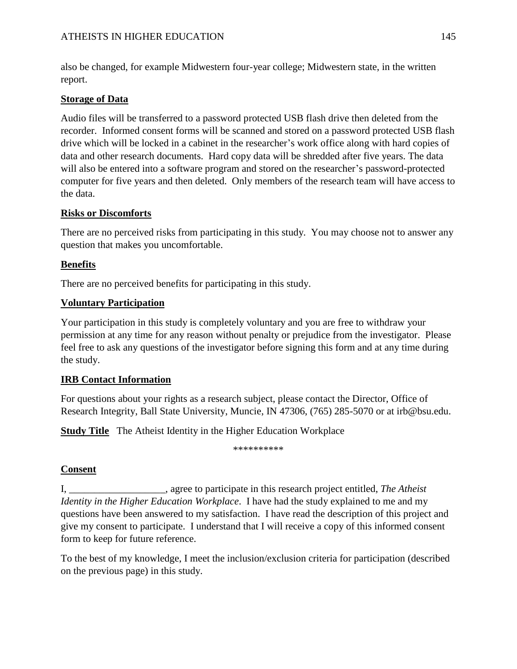also be changed, for example Midwestern four-year college; Midwestern state, in the written report.

## **Storage of Data**

Audio files will be transferred to a password protected USB flash drive then deleted from the recorder. Informed consent forms will be scanned and stored on a password protected USB flash drive which will be locked in a cabinet in the researcher's work office along with hard copies of data and other research documents. Hard copy data will be shredded after five years. The data will also be entered into a software program and stored on the researcher's password-protected computer for five years and then deleted. Only members of the research team will have access to the data.

## **Risks or Discomforts**

There are no perceived risks from participating in this study. You may choose not to answer any question that makes you uncomfortable.

# **Benefits**

There are no perceived benefits for participating in this study.

# **Voluntary Participation**

Your participation in this study is completely voluntary and you are free to withdraw your permission at any time for any reason without penalty or prejudice from the investigator. Please feel free to ask any questions of the investigator before signing this form and at any time during the study.

# **IRB Contact Information**

For questions about your rights as a research subject, please contact the Director, Office of Research Integrity, Ball State University, Muncie, IN 47306, (765) 285-5070 or at [irb@bsu.edu.](mailto:irb@bsu.edu)

**<u>Study Title</u>** The Atheist Identity in the Higher Education Workplace

\*\*\*\*\*\*\*\*\*

# **Consent**

I, \_\_\_\_\_\_\_\_\_\_\_\_\_\_\_\_\_\_\_, agree to participate in this research project entitled, *The Atheist Identity in the Higher Education Workplace*. I have had the study explained to me and my questions have been answered to my satisfaction. I have read the description of this project and give my consent to participate. I understand that I will receive a copy of this informed consent form to keep for future reference.

To the best of my knowledge, I meet the inclusion/exclusion criteria for participation (described on the previous page) in this study.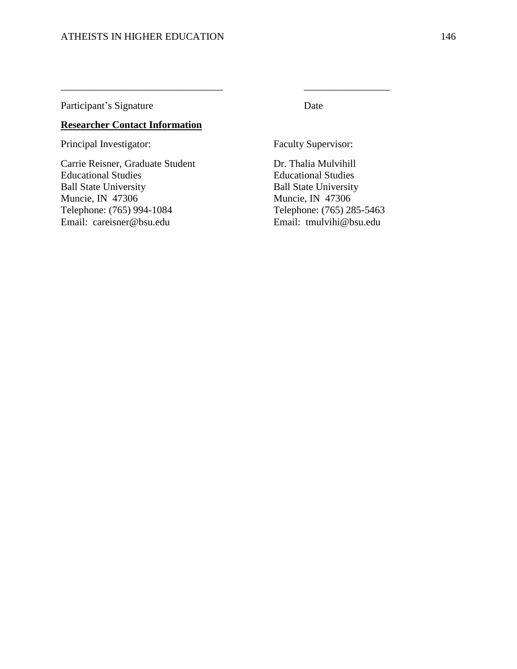Participant's Signature Date

### **Researcher Contact Information**

Principal Investigator: Faculty Supervisor:

Carrie Reisner, Graduate Student Dr. Thalia Mulvihill Educational Studies Educational Studies Ball State University Ball State University Muncie, IN 47306<br>
Telephone: (765) 994-1084<br>
Telephone: (765) 28 Email: careisner@bsu.edu Email: tmulvihi@bsu.edu

\_\_\_\_\_\_\_\_\_\_\_\_\_\_\_\_\_\_\_\_\_\_\_\_\_\_\_\_\_\_\_\_ \_\_\_\_\_\_\_\_\_\_\_\_\_\_\_\_\_

Telephone: (765) 285-5463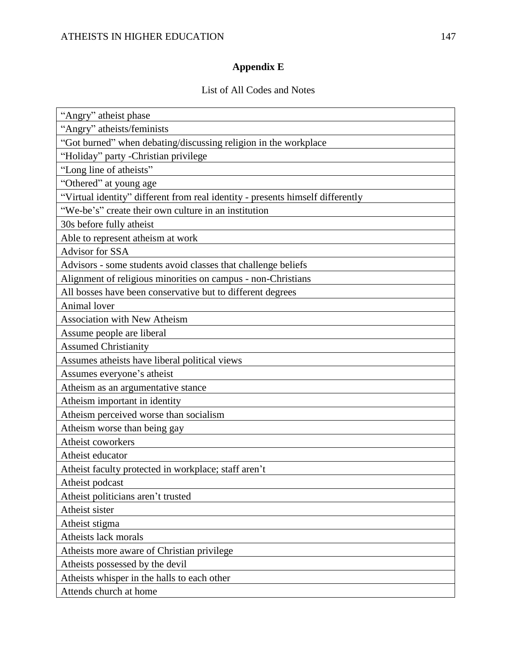# **Appendix E**

## List of All Codes and Notes

| "Angry" atheist phase                                                          |
|--------------------------------------------------------------------------------|
| "Angry" atheists/feminists                                                     |
| "Got burned" when debating/discussing religion in the workplace                |
| "Holiday" party - Christian privilege                                          |
| "Long line of atheists"                                                        |
| "Othered" at young age                                                         |
| "Virtual identity" different from real identity - presents himself differently |
| "We-be's" create their own culture in an institution                           |
| 30s before fully atheist                                                       |
| Able to represent atheism at work                                              |
| Advisor for SSA                                                                |
| Advisors - some students avoid classes that challenge beliefs                  |
| Alignment of religious minorities on campus - non-Christians                   |
| All bosses have been conservative but to different degrees                     |
| Animal lover                                                                   |
| Association with New Atheism                                                   |
| Assume people are liberal                                                      |
| <b>Assumed Christianity</b>                                                    |
| Assumes atheists have liberal political views                                  |
| Assumes everyone's atheist                                                     |
| Atheism as an argumentative stance                                             |
| Atheism important in identity                                                  |
| Atheism perceived worse than socialism                                         |
| Atheism worse than being gay                                                   |
| Atheist coworkers                                                              |
| Atheist educator                                                               |
| Atheist faculty protected in workplace; staff aren't                           |
| Atheist podcast                                                                |
| Atheist politicians aren't trusted                                             |
| Atheist sister                                                                 |
| Atheist stigma                                                                 |
| Atheists lack morals                                                           |
| Atheists more aware of Christian privilege                                     |
| Atheists possessed by the devil                                                |
| Atheists whisper in the halls to each other                                    |
| Attends church at home                                                         |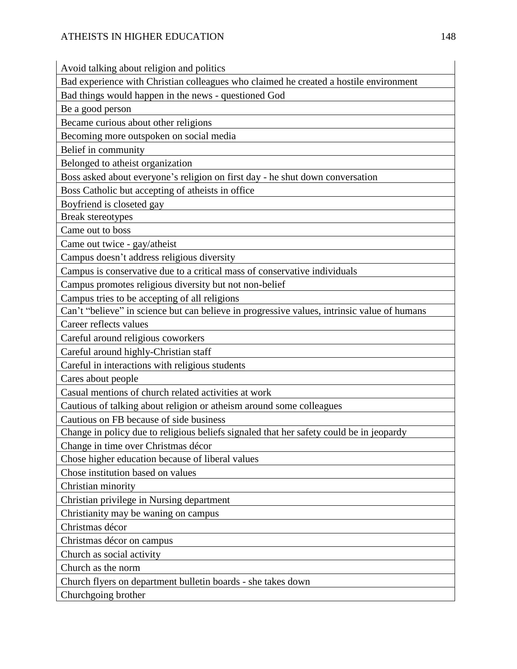Avoid talking about religion and politics

Bad experience with Christian colleagues who claimed he created a hostile environment

Bad things would happen in the news - questioned God

Be a good person

Became curious about other religions

Becoming more outspoken on social media

Belief in community

Belonged to atheist organization

Boss asked about everyone's religion on first day - he shut down conversation

Boss Catholic but accepting of atheists in office

Boyfriend is closeted gay

Break stereotypes

Came out to boss

Came out twice - gay/atheist

Campus doesn't address religious diversity

Campus is conservative due to a critical mass of conservative individuals

Campus promotes religious diversity but not non-belief

Campus tries to be accepting of all religions

Can't "believe" in science but can believe in progressive values, intrinsic value of humans

Career reflects values

Careful around religious coworkers

Careful around highly-Christian staff

Careful in interactions with religious students

Cares about people

Casual mentions of church related activities at work

Cautious of talking about religion or atheism around some colleagues

Cautious on FB because of side business

Change in policy due to religious beliefs signaled that her safety could be in jeopardy

Change in time over Christmas décor

Chose higher education because of liberal values

Chose institution based on values

Christian minority

Christian privilege in Nursing department

Christianity may be waning on campus

Christmas décor

Christmas décor on campus

Church as social activity

Church as the norm

Church flyers on department bulletin boards - she takes down

Churchgoing brother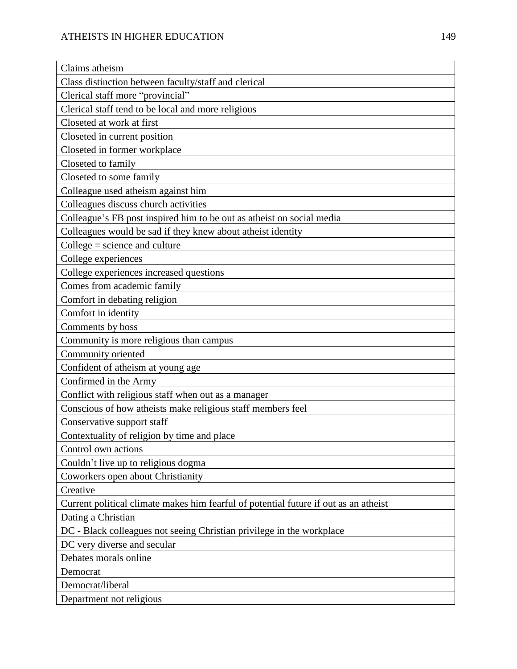| Claims atheism                                                                       |
|--------------------------------------------------------------------------------------|
| Class distinction between faculty/staff and clerical                                 |
| Clerical staff more "provincial"                                                     |
| Clerical staff tend to be local and more religious                                   |
| Closeted at work at first                                                            |
| Closeted in current position                                                         |
| Closeted in former workplace                                                         |
| Closeted to family                                                                   |
| Closeted to some family                                                              |
| Colleague used atheism against him                                                   |
| Colleagues discuss church activities                                                 |
| Colleague's FB post inspired him to be out as atheist on social media                |
| Colleagues would be sad if they knew about atheist identity                          |
| $Collect = science and culture$                                                      |
| College experiences                                                                  |
| College experiences increased questions                                              |
| Comes from academic family                                                           |
| Comfort in debating religion                                                         |
| Comfort in identity                                                                  |
| Comments by boss                                                                     |
| Community is more religious than campus                                              |
| Community oriented                                                                   |
| Confident of atheism at young age                                                    |
| Confirmed in the Army                                                                |
| Conflict with religious staff when out as a manager                                  |
| Conscious of how atheists make religious staff members feel                          |
| Conservative support staff                                                           |
| Contextuality of religion by time and place                                          |
| Control own actions                                                                  |
| Couldn't live up to religious dogma                                                  |
| Coworkers open about Christianity                                                    |
| Creative                                                                             |
| Current political climate makes him fearful of potential future if out as an atheist |
| Dating a Christian                                                                   |
| DC - Black colleagues not seeing Christian privilege in the workplace                |
| DC very diverse and secular                                                          |
| Debates morals online                                                                |
| Democrat                                                                             |
| Democrat/liberal                                                                     |
| Department not religious                                                             |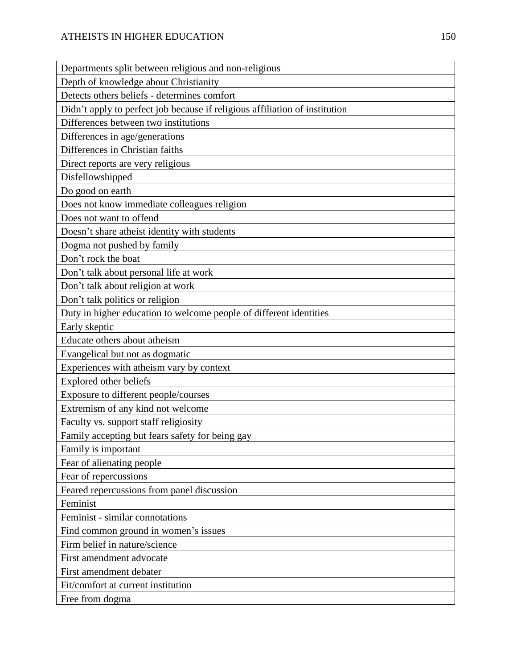| Departments split between religious and non-religious                       |
|-----------------------------------------------------------------------------|
| Depth of knowledge about Christianity                                       |
| Detects others beliefs - determines comfort                                 |
| Didn't apply to perfect job because if religious affiliation of institution |
| Differences between two institutions                                        |
| Differences in age/generations                                              |
| Differences in Christian faiths                                             |
| Direct reports are very religious                                           |
| Disfellowshipped                                                            |
| Do good on earth                                                            |
| Does not know immediate colleagues religion                                 |
| Does not want to offend                                                     |
| Doesn't share atheist identity with students                                |
| Dogma not pushed by family                                                  |
| Don't rock the boat                                                         |
| Don't talk about personal life at work                                      |
| Don't talk about religion at work                                           |
| Don't talk politics or religion                                             |
| Duty in higher education to welcome people of different identities          |
| Early skeptic                                                               |
| Educate others about atheism                                                |
| Evangelical but not as dogmatic                                             |
| Experiences with atheism vary by context                                    |
| Explored other beliefs                                                      |
| Exposure to different people/courses                                        |
| Extremism of any kind not welcome                                           |
| Faculty vs. support staff religiosity                                       |
| Family accepting but fears safety for being gay                             |
| Family is important                                                         |
| Fear of alienating people                                                   |
| Fear of repercussions                                                       |
| Feared repercussions from panel discussion                                  |
| Feminist                                                                    |
| Feminist - similar connotations                                             |
| Find common ground in women's issues                                        |
| Firm belief in nature/science                                               |
| First amendment advocate                                                    |
| First amendment debater                                                     |
| Fit/comfort at current institution                                          |
| Free from dogma                                                             |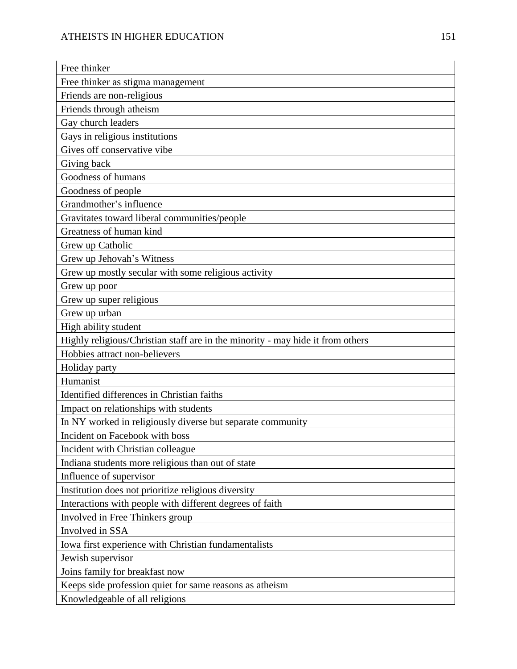| Free thinker                                                                   |
|--------------------------------------------------------------------------------|
| Free thinker as stigma management                                              |
| Friends are non-religious                                                      |
| Friends through atheism                                                        |
| Gay church leaders                                                             |
| Gays in religious institutions                                                 |
| Gives off conservative vibe                                                    |
| Giving back                                                                    |
| Goodness of humans                                                             |
| Goodness of people                                                             |
| Grandmother's influence                                                        |
| Gravitates toward liberal communities/people                                   |
| Greatness of human kind                                                        |
| Grew up Catholic                                                               |
| Grew up Jehovah's Witness                                                      |
| Grew up mostly secular with some religious activity                            |
| Grew up poor                                                                   |
| Grew up super religious                                                        |
| Grew up urban                                                                  |
| High ability student                                                           |
| Highly religious/Christian staff are in the minority - may hide it from others |
| Hobbies attract non-believers                                                  |
| Holiday party                                                                  |
| Humanist                                                                       |
| Identified differences in Christian faiths                                     |
| Impact on relationships with students                                          |
| In NY worked in religiously diverse but separate community                     |
| Incident on Facebook with boss                                                 |
| Incident with Christian colleague                                              |
| Indiana students more religious than out of state                              |
| Influence of supervisor                                                        |
| Institution does not prioritize religious diversity                            |
| Interactions with people with different degrees of faith                       |
| Involved in Free Thinkers group                                                |
| Involved in SSA                                                                |
| Iowa first experience with Christian fundamentalists                           |
| Jewish supervisor                                                              |
| Joins family for breakfast now                                                 |
| Keeps side profession quiet for same reasons as atheism                        |
| Knowledgeable of all religions                                                 |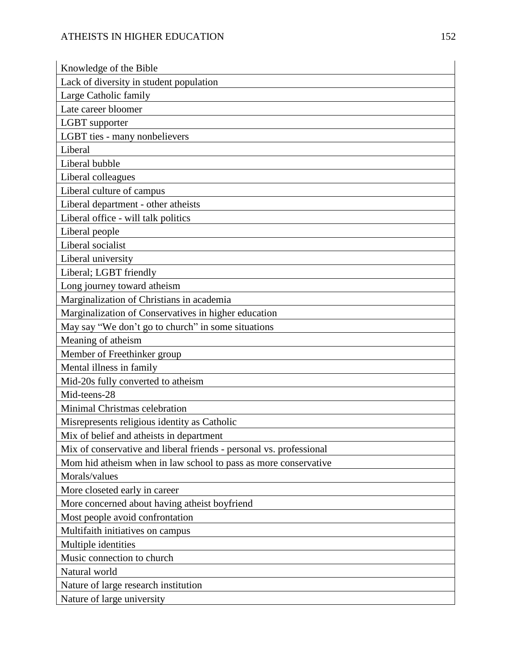| Knowledge of the Bible                                              |
|---------------------------------------------------------------------|
| Lack of diversity in student population                             |
| Large Catholic family                                               |
| Late career bloomer                                                 |
| LGBT supporter                                                      |
| LGBT ties - many nonbelievers                                       |
| Liberal                                                             |
| Liberal bubble                                                      |
| Liberal colleagues                                                  |
| Liberal culture of campus                                           |
| Liberal department - other atheists                                 |
| Liberal office - will talk politics                                 |
| Liberal people                                                      |
| Liberal socialist                                                   |
| Liberal university                                                  |
| Liberal; LGBT friendly                                              |
| Long journey toward atheism                                         |
| Marginalization of Christians in academia                           |
| Marginalization of Conservatives in higher education                |
| May say "We don't go to church" in some situations                  |
| Meaning of atheism                                                  |
| Member of Freethinker group                                         |
| Mental illness in family                                            |
| Mid-20s fully converted to atheism                                  |
| Mid-teens-28                                                        |
| Minimal Christmas celebration                                       |
| Misrepresents religious identity as Catholic                        |
| Mix of belief and atheists in department                            |
| Mix of conservative and liberal friends - personal vs. professional |
| Mom hid atheism when in law school to pass as more conservative     |
| Morals/values                                                       |
| More closeted early in career                                       |
| More concerned about having atheist boyfriend                       |
| Most people avoid confrontation                                     |
| Multifaith initiatives on campus                                    |
| Multiple identities                                                 |
| Music connection to church                                          |
| Natural world                                                       |
| Nature of large research institution                                |
| Nature of large university                                          |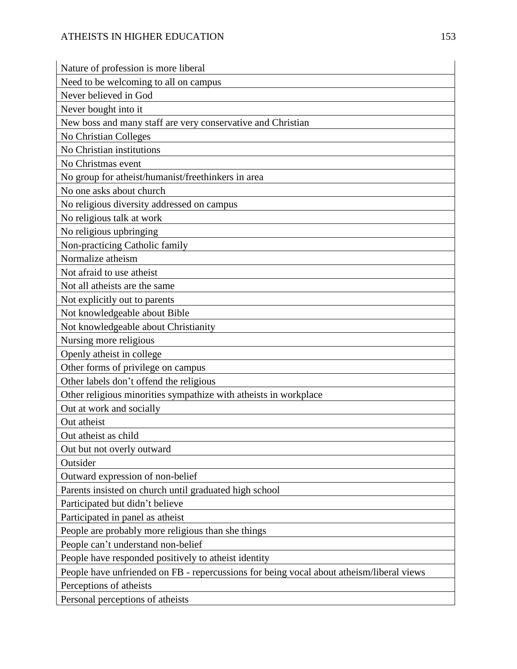| Nature of profession is more liberal                                                     |
|------------------------------------------------------------------------------------------|
| Need to be welcoming to all on campus                                                    |
| Never believed in God                                                                    |
| Never bought into it                                                                     |
| New boss and many staff are very conservative and Christian                              |
| No Christian Colleges                                                                    |
| No Christian institutions                                                                |
| No Christmas event                                                                       |
| No group for atheist/humanist/freethinkers in area                                       |
| No one asks about church                                                                 |
| No religious diversity addressed on campus                                               |
| No religious talk at work                                                                |
| No religious upbringing                                                                  |
| Non-practicing Catholic family                                                           |
| Normalize atheism                                                                        |
| Not afraid to use atheist                                                                |
| Not all atheists are the same                                                            |
| Not explicitly out to parents                                                            |
| Not knowledgeable about Bible                                                            |
| Not knowledgeable about Christianity                                                     |
| Nursing more religious                                                                   |
| Openly atheist in college                                                                |
| Other forms of privilege on campus                                                       |
| Other labels don't offend the religious                                                  |
| Other religious minorities sympathize with atheists in workplace                         |
| Out at work and socially                                                                 |
| Out atheist                                                                              |
| Out atheist as child                                                                     |
| Out but not overly outward                                                               |
| Outsider                                                                                 |
| Outward expression of non-belief                                                         |
| Parents insisted on church until graduated high school                                   |
| Participated but didn't believe                                                          |
| Participated in panel as atheist                                                         |
| People are probably more religious than she things                                       |
| People can't understand non-belief                                                       |
| People have responded positively to atheist identity                                     |
| People have unfriended on FB - repercussions for being vocal about atheism/liberal views |
| Perceptions of atheists                                                                  |
| Personal perceptions of atheists                                                         |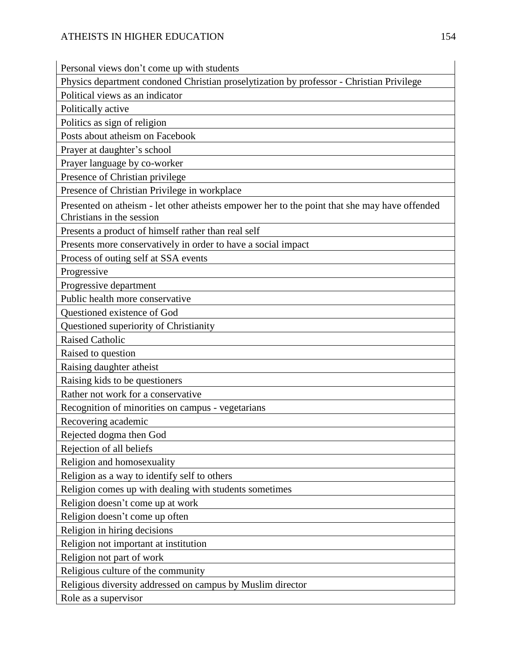Personal views don't come up with students

Physics department condoned Christian proselytization by professor - Christian Privilege

Political views as an indicator

Politically active

Politics as sign of religion Posts about atheism on Facebook

Prayer at daughter's school

Prayer language by co-worker

Presence of Christian privilege

Presence of Christian Privilege in workplace

Presented on atheism - let other atheists empower her to the point that she may have offended Christians in the session

Presents a product of himself rather than real self

Presents more conservatively in order to have a social impact

Process of outing self at SSA events

Progressive

Progressive department

Public health more conservative

Questioned existence of God

Questioned superiority of Christianity

Raised Catholic

Raised to question

Raising daughter atheist

Raising kids to be questioners

Rather not work for a conservative

Recognition of minorities on campus - vegetarians

Recovering academic

Rejected dogma then God

Rejection of all beliefs

Religion and homosexuality

Religion as a way to identify self to others

Religion comes up with dealing with students sometimes

Religion doesn't come up at work

Religion doesn't come up often

Religion in hiring decisions

Religion not important at institution

Religion not part of work

Religious culture of the community

Religious diversity addressed on campus by Muslim director

Role as a supervisor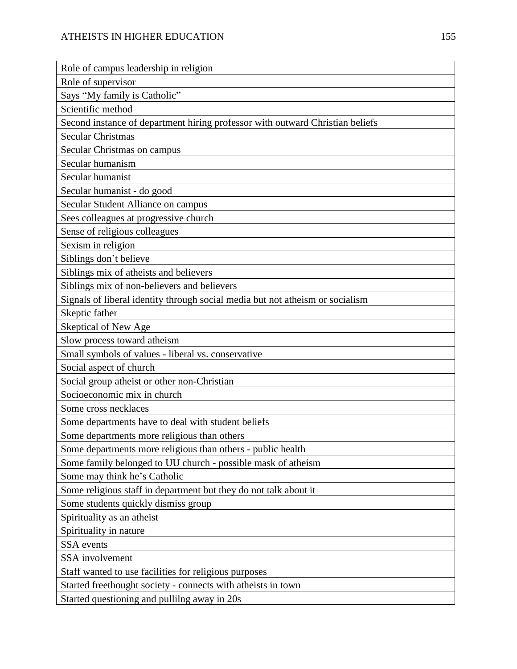## ATHEISTS IN HIGHER EDUCATION 155

| Role of campus leadership in religion                                         |
|-------------------------------------------------------------------------------|
| Role of supervisor                                                            |
| Says "My family is Catholic"                                                  |
| Scientific method                                                             |
| Second instance of department hiring professor with outward Christian beliefs |
| <b>Secular Christmas</b>                                                      |
| Secular Christmas on campus                                                   |
| Secular humanism                                                              |
| Secular humanist                                                              |
| Secular humanist - do good                                                    |
| Secular Student Alliance on campus                                            |
| Sees colleagues at progressive church                                         |
| Sense of religious colleagues                                                 |
| Sexism in religion                                                            |
| Siblings don't believe                                                        |
| Siblings mix of atheists and believers                                        |
| Siblings mix of non-believers and believers                                   |
| Signals of liberal identity through social media but not atheism or socialism |
| Skeptic father                                                                |
| Skeptical of New Age                                                          |
| Slow process toward atheism                                                   |
| Small symbols of values - liberal vs. conservative                            |
| Social aspect of church                                                       |
| Social group atheist or other non-Christian                                   |
| Socioeconomic mix in church                                                   |
| Some cross necklaces                                                          |
| Some departments have to deal with student beliefs                            |
| Some departments more religious than others                                   |
| Some departments more religious than others - public health                   |
| Some family belonged to UU church - possible mask of atheism                  |
| Some may think he's Catholic                                                  |
| Some religious staff in department but they do not talk about it              |
| Some students quickly dismiss group                                           |
| Spirituality as an atheist                                                    |
| Spirituality in nature                                                        |
| <b>SSA</b> events                                                             |
| SSA involvement                                                               |
| Staff wanted to use facilities for religious purposes                         |
| Started freethought society - connects with atheists in town                  |
| Started questioning and pullilng away in 20s                                  |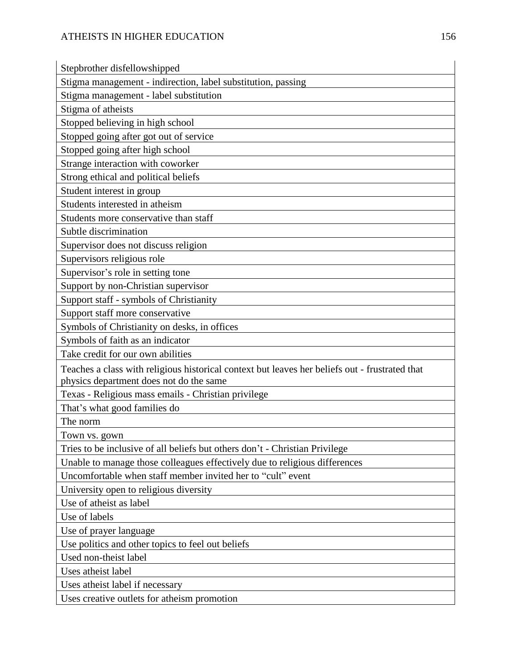| Stepbrother disfellowshipped                                                                                                              |
|-------------------------------------------------------------------------------------------------------------------------------------------|
| Stigma management - indirection, label substitution, passing                                                                              |
| Stigma management - label substitution                                                                                                    |
| Stigma of atheists                                                                                                                        |
| Stopped believing in high school                                                                                                          |
| Stopped going after got out of service                                                                                                    |
| Stopped going after high school                                                                                                           |
| Strange interaction with coworker                                                                                                         |
| Strong ethical and political beliefs                                                                                                      |
| Student interest in group                                                                                                                 |
| Students interested in atheism                                                                                                            |
| Students more conservative than staff                                                                                                     |
| Subtle discrimination                                                                                                                     |
| Supervisor does not discuss religion                                                                                                      |
| Supervisors religious role                                                                                                                |
| Supervisor's role in setting tone                                                                                                         |
| Support by non-Christian supervisor                                                                                                       |
| Support staff - symbols of Christianity                                                                                                   |
| Support staff more conservative                                                                                                           |
| Symbols of Christianity on desks, in offices                                                                                              |
| Symbols of faith as an indicator                                                                                                          |
| Take credit for our own abilities                                                                                                         |
| Teaches a class with religious historical context but leaves her beliefs out - frustrated that<br>physics department does not do the same |
| Texas - Religious mass emails - Christian privilege                                                                                       |
| That's what good families do                                                                                                              |
| The norm                                                                                                                                  |
| Town vs. gown                                                                                                                             |
| Tries to be inclusive of all beliefs but others don't - Christian Privilege                                                               |
| Unable to manage those colleagues effectively due to religious differences                                                                |
| Uncomfortable when staff member invited her to "cult" event                                                                               |
| University open to religious diversity                                                                                                    |
| Use of atheist as label                                                                                                                   |
| Use of labels                                                                                                                             |
| Use of prayer language                                                                                                                    |
| Use politics and other topics to feel out beliefs                                                                                         |
| Used non-theist label                                                                                                                     |
| Uses atheist label                                                                                                                        |
| Uses atheist label if necessary                                                                                                           |
| Uses creative outlets for atheism promotion                                                                                               |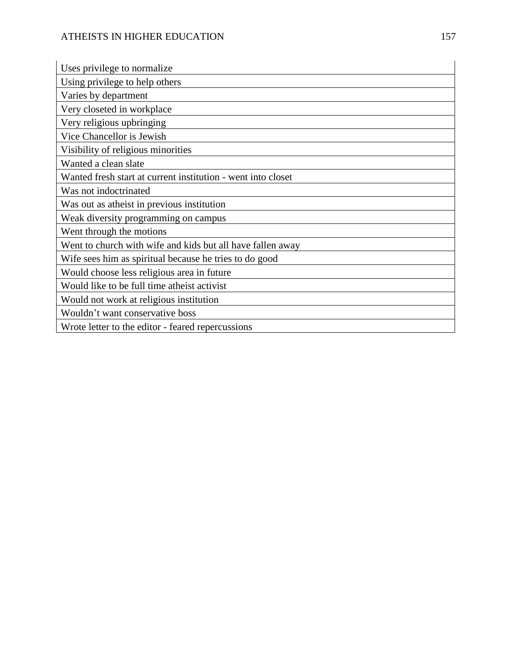| Uses privilege to normalize                                  |
|--------------------------------------------------------------|
| Using privilege to help others                               |
| Varies by department                                         |
| Very closeted in workplace                                   |
| Very religious upbringing                                    |
| Vice Chancellor is Jewish                                    |
| Visibility of religious minorities                           |
| Wanted a clean slate                                         |
| Wanted fresh start at current institution - went into closet |
| Was not indoctrinated                                        |
| Was out as atheist in previous institution                   |
| Weak diversity programming on campus                         |
| Went through the motions                                     |
| Went to church with wife and kids but all have fallen away   |
| Wife sees him as spiritual because he tries to do good       |
| Would choose less religious area in future                   |
| Would like to be full time atheist activist                  |
| Would not work at religious institution                      |
| Wouldn't want conservative boss                              |
| Wrote letter to the editor - feared repercussions            |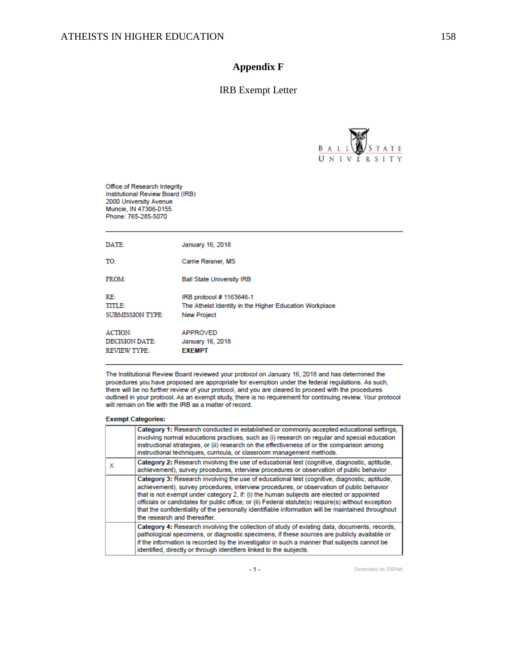## **Appendix F**

### IRB Exempt Letter



Office of Research Integrity Institutional Review Board (IRB) 2000 University Avenue Muncie, IN 47306-0155 Phone: 765-285-5070

| DATE:                                                          | January 16, 2018                                                                                         |
|----------------------------------------------------------------|----------------------------------------------------------------------------------------------------------|
| TO:                                                            | Carrie Reisner, MS                                                                                       |
| <b>FROM-</b>                                                   | <b>Ball State University IRB</b>                                                                         |
| RE:<br>TITLE:<br><b>SUBMISSION TYPE:</b>                       | IRB protocol # 1163646-1<br>The Atheist Identity in the Higher Education Workplace<br><b>New Project</b> |
| <b>ACTION:</b><br><b>DECISION DATE:</b><br><b>REVIEW TYPE:</b> | <b>APPROVED</b><br>January 16, 2018<br><b>EXEMPT</b>                                                     |

The Institutional Review Board reviewed your protocol on January 16, 2018 and has determined the procedures you have proposed are appropriate for exemption under the federal regulations. As such, there will be no further review of your protocol, and you are cleared to proceed with the procedures outlined in your protocol. As an exempt study, there is no requirement for continuing review. Your protocol will remain on file with the IRB as a matter of record.

#### **Exempt Categories:**

|   | Category 1: Research conducted in established or commonly accepted educational settings,<br>involving normal educations practices, such as (i) research on regular and special education<br>instructional strategies, or (ii) research on the effectiveness of or the comparison among<br>instructional techniques, curricula, or classroom management methods.                                                                                                                                                                 |
|---|---------------------------------------------------------------------------------------------------------------------------------------------------------------------------------------------------------------------------------------------------------------------------------------------------------------------------------------------------------------------------------------------------------------------------------------------------------------------------------------------------------------------------------|
| x | Category 2: Research involving the use of educational test (cognitive, diagnostic, aptitude,<br>achievement), survey procedures, interview procedures or observation of public behavior                                                                                                                                                                                                                                                                                                                                         |
|   | Category 3: Research involving the use of educational test (cognitive, diagnostic, aptitude,<br>achievement), survey procedures, interview procedures, or observation of public behavior<br>that is not exempt under category 2, if: (i) the human subjects are elected or appointed<br>officials or candidates for public office; or (ii) Federal statute(s) require(s) without exception<br>that the confidentiality of the personally identifiable information will be maintained throughout<br>the research and thereafter. |
|   | Category 4: Research involving the collection of study of existing data, documents, records,<br>pathological specimens, or diagnostic specimens, if these sources are publicly available or<br>if the information is recorded by the investigator in such a manner that subjects cannot be<br>identified, directly or through identifiers linked to the subjects.                                                                                                                                                               |

 $-1-$ 

Generated on IRBNet